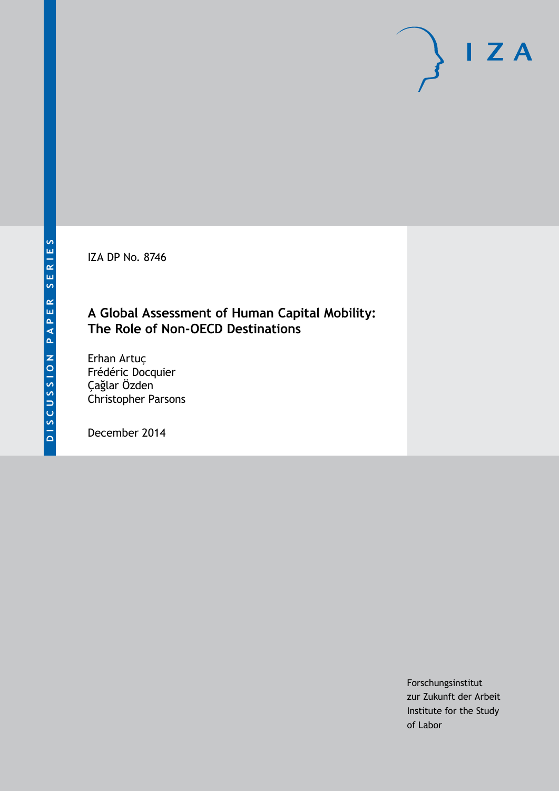IZA DP No. 8746

## **A Global Assessment of Human Capital Mobility: The Role of Non-OECD Destinations**

Erhan Artuç Frédéric Docquier Çağlar Özden Christopher Parsons

December 2014

Forschungsinstitut zur Zukunft der Arbeit Institute for the Study of Labor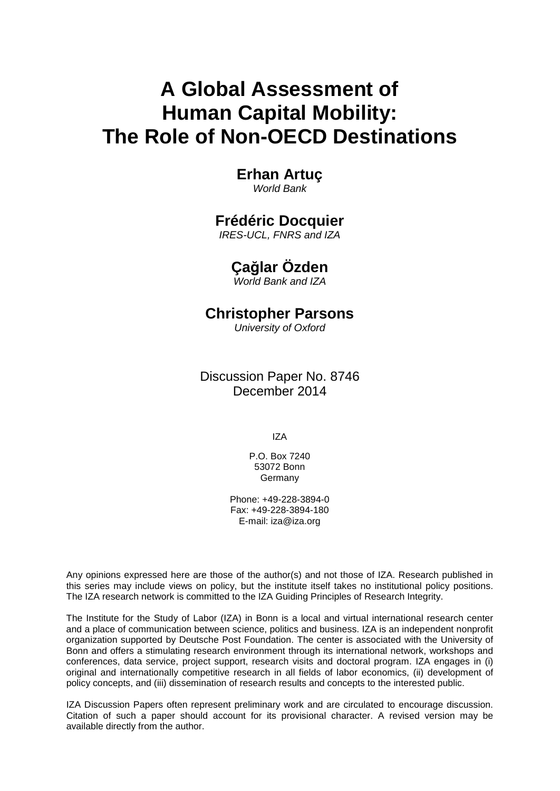# **A Global Assessment of Human Capital Mobility: The Role of Non-OECD Destinations**

### **Erhan Artuç** *World Bank*

## **Frédéric Docquier**

*IRES-UCL, FNRS and IZA*

## **Çağlar Özden**

*World Bank and IZA*

## **Christopher Parsons**

*University of Oxford*

Discussion Paper No. 8746 December 2014

IZA

P.O. Box 7240 53072 Bonn **Germany** 

Phone: +49-228-3894-0 Fax: +49-228-3894-180 E-mail: [iza@iza.org](mailto:iza@iza.org)

Any opinions expressed here are those of the author(s) and not those of IZA. Research published in this series may include views on policy, but the institute itself takes no institutional policy positions. The IZA research network is committed to the IZA Guiding Principles of Research Integrity.

The Institute for the Study of Labor (IZA) in Bonn is a local and virtual international research center and a place of communication between science, politics and business. IZA is an independent nonprofit organization supported by Deutsche Post Foundation. The center is associated with the University of Bonn and offers a stimulating research environment through its international network, workshops and conferences, data service, project support, research visits and doctoral program. IZA engages in (i) original and internationally competitive research in all fields of labor economics, (ii) development of policy concepts, and (iii) dissemination of research results and concepts to the interested public.

<span id="page-1-0"></span>IZA Discussion Papers often represent preliminary work and are circulated to encourage discussion. Citation of such a paper should account for its provisional character. A revised version may be available directly from the author.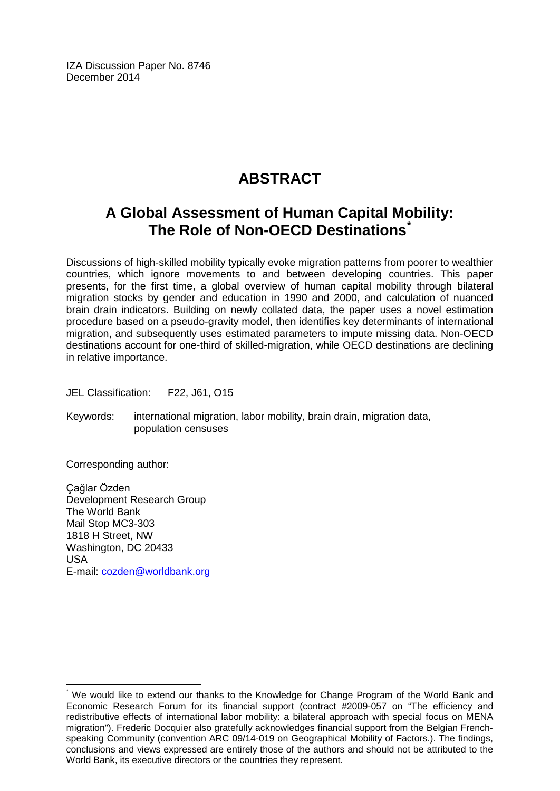IZA Discussion Paper No. 8746 December 2014

## **ABSTRACT**

## **A Global Assessment of Human Capital Mobility: The Role of Non-OECD Destinations[\\*](#page-1-0)**

Discussions of high-skilled mobility typically evoke migration patterns from poorer to wealthier countries, which ignore movements to and between developing countries. This paper presents, for the first time, a global overview of human capital mobility through bilateral migration stocks by gender and education in 1990 and 2000, and calculation of nuanced brain drain indicators. Building on newly collated data, the paper uses a novel estimation procedure based on a pseudo-gravity model, then identifies key determinants of international migration, and subsequently uses estimated parameters to impute missing data. Non-OECD destinations account for one-third of skilled-migration, while OECD destinations are declining in relative importance.

JEL Classification: F22, J61, O15

Keywords: international migration, labor mobility, brain drain, migration data, population censuses

Corresponding author:

Çağlar Özden Development Research Group The World Bank Mail Stop MC3-303 1818 H Street, NW Washington, DC 20433 USA E-mail: [cozden@worldbank.org](mailto:cozden@worldbank.org)

We would like to extend our thanks to the Knowledge for Change Program of the World Bank and Economic Research Forum for its financial support (contract #2009-057 on "The efficiency and redistributive effects of international labor mobility: a bilateral approach with special focus on MENA migration"). Frederic Docquier also gratefully acknowledges financial support from the Belgian Frenchspeaking Community (convention ARC 09/14-019 on Geographical Mobility of Factors.). The findings, conclusions and views expressed are entirely those of the authors and should not be attributed to the World Bank, its executive directors or the countries they represent.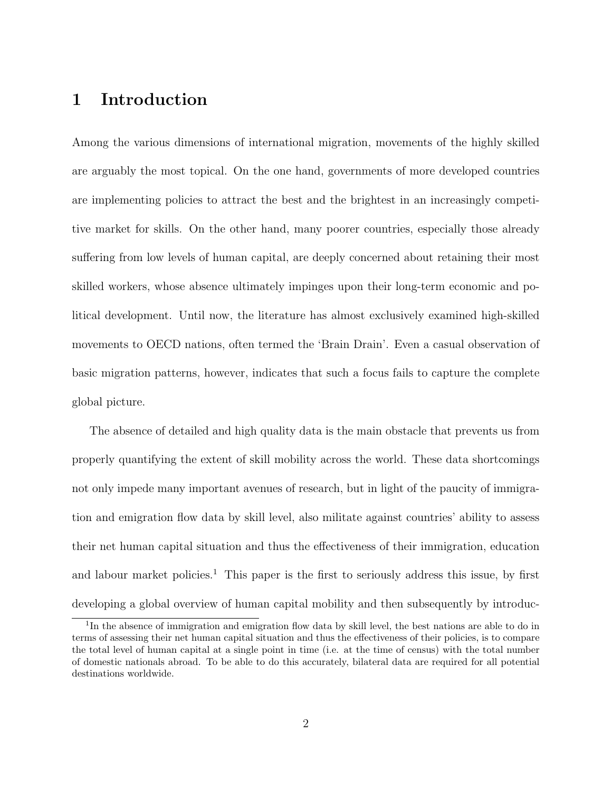## 1 Introduction

Among the various dimensions of international migration, movements of the highly skilled are arguably the most topical. On the one hand, governments of more developed countries are implementing policies to attract the best and the brightest in an increasingly competitive market for skills. On the other hand, many poorer countries, especially those already suffering from low levels of human capital, are deeply concerned about retaining their most skilled workers, whose absence ultimately impinges upon their long-term economic and political development. Until now, the literature has almost exclusively examined high-skilled movements to OECD nations, often termed the 'Brain Drain'. Even a casual observation of basic migration patterns, however, indicates that such a focus fails to capture the complete global picture.

The absence of detailed and high quality data is the main obstacle that prevents us from properly quantifying the extent of skill mobility across the world. These data shortcomings not only impede many important avenues of research, but in light of the paucity of immigration and emigration flow data by skill level, also militate against countries' ability to assess their net human capital situation and thus the effectiveness of their immigration, education and labour market policies.<sup>1</sup> This paper is the first to seriously address this issue, by first developing a global overview of human capital mobility and then subsequently by introduc-

<sup>&</sup>lt;sup>1</sup>In the absence of immigration and emigration flow data by skill level, the best nations are able to do in terms of assessing their net human capital situation and thus the effectiveness of their policies, is to compare the total level of human capital at a single point in time (i.e. at the time of census) with the total number of domestic nationals abroad. To be able to do this accurately, bilateral data are required for all potential destinations worldwide.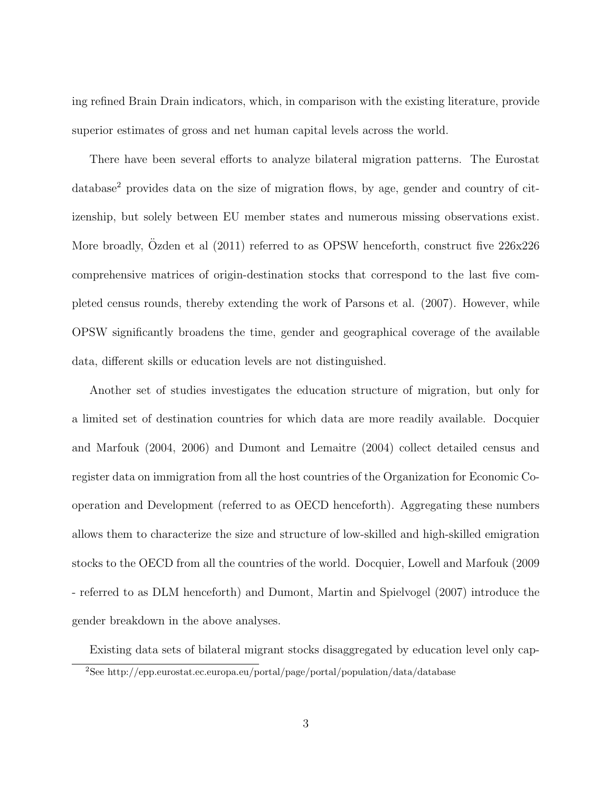ing refined Brain Drain indicators, which, in comparison with the existing literature, provide superior estimates of gross and net human capital levels across the world.

There have been several efforts to analyze bilateral migration patterns. The Eurostat database<sup>2</sup> provides data on the size of migration flows, by age, gender and country of citizenship, but solely between EU member states and numerous missing observations exist. More broadly, Ozden et al (2011) referred to as OPSW henceforth, construct five  $226x226$ comprehensive matrices of origin-destination stocks that correspond to the last five completed census rounds, thereby extending the work of Parsons et al. (2007). However, while OPSW significantly broadens the time, gender and geographical coverage of the available data, different skills or education levels are not distinguished.

Another set of studies investigates the education structure of migration, but only for a limited set of destination countries for which data are more readily available. Docquier and Marfouk (2004, 2006) and Dumont and Lemaitre (2004) collect detailed census and register data on immigration from all the host countries of the Organization for Economic Cooperation and Development (referred to as OECD henceforth). Aggregating these numbers allows them to characterize the size and structure of low-skilled and high-skilled emigration stocks to the OECD from all the countries of the world. Docquier, Lowell and Marfouk (2009 - referred to as DLM henceforth) and Dumont, Martin and Spielvogel (2007) introduce the gender breakdown in the above analyses.

Existing data sets of bilateral migrant stocks disaggregated by education level only cap-<sup>2</sup>See http://epp.eurostat.ec.europa.eu/portal/page/portal/population/data/database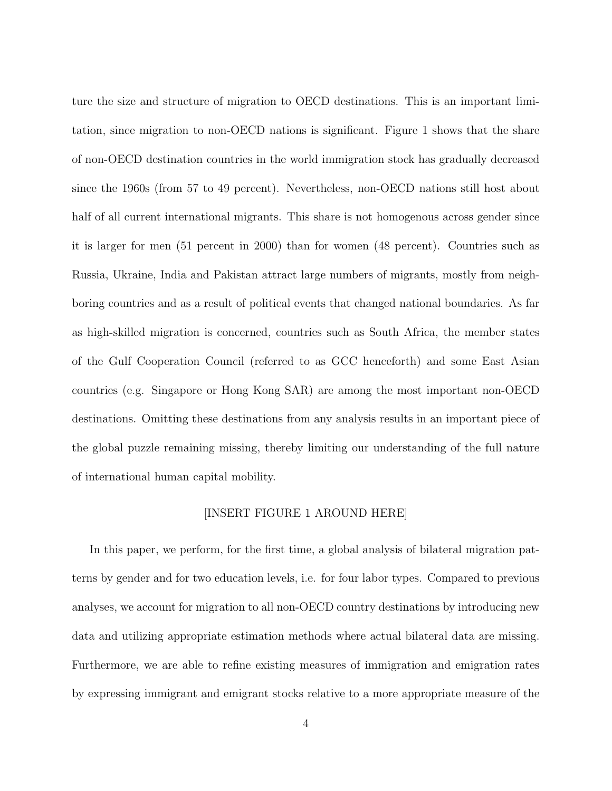ture the size and structure of migration to OECD destinations. This is an important limitation, since migration to non-OECD nations is significant. Figure 1 shows that the share of non-OECD destination countries in the world immigration stock has gradually decreased since the 1960s (from 57 to 49 percent). Nevertheless, non-OECD nations still host about half of all current international migrants. This share is not homogenous across gender since it is larger for men (51 percent in 2000) than for women (48 percent). Countries such as Russia, Ukraine, India and Pakistan attract large numbers of migrants, mostly from neighboring countries and as a result of political events that changed national boundaries. As far as high-skilled migration is concerned, countries such as South Africa, the member states of the Gulf Cooperation Council (referred to as GCC henceforth) and some East Asian countries (e.g. Singapore or Hong Kong SAR) are among the most important non-OECD destinations. Omitting these destinations from any analysis results in an important piece of the global puzzle remaining missing, thereby limiting our understanding of the full nature of international human capital mobility.

#### [INSERT FIGURE 1 AROUND HERE]

In this paper, we perform, for the first time, a global analysis of bilateral migration patterns by gender and for two education levels, i.e. for four labor types. Compared to previous analyses, we account for migration to all non-OECD country destinations by introducing new data and utilizing appropriate estimation methods where actual bilateral data are missing. Furthermore, we are able to refine existing measures of immigration and emigration rates by expressing immigrant and emigrant stocks relative to a more appropriate measure of the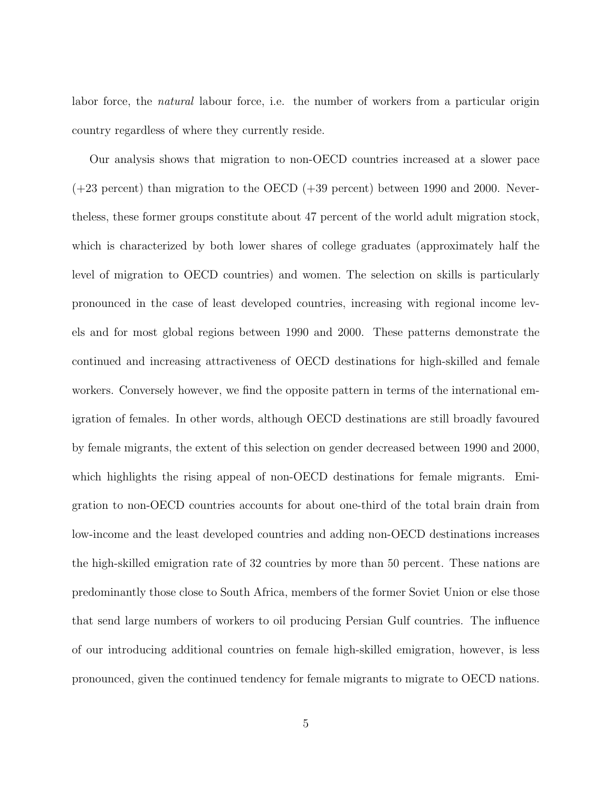labor force, the natural labour force, i.e. the number of workers from a particular origin country regardless of where they currently reside.

Our analysis shows that migration to non-OECD countries increased at a slower pace  $(+23$  percent) than migration to the OECD  $(+39$  percent) between 1990 and 2000. Nevertheless, these former groups constitute about 47 percent of the world adult migration stock, which is characterized by both lower shares of college graduates (approximately half the level of migration to OECD countries) and women. The selection on skills is particularly pronounced in the case of least developed countries, increasing with regional income levels and for most global regions between 1990 and 2000. These patterns demonstrate the continued and increasing attractiveness of OECD destinations for high-skilled and female workers. Conversely however, we find the opposite pattern in terms of the international emigration of females. In other words, although OECD destinations are still broadly favoured by female migrants, the extent of this selection on gender decreased between 1990 and 2000, which highlights the rising appeal of non-OECD destinations for female migrants. Emigration to non-OECD countries accounts for about one-third of the total brain drain from low-income and the least developed countries and adding non-OECD destinations increases the high-skilled emigration rate of 32 countries by more than 50 percent. These nations are predominantly those close to South Africa, members of the former Soviet Union or else those that send large numbers of workers to oil producing Persian Gulf countries. The influence of our introducing additional countries on female high-skilled emigration, however, is less pronounced, given the continued tendency for female migrants to migrate to OECD nations.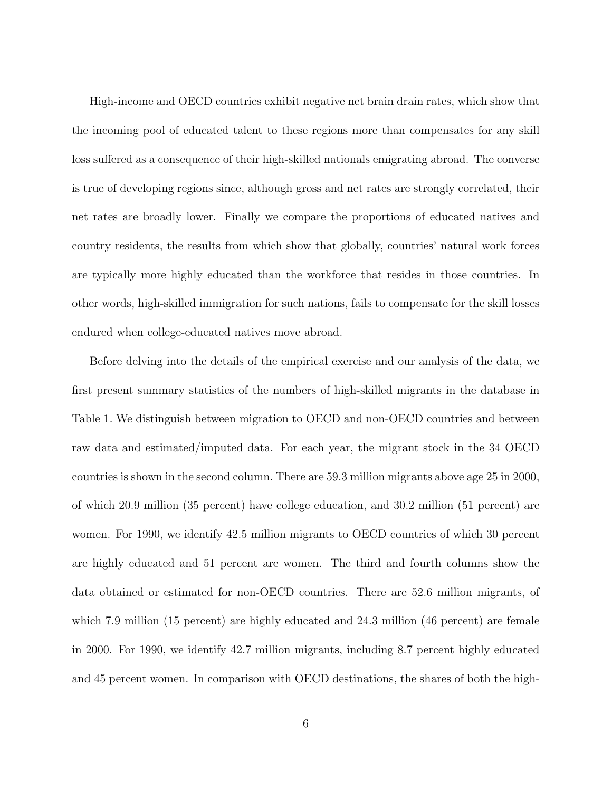High-income and OECD countries exhibit negative net brain drain rates, which show that the incoming pool of educated talent to these regions more than compensates for any skill loss suffered as a consequence of their high-skilled nationals emigrating abroad. The converse is true of developing regions since, although gross and net rates are strongly correlated, their net rates are broadly lower. Finally we compare the proportions of educated natives and country residents, the results from which show that globally, countries' natural work forces are typically more highly educated than the workforce that resides in those countries. In other words, high-skilled immigration for such nations, fails to compensate for the skill losses endured when college-educated natives move abroad.

Before delving into the details of the empirical exercise and our analysis of the data, we first present summary statistics of the numbers of high-skilled migrants in the database in Table 1. We distinguish between migration to OECD and non-OECD countries and between raw data and estimated/imputed data. For each year, the migrant stock in the 34 OECD countries is shown in the second column. There are 59.3 million migrants above age 25 in 2000, of which 20.9 million (35 percent) have college education, and 30.2 million (51 percent) are women. For 1990, we identify 42.5 million migrants to OECD countries of which 30 percent are highly educated and 51 percent are women. The third and fourth columns show the data obtained or estimated for non-OECD countries. There are 52.6 million migrants, of which 7.9 million (15 percent) are highly educated and 24.3 million (46 percent) are female in 2000. For 1990, we identify 42.7 million migrants, including 8.7 percent highly educated and 45 percent women. In comparison with OECD destinations, the shares of both the high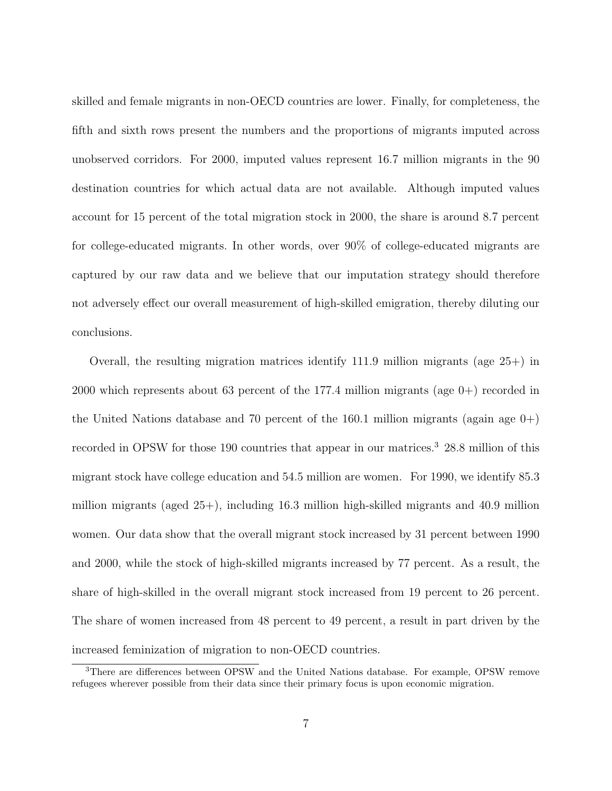skilled and female migrants in non-OECD countries are lower. Finally, for completeness, the fifth and sixth rows present the numbers and the proportions of migrants imputed across unobserved corridors. For 2000, imputed values represent 16.7 million migrants in the 90 destination countries for which actual data are not available. Although imputed values account for 15 percent of the total migration stock in 2000, the share is around 8.7 percent for college-educated migrants. In other words, over 90% of college-educated migrants are captured by our raw data and we believe that our imputation strategy should therefore not adversely effect our overall measurement of high-skilled emigration, thereby diluting our conclusions.

Overall, the resulting migration matrices identify 111.9 million migrants (age 25+) in 2000 which represents about 63 percent of the 177.4 million migrants (age 0+) recorded in the United Nations database and 70 percent of the 160.1 million migrants (again age  $0+$ ) recorded in OPSW for those 190 countries that appear in our matrices.<sup>3</sup> 28.8 million of this migrant stock have college education and 54.5 million are women. For 1990, we identify 85.3 million migrants (aged 25+), including 16.3 million high-skilled migrants and 40.9 million women. Our data show that the overall migrant stock increased by 31 percent between 1990 and 2000, while the stock of high-skilled migrants increased by 77 percent. As a result, the share of high-skilled in the overall migrant stock increased from 19 percent to 26 percent. The share of women increased from 48 percent to 49 percent, a result in part driven by the increased feminization of migration to non-OECD countries.

<sup>&</sup>lt;sup>3</sup>There are differences between OPSW and the United Nations database. For example, OPSW remove refugees wherever possible from their data since their primary focus is upon economic migration.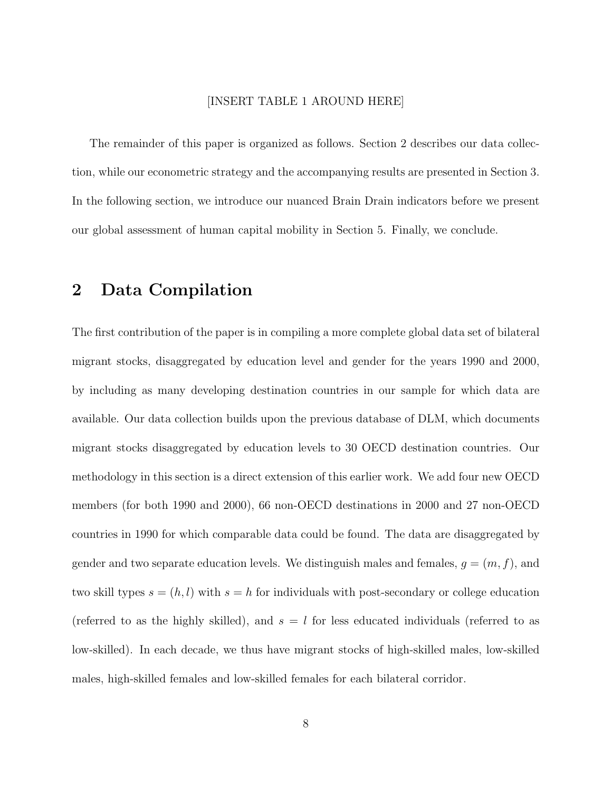#### [INSERT TABLE 1 AROUND HERE]

The remainder of this paper is organized as follows. Section 2 describes our data collection, while our econometric strategy and the accompanying results are presented in Section 3. In the following section, we introduce our nuanced Brain Drain indicators before we present our global assessment of human capital mobility in Section 5. Finally, we conclude.

## 2 Data Compilation

The first contribution of the paper is in compiling a more complete global data set of bilateral migrant stocks, disaggregated by education level and gender for the years 1990 and 2000, by including as many developing destination countries in our sample for which data are available. Our data collection builds upon the previous database of DLM, which documents migrant stocks disaggregated by education levels to 30 OECD destination countries. Our methodology in this section is a direct extension of this earlier work. We add four new OECD members (for both 1990 and 2000), 66 non-OECD destinations in 2000 and 27 non-OECD countries in 1990 for which comparable data could be found. The data are disaggregated by gender and two separate education levels. We distinguish males and females,  $g = (m, f)$ , and two skill types  $s = (h, l)$  with  $s = h$  for individuals with post-secondary or college education (referred to as the highly skilled), and  $s = l$  for less educated individuals (referred to as low-skilled). In each decade, we thus have migrant stocks of high-skilled males, low-skilled males, high-skilled females and low-skilled females for each bilateral corridor.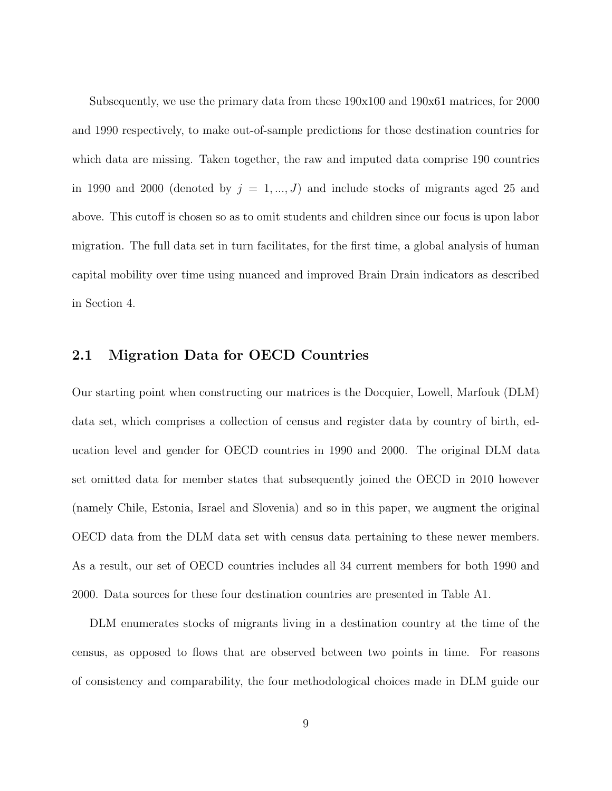Subsequently, we use the primary data from these 190x100 and 190x61 matrices, for 2000 and 1990 respectively, to make out-of-sample predictions for those destination countries for which data are missing. Taken together, the raw and imputed data comprise 190 countries in 1990 and 2000 (denoted by  $j = 1, ..., J$ ) and include stocks of migrants aged 25 and above. This cutoff is chosen so as to omit students and children since our focus is upon labor migration. The full data set in turn facilitates, for the first time, a global analysis of human capital mobility over time using nuanced and improved Brain Drain indicators as described in Section 4.

### 2.1 Migration Data for OECD Countries

Our starting point when constructing our matrices is the Docquier, Lowell, Marfouk (DLM) data set, which comprises a collection of census and register data by country of birth, education level and gender for OECD countries in 1990 and 2000. The original DLM data set omitted data for member states that subsequently joined the OECD in 2010 however (namely Chile, Estonia, Israel and Slovenia) and so in this paper, we augment the original OECD data from the DLM data set with census data pertaining to these newer members. As a result, our set of OECD countries includes all 34 current members for both 1990 and 2000. Data sources for these four destination countries are presented in Table A1.

DLM enumerates stocks of migrants living in a destination country at the time of the census, as opposed to flows that are observed between two points in time. For reasons of consistency and comparability, the four methodological choices made in DLM guide our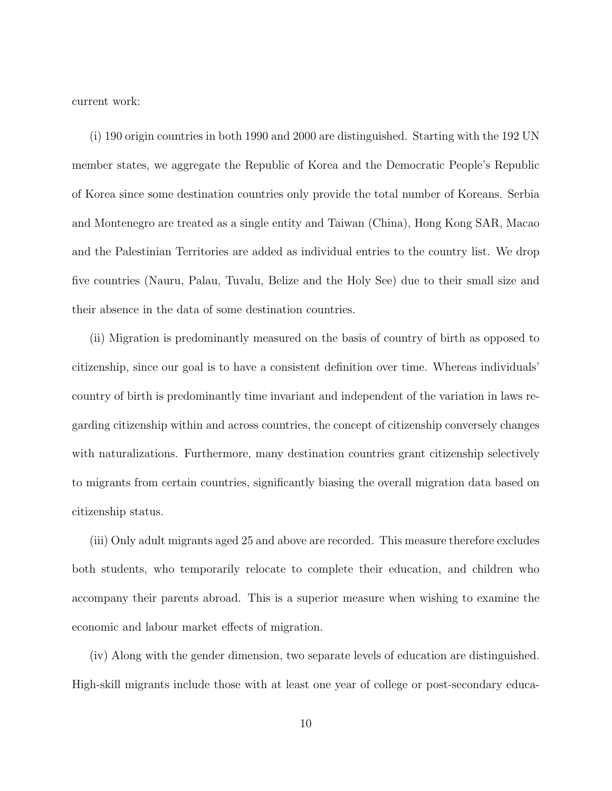current work:

(i) 190 origin countries in both 1990 and 2000 are distinguished. Starting with the 192 UN member states, we aggregate the Republic of Korea and the Democratic People's Republic of Korea since some destination countries only provide the total number of Koreans. Serbia and Montenegro are treated as a single entity and Taiwan (China), Hong Kong SAR, Macao and the Palestinian Territories are added as individual entries to the country list. We drop five countries (Nauru, Palau, Tuvalu, Belize and the Holy See) due to their small size and their absence in the data of some destination countries.

(ii) Migration is predominantly measured on the basis of country of birth as opposed to citizenship, since our goal is to have a consistent definition over time. Whereas individuals' country of birth is predominantly time invariant and independent of the variation in laws regarding citizenship within and across countries, the concept of citizenship conversely changes with naturalizations. Furthermore, many destination countries grant citizenship selectively to migrants from certain countries, significantly biasing the overall migration data based on citizenship status.

(iii) Only adult migrants aged 25 and above are recorded. This measure therefore excludes both students, who temporarily relocate to complete their education, and children who accompany their parents abroad. This is a superior measure when wishing to examine the economic and labour market effects of migration.

(iv) Along with the gender dimension, two separate levels of education are distinguished. High-skill migrants include those with at least one year of college or post-secondary educa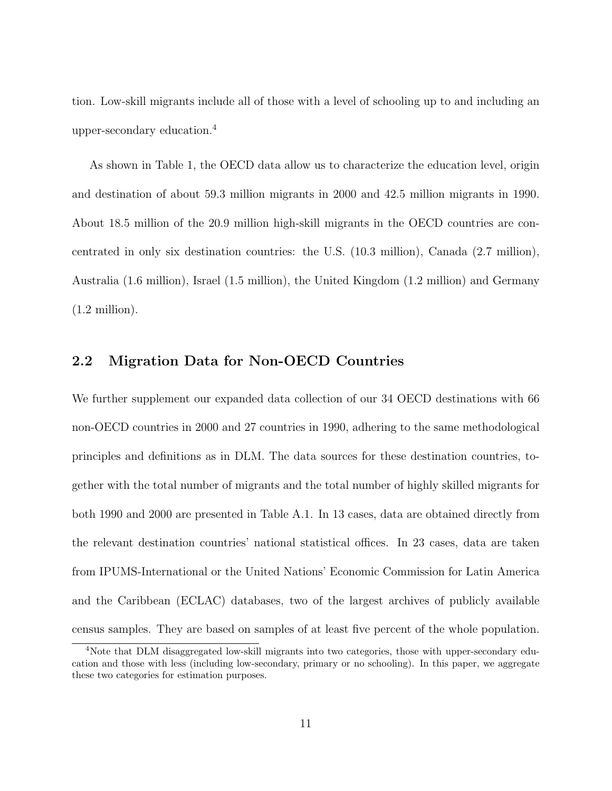tion. Low-skill migrants include all of those with a level of schooling up to and including an upper-secondary education.<sup>4</sup>

As shown in Table 1, the OECD data allow us to characterize the education level, origin and destination of about 59.3 million migrants in 2000 and 42.5 million migrants in 1990. About 18.5 million of the 20.9 million high-skill migrants in the OECD countries are concentrated in only six destination countries: the U.S. (10.3 million), Canada (2.7 million), Australia (1.6 million), Israel (1.5 million), the United Kingdom (1.2 million) and Germany  $(1.2 \text{ million}).$ 

### 2.2 Migration Data for Non-OECD Countries

We further supplement our expanded data collection of our 34 OECD destinations with 66 non-OECD countries in 2000 and 27 countries in 1990, adhering to the same methodological principles and definitions as in DLM. The data sources for these destination countries, together with the total number of migrants and the total number of highly skilled migrants for both 1990 and 2000 are presented in Table A.1. In 13 cases, data are obtained directly from the relevant destination countries' national statistical offices. In 23 cases, data are taken from IPUMS-International or the United Nations' Economic Commission for Latin America and the Caribbean (ECLAC) databases, two of the largest archives of publicly available census samples. They are based on samples of at least five percent of the whole population.

<sup>4</sup>Note that DLM disaggregated low-skill migrants into two categories, those with upper-secondary education and those with less (including low-secondary, primary or no schooling). In this paper, we aggregate these two categories for estimation purposes.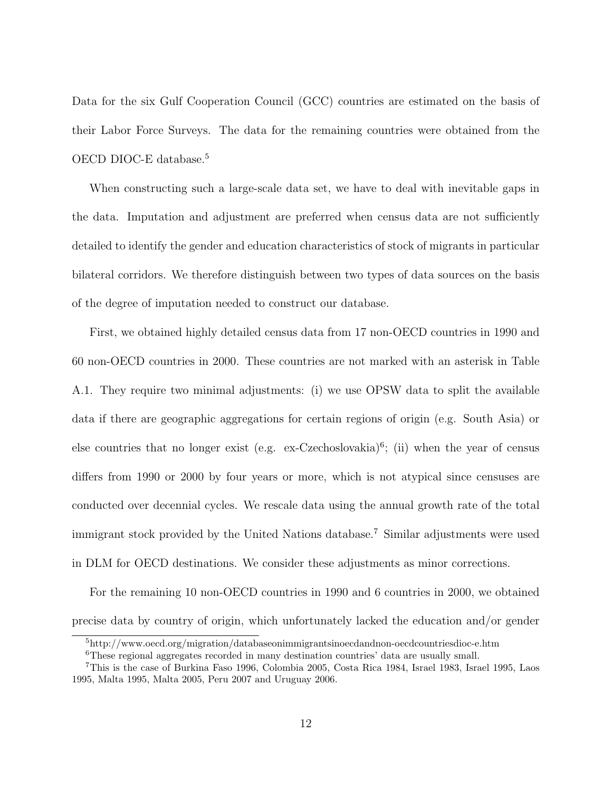Data for the six Gulf Cooperation Council (GCC) countries are estimated on the basis of their Labor Force Surveys. The data for the remaining countries were obtained from the OECD DIOC-E database.<sup>5</sup>

When constructing such a large-scale data set, we have to deal with inevitable gaps in the data. Imputation and adjustment are preferred when census data are not sufficiently detailed to identify the gender and education characteristics of stock of migrants in particular bilateral corridors. We therefore distinguish between two types of data sources on the basis of the degree of imputation needed to construct our database.

First, we obtained highly detailed census data from 17 non-OECD countries in 1990 and 60 non-OECD countries in 2000. These countries are not marked with an asterisk in Table A.1. They require two minimal adjustments: (i) we use OPSW data to split the available data if there are geographic aggregations for certain regions of origin (e.g. South Asia) or else countries that no longer exist (e.g. ex-Czechoslovakia)<sup>6</sup>; (ii) when the year of census differs from 1990 or 2000 by four years or more, which is not atypical since censuses are conducted over decennial cycles. We rescale data using the annual growth rate of the total immigrant stock provided by the United Nations database.<sup>7</sup> Similar adjustments were used in DLM for OECD destinations. We consider these adjustments as minor corrections.

For the remaining 10 non-OECD countries in 1990 and 6 countries in 2000, we obtained precise data by country of origin, which unfortunately lacked the education and/or gender

<sup>5</sup>http://www.oecd.org/migration/databaseonimmigrantsinoecdandnon-oecdcountriesdioc-e.htm

<sup>&</sup>lt;sup>6</sup>These regional aggregates recorded in many destination countries' data are usually small.

<sup>7</sup>This is the case of Burkina Faso 1996, Colombia 2005, Costa Rica 1984, Israel 1983, Israel 1995, Laos 1995, Malta 1995, Malta 2005, Peru 2007 and Uruguay 2006.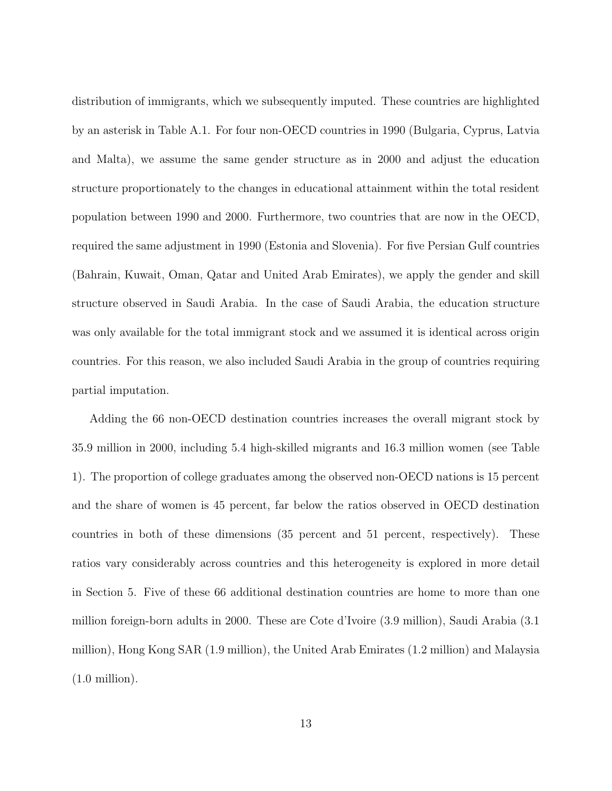distribution of immigrants, which we subsequently imputed. These countries are highlighted by an asterisk in Table A.1. For four non-OECD countries in 1990 (Bulgaria, Cyprus, Latvia and Malta), we assume the same gender structure as in 2000 and adjust the education structure proportionately to the changes in educational attainment within the total resident population between 1990 and 2000. Furthermore, two countries that are now in the OECD, required the same adjustment in 1990 (Estonia and Slovenia). For five Persian Gulf countries (Bahrain, Kuwait, Oman, Qatar and United Arab Emirates), we apply the gender and skill structure observed in Saudi Arabia. In the case of Saudi Arabia, the education structure was only available for the total immigrant stock and we assumed it is identical across origin countries. For this reason, we also included Saudi Arabia in the group of countries requiring partial imputation.

Adding the 66 non-OECD destination countries increases the overall migrant stock by 35.9 million in 2000, including 5.4 high-skilled migrants and 16.3 million women (see Table 1). The proportion of college graduates among the observed non-OECD nations is 15 percent and the share of women is 45 percent, far below the ratios observed in OECD destination countries in both of these dimensions (35 percent and 51 percent, respectively). These ratios vary considerably across countries and this heterogeneity is explored in more detail in Section 5. Five of these 66 additional destination countries are home to more than one million foreign-born adults in 2000. These are Cote d'Ivoire (3.9 million), Saudi Arabia (3.1 million), Hong Kong SAR (1.9 million), the United Arab Emirates (1.2 million) and Malaysia (1.0 million).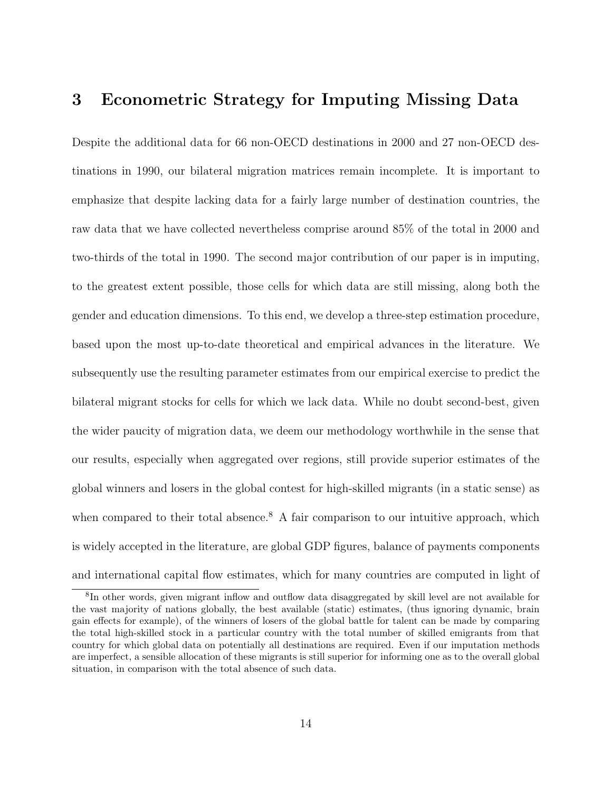## 3 Econometric Strategy for Imputing Missing Data

Despite the additional data for 66 non-OECD destinations in 2000 and 27 non-OECD destinations in 1990, our bilateral migration matrices remain incomplete. It is important to emphasize that despite lacking data for a fairly large number of destination countries, the raw data that we have collected nevertheless comprise around 85% of the total in 2000 and two-thirds of the total in 1990. The second major contribution of our paper is in imputing, to the greatest extent possible, those cells for which data are still missing, along both the gender and education dimensions. To this end, we develop a three-step estimation procedure, based upon the most up-to-date theoretical and empirical advances in the literature. We subsequently use the resulting parameter estimates from our empirical exercise to predict the bilateral migrant stocks for cells for which we lack data. While no doubt second-best, given the wider paucity of migration data, we deem our methodology worthwhile in the sense that our results, especially when aggregated over regions, still provide superior estimates of the global winners and losers in the global contest for high-skilled migrants (in a static sense) as when compared to their total absence.<sup>8</sup> A fair comparison to our intuitive approach, which is widely accepted in the literature, are global GDP figures, balance of payments components and international capital flow estimates, which for many countries are computed in light of

<sup>&</sup>lt;sup>8</sup>In other words, given migrant inflow and outflow data disaggregated by skill level are not available for the vast majority of nations globally, the best available (static) estimates, (thus ignoring dynamic, brain gain effects for example), of the winners of losers of the global battle for talent can be made by comparing the total high-skilled stock in a particular country with the total number of skilled emigrants from that country for which global data on potentially all destinations are required. Even if our imputation methods are imperfect, a sensible allocation of these migrants is still superior for informing one as to the overall global situation, in comparison with the total absence of such data.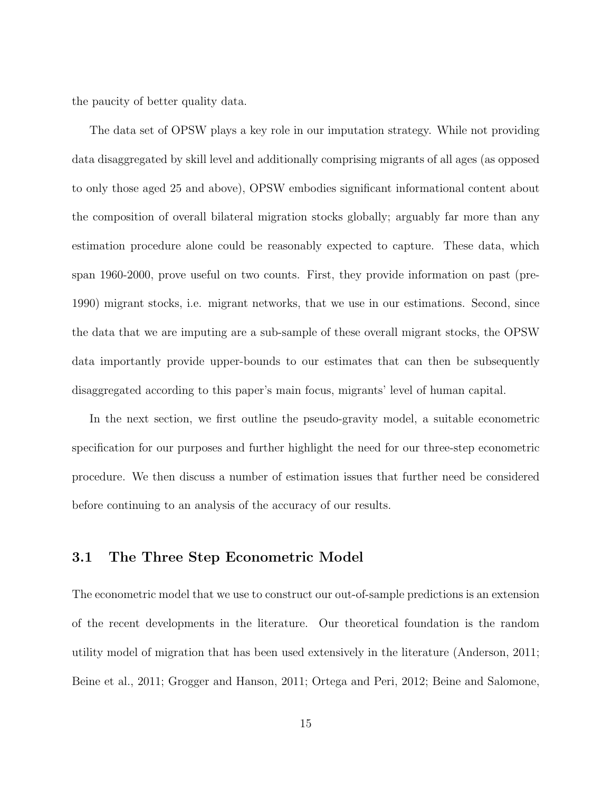the paucity of better quality data.

The data set of OPSW plays a key role in our imputation strategy. While not providing data disaggregated by skill level and additionally comprising migrants of all ages (as opposed to only those aged 25 and above), OPSW embodies significant informational content about the composition of overall bilateral migration stocks globally; arguably far more than any estimation procedure alone could be reasonably expected to capture. These data, which span 1960-2000, prove useful on two counts. First, they provide information on past (pre-1990) migrant stocks, i.e. migrant networks, that we use in our estimations. Second, since the data that we are imputing are a sub-sample of these overall migrant stocks, the OPSW data importantly provide upper-bounds to our estimates that can then be subsequently disaggregated according to this paper's main focus, migrants' level of human capital.

In the next section, we first outline the pseudo-gravity model, a suitable econometric specification for our purposes and further highlight the need for our three-step econometric procedure. We then discuss a number of estimation issues that further need be considered before continuing to an analysis of the accuracy of our results.

### 3.1 The Three Step Econometric Model

The econometric model that we use to construct our out-of-sample predictions is an extension of the recent developments in the literature. Our theoretical foundation is the random utility model of migration that has been used extensively in the literature (Anderson, 2011; Beine et al., 2011; Grogger and Hanson, 2011; Ortega and Peri, 2012; Beine and Salomone,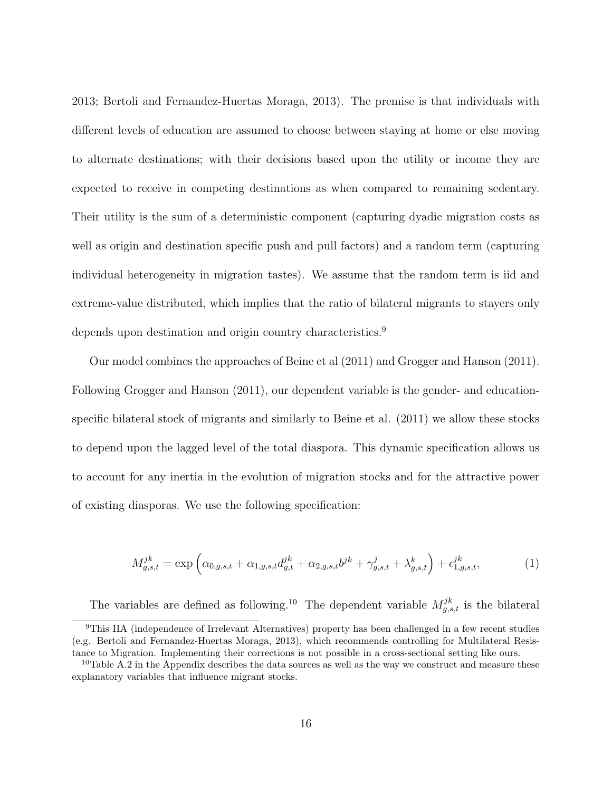2013; Bertoli and Fernandez-Huertas Moraga, 2013). The premise is that individuals with different levels of education are assumed to choose between staying at home or else moving to alternate destinations; with their decisions based upon the utility or income they are expected to receive in competing destinations as when compared to remaining sedentary. Their utility is the sum of a deterministic component (capturing dyadic migration costs as well as origin and destination specific push and pull factors) and a random term (capturing individual heterogeneity in migration tastes). We assume that the random term is iid and extreme-value distributed, which implies that the ratio of bilateral migrants to stayers only depends upon destination and origin country characteristics.<sup>9</sup>

Our model combines the approaches of Beine et al (2011) and Grogger and Hanson (2011). Following Grogger and Hanson (2011), our dependent variable is the gender- and educationspecific bilateral stock of migrants and similarly to Beine et al. (2011) we allow these stocks to depend upon the lagged level of the total diaspora. This dynamic specification allows us to account for any inertia in the evolution of migration stocks and for the attractive power of existing diasporas. We use the following specification:

$$
M_{g,s,t}^{jk} = \exp\left(\alpha_{0,g,s,t} + \alpha_{1,g,s,t}d_{g,t}^{jk} + \alpha_{2,g,s,t}b^{jk} + \gamma_{g,s,t}^j + \lambda_{g,s,t}^k\right) + \epsilon_{1,g,s,t}^{jk},\tag{1}
$$

The variables are defined as following.<sup>10</sup> The dependent variable  $M_{g,s,t}^{jk}$  is the bilateral

<sup>9</sup>This IIA (independence of Irrelevant Alternatives) property has been challenged in a few recent studies (e.g. Bertoli and Fernandez-Huertas Moraga, 2013), which recommends controlling for Multilateral Resistance to Migration. Implementing their corrections is not possible in a cross-sectional setting like ours.

<sup>&</sup>lt;sup>10</sup>Table A.2 in the Appendix describes the data sources as well as the way we construct and measure these explanatory variables that influence migrant stocks.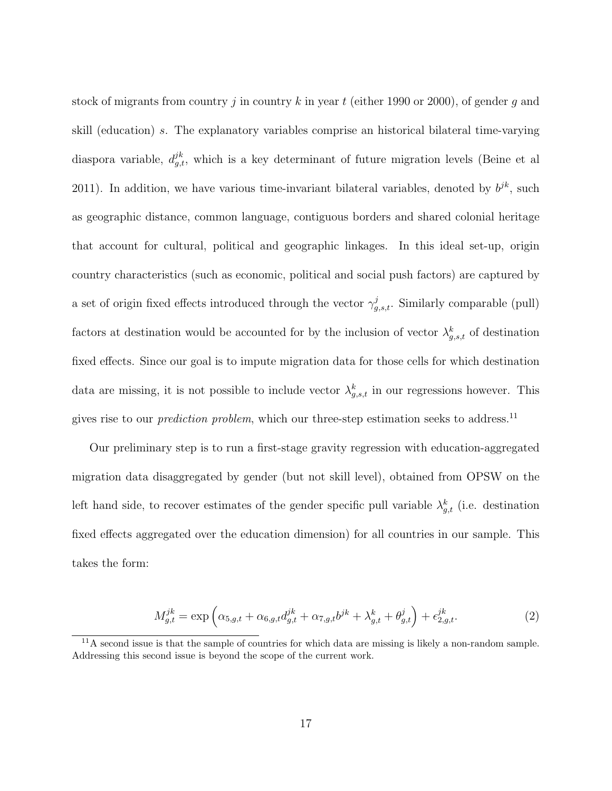stock of migrants from country j in country k in year t (either 1990 or 2000), of gender q and skill (education) s. The explanatory variables comprise an historical bilateral time-varying diaspora variable,  $d_{g,t}^{jk}$ , which is a key determinant of future migration levels (Beine et al 2011). In addition, we have various time-invariant bilateral variables, denoted by  $b^{jk}$ , such as geographic distance, common language, contiguous borders and shared colonial heritage that account for cultural, political and geographic linkages. In this ideal set-up, origin country characteristics (such as economic, political and social push factors) are captured by a set of origin fixed effects introduced through the vector  $\gamma_{g,s,t}^j$ . Similarly comparable (pull) factors at destination would be accounted for by the inclusion of vector  $\lambda_{g,s,t}^k$  of destination fixed effects. Since our goal is to impute migration data for those cells for which destination data are missing, it is not possible to include vector  $\lambda_{g,s,t}^k$  in our regressions however. This gives rise to our *prediction problem*, which our three-step estimation seeks to address.<sup>11</sup>

Our preliminary step is to run a first-stage gravity regression with education-aggregated migration data disaggregated by gender (but not skill level), obtained from OPSW on the left hand side, to recover estimates of the gender specific pull variable  $\lambda_{g,t}^k$  (i.e. destination fixed effects aggregated over the education dimension) for all countries in our sample. This takes the form:

$$
M_{g,t}^{jk} = \exp\left(\alpha_{5,g,t} + \alpha_{6,g,t}d_{g,t}^{jk} + \alpha_{7,g,t}b^{jk} + \lambda_{g,t}^k + \theta_{g,t}^j\right) + \epsilon_{2,g,t}^{jk}.
$$
 (2)

 $11A$  second issue is that the sample of countries for which data are missing is likely a non-random sample. Addressing this second issue is beyond the scope of the current work.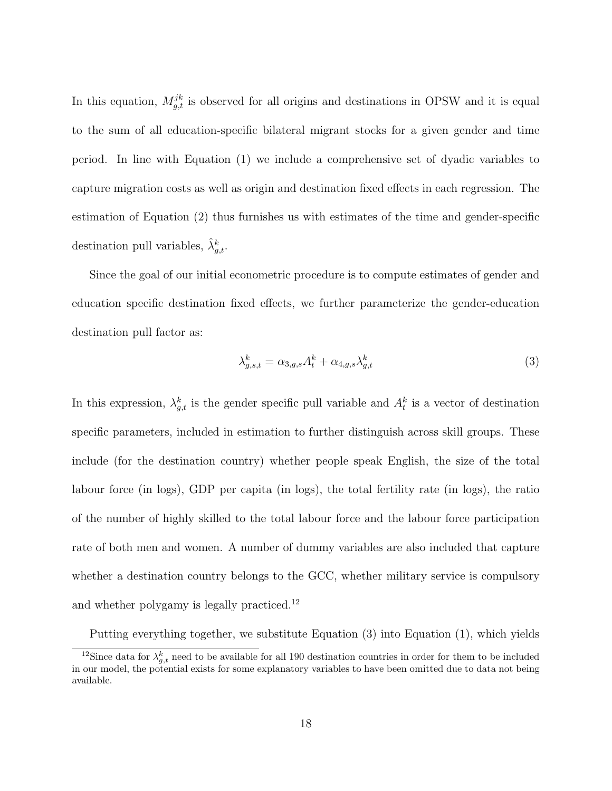In this equation,  $M_{g,t}^{jk}$  is observed for all origins and destinations in OPSW and it is equal to the sum of all education-specific bilateral migrant stocks for a given gender and time period. In line with Equation (1) we include a comprehensive set of dyadic variables to capture migration costs as well as origin and destination fixed effects in each regression. The estimation of Equation (2) thus furnishes us with estimates of the time and gender-specific destination pull variables,  $\hat{\lambda}_{g,t}^k$ .

Since the goal of our initial econometric procedure is to compute estimates of gender and education specific destination fixed effects, we further parameterize the gender-education destination pull factor as:

$$
\lambda_{g,s,t}^k = \alpha_{3,g,s} A_t^k + \alpha_{4,g,s} \lambda_{g,t}^k \tag{3}
$$

In this expression,  $\lambda_{g,t}^k$  is the gender specific pull variable and  $A_t^k$  is a vector of destination specific parameters, included in estimation to further distinguish across skill groups. These include (for the destination country) whether people speak English, the size of the total labour force (in logs), GDP per capita (in logs), the total fertility rate (in logs), the ratio of the number of highly skilled to the total labour force and the labour force participation rate of both men and women. A number of dummy variables are also included that capture whether a destination country belongs to the GCC, whether military service is compulsory and whether polygamy is legally practiced.<sup>12</sup>

Putting everything together, we substitute Equation (3) into Equation (1), which yields

<sup>&</sup>lt;sup>12</sup>Since data for  $\lambda_{g,t}^k$  need to be available for all 190 destination countries in order for them to be included in our model, the potential exists for some explanatory variables to have been omitted due to data not being available.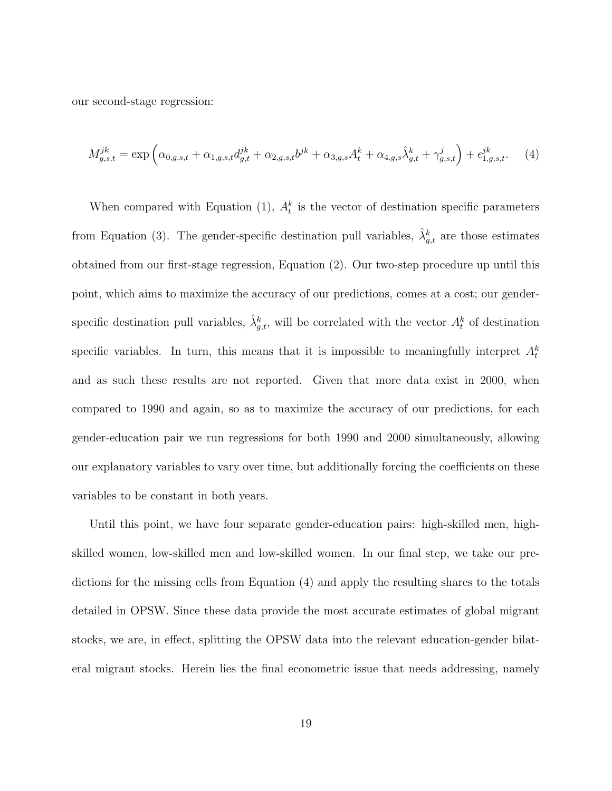our second-stage regression:

$$
M_{g,s,t}^{jk} = \exp\left(\alpha_{0,g,s,t} + \alpha_{1,g,s,t}d_{g,t}^{jk} + \alpha_{2,g,s,t}b^{jk} + \alpha_{3,g,s}A_t^k + \alpha_{4,g,s}\hat{\lambda}_{g,t}^k + \gamma_{g,s,t}^j\right) + \epsilon_{1,g,s,t}^{jk}.
$$
 (4)

When compared with Equation (1),  $A_t^k$  is the vector of destination specific parameters from Equation (3). The gender-specific destination pull variables,  $\hat{\lambda}_{g,t}^{k}$  are those estimates obtained from our first-stage regression, Equation (2). Our two-step procedure up until this point, which aims to maximize the accuracy of our predictions, comes at a cost; our genderspecific destination pull variables,  $\hat{\lambda}_{g,t}^k$ , will be correlated with the vector  $A_t^k$  of destination specific variables. In turn, this means that it is impossible to meaningfully interpret  $A_t^k$ and as such these results are not reported. Given that more data exist in 2000, when compared to 1990 and again, so as to maximize the accuracy of our predictions, for each gender-education pair we run regressions for both 1990 and 2000 simultaneously, allowing our explanatory variables to vary over time, but additionally forcing the coefficients on these variables to be constant in both years.

Until this point, we have four separate gender-education pairs: high-skilled men, highskilled women, low-skilled men and low-skilled women. In our final step, we take our predictions for the missing cells from Equation (4) and apply the resulting shares to the totals detailed in OPSW. Since these data provide the most accurate estimates of global migrant stocks, we are, in effect, splitting the OPSW data into the relevant education-gender bilateral migrant stocks. Herein lies the final econometric issue that needs addressing, namely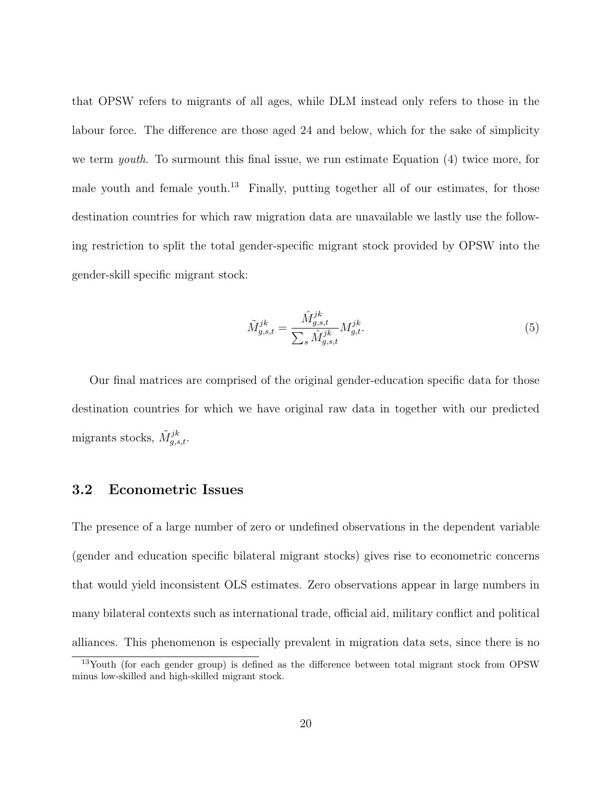that OPSW refers to migrants of all ages, while DLM instead only refers to those in the labour force. The difference are those aged 24 and below, which for the sake of simplicity we term youth. To surmount this final issue, we run estimate Equation (4) twice more, for male youth and female youth.<sup>13</sup> Finally, putting together all of our estimates, for those destination countries for which raw migration data are unavailable we lastly use the following restriction to split the total gender-specific migrant stock provided by OPSW into the gender-skill specific migrant stock:

$$
\tilde{M}_{g,s,t}^{jk} = \frac{\hat{M}_{g,s,t}^{jk}}{\sum_{s} \hat{M}_{g,s,t}^{jk}} M_{g,t}^{jk}.
$$
\n(5)

Our final matrices are comprised of the original gender-education specific data for those destination countries for which we have original raw data in together with our predicted migrants stocks,  $\tilde{M}_{g,s,t}^{jk}$ .

### 3.2 Econometric Issues

The presence of a large number of zero or undefined observations in the dependent variable (gender and education specific bilateral migrant stocks) gives rise to econometric concerns that would yield inconsistent OLS estimates. Zero observations appear in large numbers in many bilateral contexts such as international trade, official aid, military conflict and political alliances. This phenomenon is especially prevalent in migration data sets, since there is no

<sup>&</sup>lt;sup>13</sup>Youth (for each gender group) is defined as the difference between total migrant stock from OPSW minus low-skilled and high-skilled migrant stock.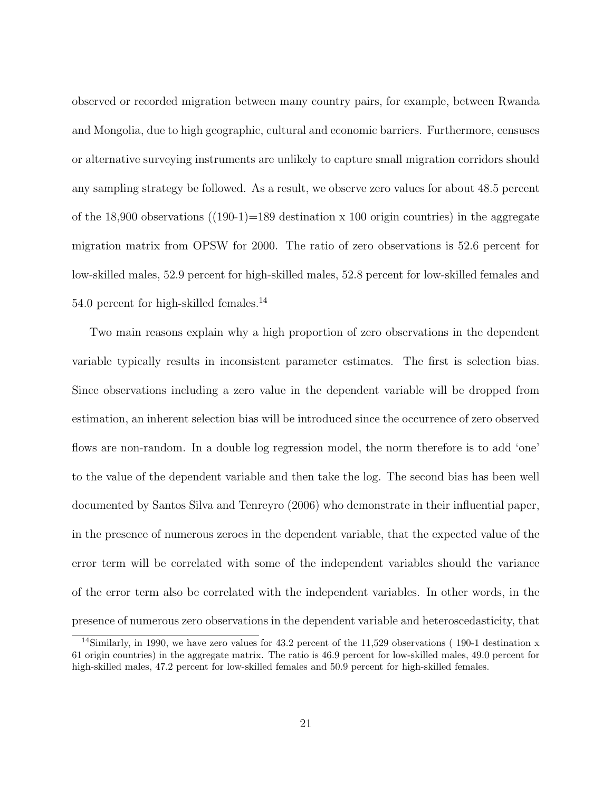observed or recorded migration between many country pairs, for example, between Rwanda and Mongolia, due to high geographic, cultural and economic barriers. Furthermore, censuses or alternative surveying instruments are unlikely to capture small migration corridors should any sampling strategy be followed. As a result, we observe zero values for about 48.5 percent of the 18,900 observations  $((190-1)=189$  destination x 100 origin countries) in the aggregate migration matrix from OPSW for 2000. The ratio of zero observations is 52.6 percent for low-skilled males, 52.9 percent for high-skilled males, 52.8 percent for low-skilled females and 54.0 percent for high-skilled females.<sup>14</sup>

Two main reasons explain why a high proportion of zero observations in the dependent variable typically results in inconsistent parameter estimates. The first is selection bias. Since observations including a zero value in the dependent variable will be dropped from estimation, an inherent selection bias will be introduced since the occurrence of zero observed flows are non-random. In a double log regression model, the norm therefore is to add 'one' to the value of the dependent variable and then take the log. The second bias has been well documented by Santos Silva and Tenreyro (2006) who demonstrate in their influential paper, in the presence of numerous zeroes in the dependent variable, that the expected value of the error term will be correlated with some of the independent variables should the variance of the error term also be correlated with the independent variables. In other words, in the presence of numerous zero observations in the dependent variable and heteroscedasticity, that

<sup>&</sup>lt;sup>14</sup>Similarly, in 1990, we have zero values for 43.2 percent of the 11,529 observations (190-1 destination x 61 origin countries) in the aggregate matrix. The ratio is 46.9 percent for low-skilled males, 49.0 percent for high-skilled males, 47.2 percent for low-skilled females and 50.9 percent for high-skilled females.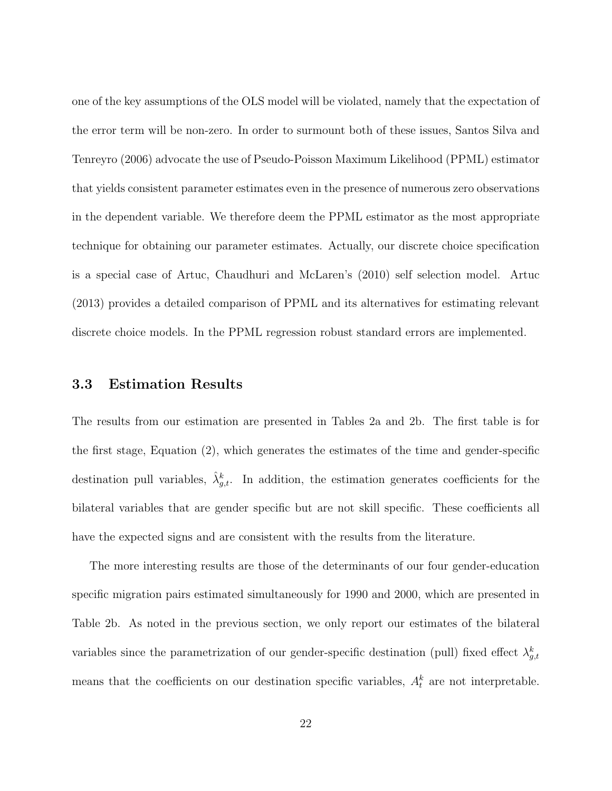one of the key assumptions of the OLS model will be violated, namely that the expectation of the error term will be non-zero. In order to surmount both of these issues, Santos Silva and Tenreyro (2006) advocate the use of Pseudo-Poisson Maximum Likelihood (PPML) estimator that yields consistent parameter estimates even in the presence of numerous zero observations in the dependent variable. We therefore deem the PPML estimator as the most appropriate technique for obtaining our parameter estimates. Actually, our discrete choice specification is a special case of Artuc, Chaudhuri and McLaren's (2010) self selection model. Artuc (2013) provides a detailed comparison of PPML and its alternatives for estimating relevant discrete choice models. In the PPML regression robust standard errors are implemented.

### 3.3 Estimation Results

The results from our estimation are presented in Tables 2a and 2b. The first table is for the first stage, Equation (2), which generates the estimates of the time and gender-specific destination pull variables,  $\hat{\lambda}_{g,t}^k$ . In addition, the estimation generates coefficients for the bilateral variables that are gender specific but are not skill specific. These coefficients all have the expected signs and are consistent with the results from the literature.

The more interesting results are those of the determinants of our four gender-education specific migration pairs estimated simultaneously for 1990 and 2000, which are presented in Table 2b. As noted in the previous section, we only report our estimates of the bilateral variables since the parametrization of our gender-specific destination (pull) fixed effect  $\lambda_{g,t}^k$ means that the coefficients on our destination specific variables,  $A_t^k$  are not interpretable.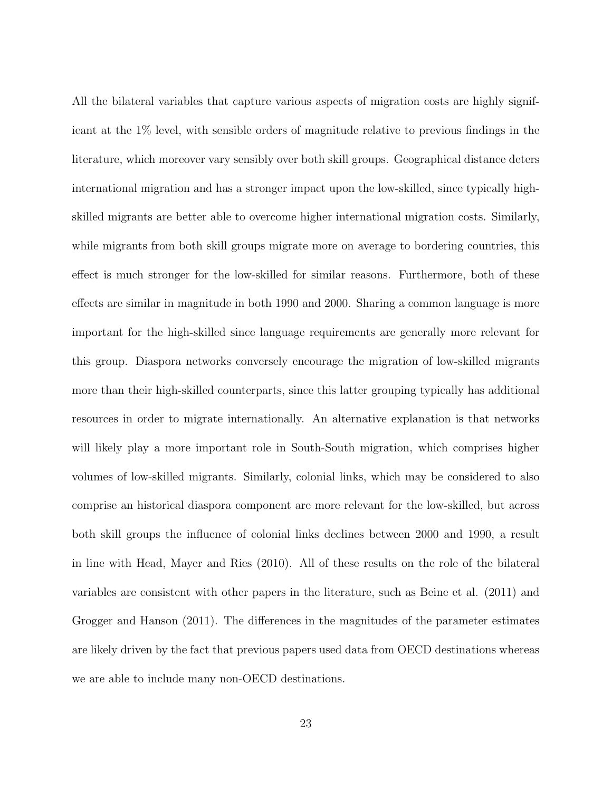All the bilateral variables that capture various aspects of migration costs are highly significant at the 1% level, with sensible orders of magnitude relative to previous findings in the literature, which moreover vary sensibly over both skill groups. Geographical distance deters international migration and has a stronger impact upon the low-skilled, since typically highskilled migrants are better able to overcome higher international migration costs. Similarly, while migrants from both skill groups migrate more on average to bordering countries, this effect is much stronger for the low-skilled for similar reasons. Furthermore, both of these effects are similar in magnitude in both 1990 and 2000. Sharing a common language is more important for the high-skilled since language requirements are generally more relevant for this group. Diaspora networks conversely encourage the migration of low-skilled migrants more than their high-skilled counterparts, since this latter grouping typically has additional resources in order to migrate internationally. An alternative explanation is that networks will likely play a more important role in South-South migration, which comprises higher volumes of low-skilled migrants. Similarly, colonial links, which may be considered to also comprise an historical diaspora component are more relevant for the low-skilled, but across both skill groups the influence of colonial links declines between 2000 and 1990, a result in line with Head, Mayer and Ries (2010). All of these results on the role of the bilateral variables are consistent with other papers in the literature, such as Beine et al. (2011) and Grogger and Hanson (2011). The differences in the magnitudes of the parameter estimates are likely driven by the fact that previous papers used data from OECD destinations whereas we are able to include many non-OECD destinations.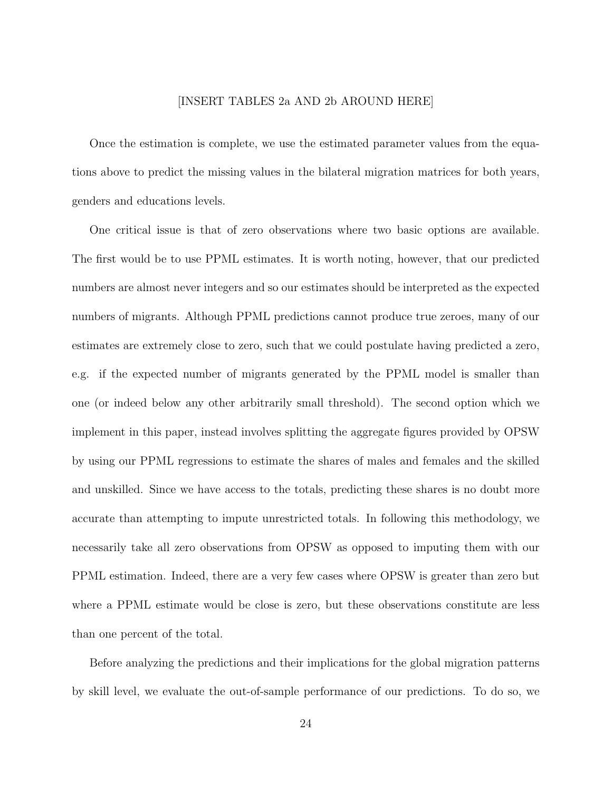#### [INSERT TABLES 2a AND 2b AROUND HERE]

Once the estimation is complete, we use the estimated parameter values from the equations above to predict the missing values in the bilateral migration matrices for both years, genders and educations levels.

One critical issue is that of zero observations where two basic options are available. The first would be to use PPML estimates. It is worth noting, however, that our predicted numbers are almost never integers and so our estimates should be interpreted as the expected numbers of migrants. Although PPML predictions cannot produce true zeroes, many of our estimates are extremely close to zero, such that we could postulate having predicted a zero, e.g. if the expected number of migrants generated by the PPML model is smaller than one (or indeed below any other arbitrarily small threshold). The second option which we implement in this paper, instead involves splitting the aggregate figures provided by OPSW by using our PPML regressions to estimate the shares of males and females and the skilled and unskilled. Since we have access to the totals, predicting these shares is no doubt more accurate than attempting to impute unrestricted totals. In following this methodology, we necessarily take all zero observations from OPSW as opposed to imputing them with our PPML estimation. Indeed, there are a very few cases where OPSW is greater than zero but where a PPML estimate would be close is zero, but these observations constitute are less than one percent of the total.

Before analyzing the predictions and their implications for the global migration patterns by skill level, we evaluate the out-of-sample performance of our predictions. To do so, we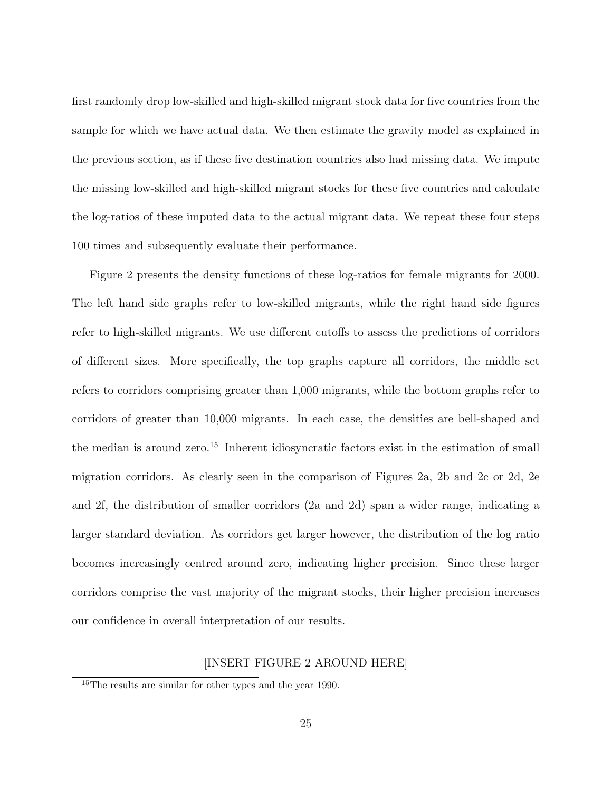first randomly drop low-skilled and high-skilled migrant stock data for five countries from the sample for which we have actual data. We then estimate the gravity model as explained in the previous section, as if these five destination countries also had missing data. We impute the missing low-skilled and high-skilled migrant stocks for these five countries and calculate the log-ratios of these imputed data to the actual migrant data. We repeat these four steps 100 times and subsequently evaluate their performance.

Figure 2 presents the density functions of these log-ratios for female migrants for 2000. The left hand side graphs refer to low-skilled migrants, while the right hand side figures refer to high-skilled migrants. We use different cutoffs to assess the predictions of corridors of different sizes. More specifically, the top graphs capture all corridors, the middle set refers to corridors comprising greater than 1,000 migrants, while the bottom graphs refer to corridors of greater than 10,000 migrants. In each case, the densities are bell-shaped and the median is around zero.<sup>15</sup> Inherent idiosyncratic factors exist in the estimation of small migration corridors. As clearly seen in the comparison of Figures 2a, 2b and 2c or 2d, 2e and 2f, the distribution of smaller corridors (2a and 2d) span a wider range, indicating a larger standard deviation. As corridors get larger however, the distribution of the log ratio becomes increasingly centred around zero, indicating higher precision. Since these larger corridors comprise the vast majority of the migrant stocks, their higher precision increases our confidence in overall interpretation of our results.

#### [INSERT FIGURE 2 AROUND HERE]

<sup>15</sup>The results are similar for other types and the year 1990.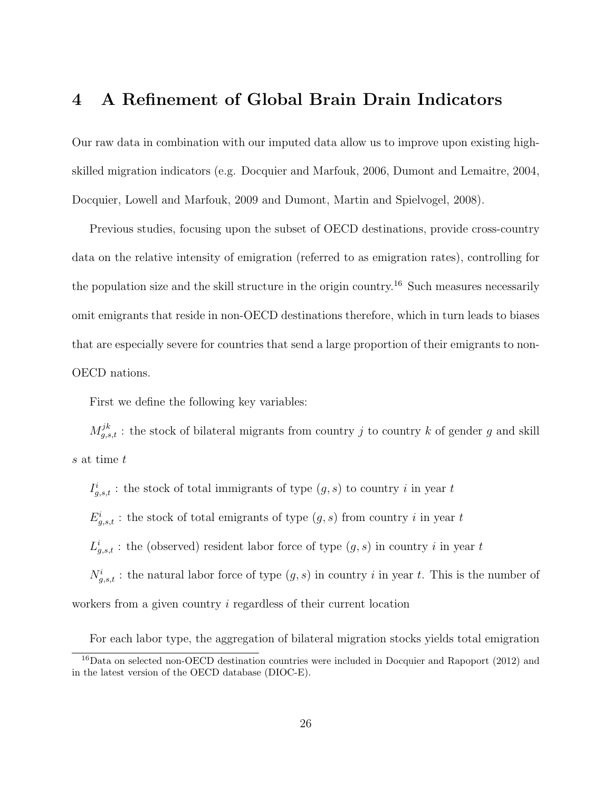## 4 A Refinement of Global Brain Drain Indicators

Our raw data in combination with our imputed data allow us to improve upon existing highskilled migration indicators (e.g. Docquier and Marfouk, 2006, Dumont and Lemaitre, 2004, Docquier, Lowell and Marfouk, 2009 and Dumont, Martin and Spielvogel, 2008).

Previous studies, focusing upon the subset of OECD destinations, provide cross-country data on the relative intensity of emigration (referred to as emigration rates), controlling for the population size and the skill structure in the origin country.<sup>16</sup> Such measures necessarily omit emigrants that reside in non-OECD destinations therefore, which in turn leads to biases that are especially severe for countries that send a large proportion of their emigrants to non-OECD nations.

First we define the following key variables:

 $M_{g,s,t}^{jk}$ : the stock of bilateral migrants from country j to country k of gender g and skill s at time t

 $I_{g,s,t}^i$ : the stock of total immigrants of type  $(g, s)$  to country i in year t  $E_{g,s,t}^{i}$ : the stock of total emigrants of type  $(g, s)$  from country i in year t  $L_{g,s,t}^{i}$ : the (observed) resident labor force of type  $(g, s)$  in country i in year t  $N_{g,s,t}^i$ : the natural labor force of type  $(g, s)$  in country i in year t. This is the number of workers from a given country *i* regardless of their current location

For each labor type, the aggregation of bilateral migration stocks yields total emigration

<sup>&</sup>lt;sup>16</sup>Data on selected non-OECD destination countries were included in Docquier and Rapoport (2012) and in the latest version of the OECD database (DIOC-E).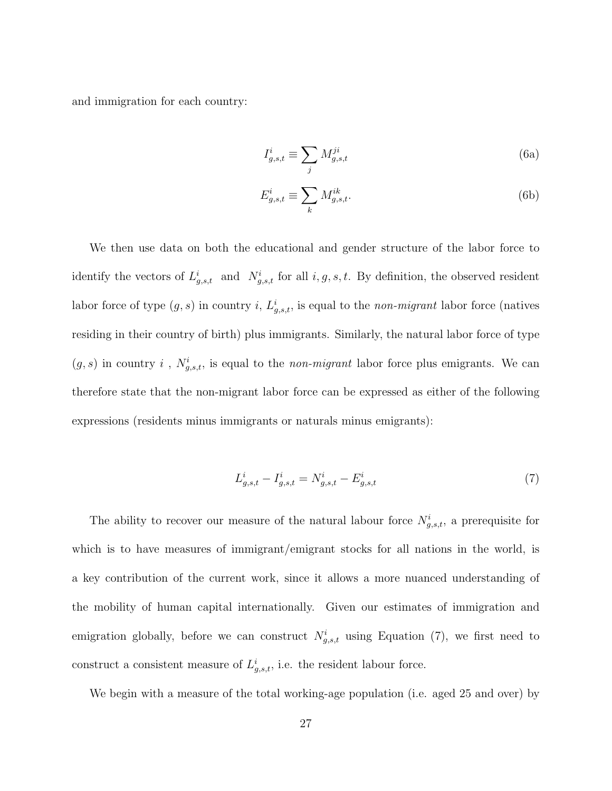and immigration for each country:

$$
I_{g,s,t}^i \equiv \sum_j M_{g,s,t}^{ji} \tag{6a}
$$

$$
E_{g,s,t}^i \equiv \sum_k M_{g,s,t}^{ik}.\tag{6b}
$$

We then use data on both the educational and gender structure of the labor force to identify the vectors of  $L^i_{g,s,t}$  and  $N^i_{g,s,t}$  for all  $i, g, s, t$ . By definition, the observed resident labor force of type  $(g, s)$  in country i,  $L^i_{g,s,t}$ , is equal to the *non-migrant* labor force (natives residing in their country of birth) plus immigrants. Similarly, the natural labor force of type  $(g, s)$  in country i,  $N_{g,s,t}^i$ , is equal to the non-migrant labor force plus emigrants. We can therefore state that the non-migrant labor force can be expressed as either of the following expressions (residents minus immigrants or naturals minus emigrants):

$$
L_{g,s,t}^i - I_{g,s,t}^i = N_{g,s,t}^i - E_{g,s,t}^i
$$
\n<sup>(7)</sup>

The ability to recover our measure of the natural labour force  $N_{g,s,t}^i$ , a prerequisite for which is to have measures of immigrant/emigrant stocks for all nations in the world, is a key contribution of the current work, since it allows a more nuanced understanding of the mobility of human capital internationally. Given our estimates of immigration and emigration globally, before we can construct  $N_{g,s,t}^i$  using Equation (7), we first need to construct a consistent measure of  $L^i_{g,s,t}$ , i.e. the resident labour force.

We begin with a measure of the total working-age population (i.e. aged 25 and over) by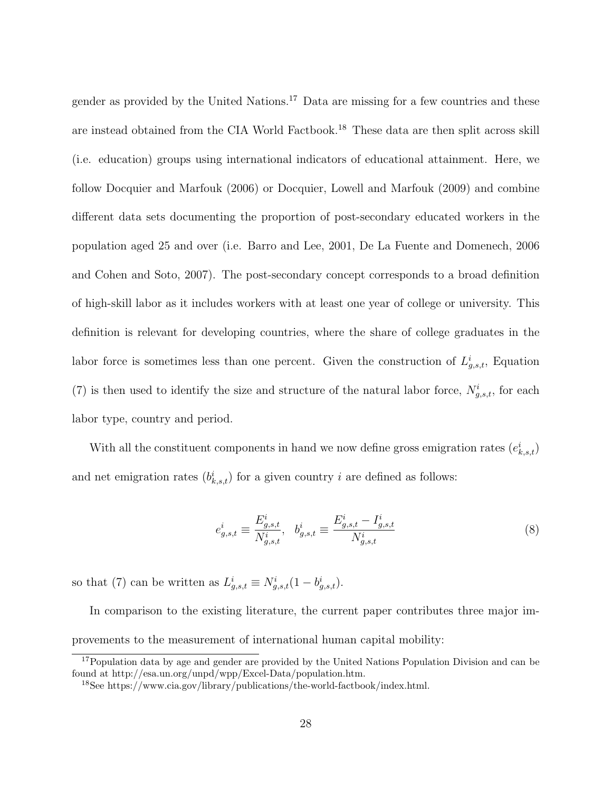gender as provided by the United Nations.<sup>17</sup> Data are missing for a few countries and these are instead obtained from the CIA World Factbook.<sup>18</sup> These data are then split across skill (i.e. education) groups using international indicators of educational attainment. Here, we follow Docquier and Marfouk (2006) or Docquier, Lowell and Marfouk (2009) and combine different data sets documenting the proportion of post-secondary educated workers in the population aged 25 and over (i.e. Barro and Lee, 2001, De La Fuente and Domenech, 2006 and Cohen and Soto, 2007). The post-secondary concept corresponds to a broad definition of high-skill labor as it includes workers with at least one year of college or university. This definition is relevant for developing countries, where the share of college graduates in the labor force is sometimes less than one percent. Given the construction of  $L_{g,s,t}^{i}$ , Equation (7) is then used to identify the size and structure of the natural labor force,  $N_{g,s,t}^i$ , for each labor type, country and period.

With all the constituent components in hand we now define gross emigration rates  $(e_{k,s,t}^i)$ and net emigration rates  $(b_{k,s,t}^i)$  for a given country i are defined as follows:

$$
e_{g,s,t}^i \equiv \frac{E_{g,s,t}^i}{N_{g,s,t}^i}, \quad b_{g,s,t}^i \equiv \frac{E_{g,s,t}^i - I_{g,s,t}^i}{N_{g,s,t}^i}
$$
(8)

so that (7) can be written as  $L_{g,s,t}^i \equiv N_{g,s,t}^i (1 - b_{g,s,t}^i)$ .

In comparison to the existing literature, the current paper contributes three major improvements to the measurement of international human capital mobility:

<sup>&</sup>lt;sup>17</sup>Population data by age and gender are provided by the United Nations Population Division and can be found at http://esa.un.org/unpd/wpp/Excel-Data/population.htm.

<sup>18</sup>See https://www.cia.gov/library/publications/the-world-factbook/index.html.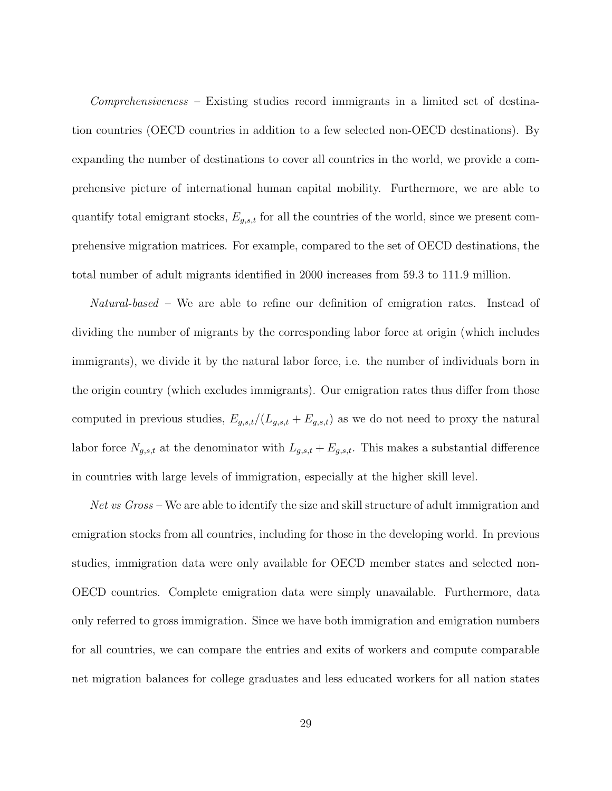Comprehensiveness – Existing studies record immigrants in a limited set of destination countries (OECD countries in addition to a few selected non-OECD destinations). By expanding the number of destinations to cover all countries in the world, we provide a comprehensive picture of international human capital mobility. Furthermore, we are able to quantify total emigrant stocks,  $E_{g,s,t}$  for all the countries of the world, since we present comprehensive migration matrices. For example, compared to the set of OECD destinations, the total number of adult migrants identified in 2000 increases from 59.3 to 111.9 million.

Natural-based – We are able to refine our definition of emigration rates. Instead of dividing the number of migrants by the corresponding labor force at origin (which includes immigrants), we divide it by the natural labor force, i.e. the number of individuals born in the origin country (which excludes immigrants). Our emigration rates thus differ from those computed in previous studies,  $E_{g,s,t}/(L_{g,s,t} + E_{g,s,t})$  as we do not need to proxy the natural labor force  $N_{g,s,t}$  at the denominator with  $L_{g,s,t} + E_{g,s,t}$ . This makes a substantial difference in countries with large levels of immigration, especially at the higher skill level.

Net vs Gross – We are able to identify the size and skill structure of adult immigration and emigration stocks from all countries, including for those in the developing world. In previous studies, immigration data were only available for OECD member states and selected non-OECD countries. Complete emigration data were simply unavailable. Furthermore, data only referred to gross immigration. Since we have both immigration and emigration numbers for all countries, we can compare the entries and exits of workers and compute comparable net migration balances for college graduates and less educated workers for all nation states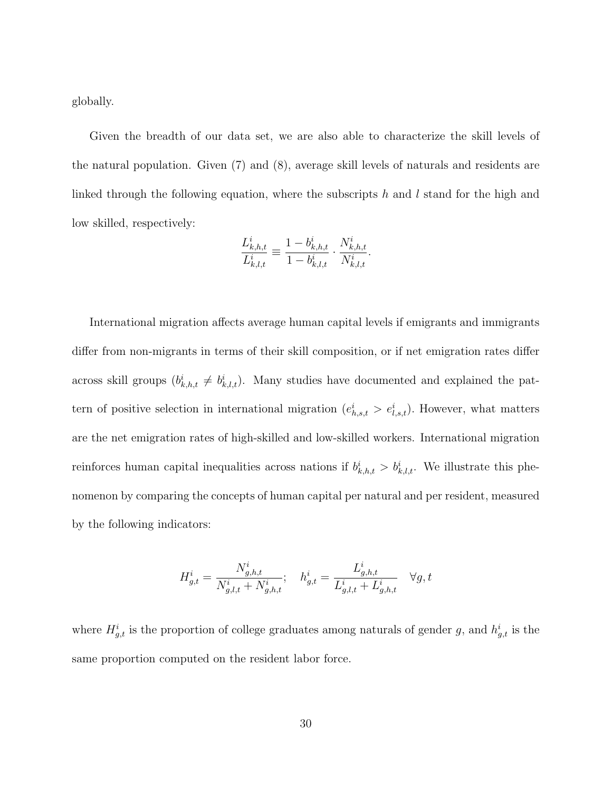globally.

Given the breadth of our data set, we are also able to characterize the skill levels of the natural population. Given (7) and (8), average skill levels of naturals and residents are linked through the following equation, where the subscripts h and l stand for the high and low skilled, respectively:

$$
\frac{L_{k,h,t}^i}{L_{k,l,t}^i} \equiv \frac{1 - b_{k,h,t}^i}{1 - b_{k,l,t}^i} \cdot \frac{N_{k,h,t}^i}{N_{k,l,t}^i}.
$$

International migration affects average human capital levels if emigrants and immigrants differ from non-migrants in terms of their skill composition, or if net emigration rates differ across skill groups  $(b_{k,h,t}^i \neq b_{k,l,t}^i)$ . Many studies have documented and explained the pattern of positive selection in international migration  $(e_{h,s,t}^i > e_{l,s,t}^i)$ . However, what matters are the net emigration rates of high-skilled and low-skilled workers. International migration reinforces human capital inequalities across nations if  $b_{k,h,t}^i > b_{k,l,t}^i$ . We illustrate this phenomenon by comparing the concepts of human capital per natural and per resident, measured by the following indicators:

$$
H_{g,t}^i = \frac{N_{g,h,t}^i}{N_{g,l,t}^i + N_{g,h,t}^i}; \quad h_{g,t}^i = \frac{L_{g,h,t}^i}{L_{g,l,t}^i + L_{g,h,t}^i} \quad \forall g,t
$$

where  $H_{g,t}^i$  is the proportion of college graduates among naturals of gender g, and  $h_{g,t}^i$  is the same proportion computed on the resident labor force.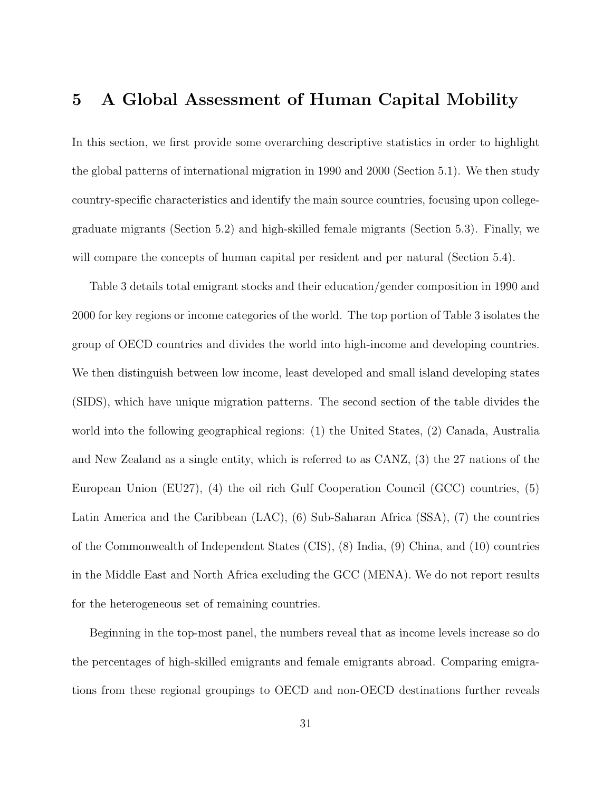## 5 A Global Assessment of Human Capital Mobility

In this section, we first provide some overarching descriptive statistics in order to highlight the global patterns of international migration in 1990 and 2000 (Section 5.1). We then study country-specific characteristics and identify the main source countries, focusing upon collegegraduate migrants (Section 5.2) and high-skilled female migrants (Section 5.3). Finally, we will compare the concepts of human capital per resident and per natural (Section 5.4).

Table 3 details total emigrant stocks and their education/gender composition in 1990 and 2000 for key regions or income categories of the world. The top portion of Table 3 isolates the group of OECD countries and divides the world into high-income and developing countries. We then distinguish between low income, least developed and small island developing states (SIDS), which have unique migration patterns. The second section of the table divides the world into the following geographical regions: (1) the United States, (2) Canada, Australia and New Zealand as a single entity, which is referred to as CANZ, (3) the 27 nations of the European Union (EU27), (4) the oil rich Gulf Cooperation Council (GCC) countries, (5) Latin America and the Caribbean (LAC), (6) Sub-Saharan Africa (SSA), (7) the countries of the Commonwealth of Independent States (CIS), (8) India, (9) China, and (10) countries in the Middle East and North Africa excluding the GCC (MENA). We do not report results for the heterogeneous set of remaining countries.

Beginning in the top-most panel, the numbers reveal that as income levels increase so do the percentages of high-skilled emigrants and female emigrants abroad. Comparing emigrations from these regional groupings to OECD and non-OECD destinations further reveals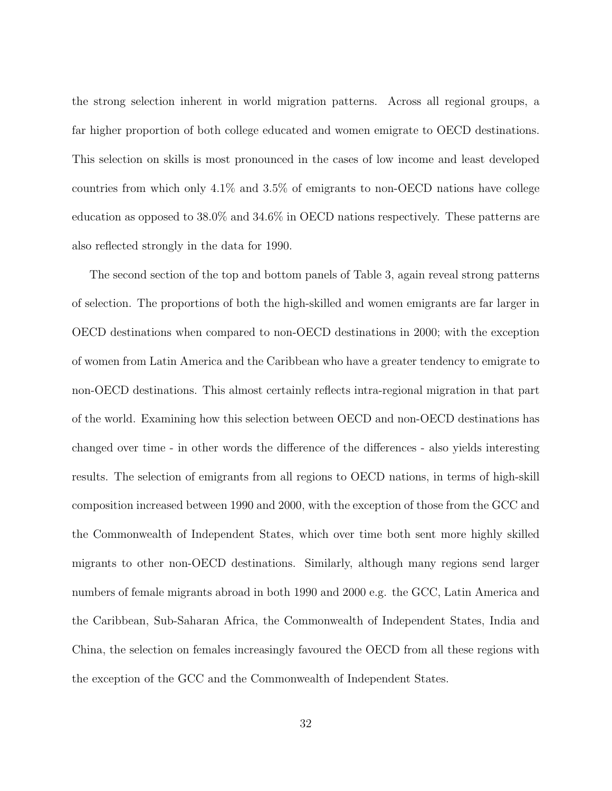the strong selection inherent in world migration patterns. Across all regional groups, a far higher proportion of both college educated and women emigrate to OECD destinations. This selection on skills is most pronounced in the cases of low income and least developed countries from which only 4.1% and 3.5% of emigrants to non-OECD nations have college education as opposed to 38.0% and 34.6% in OECD nations respectively. These patterns are also reflected strongly in the data for 1990.

The second section of the top and bottom panels of Table 3, again reveal strong patterns of selection. The proportions of both the high-skilled and women emigrants are far larger in OECD destinations when compared to non-OECD destinations in 2000; with the exception of women from Latin America and the Caribbean who have a greater tendency to emigrate to non-OECD destinations. This almost certainly reflects intra-regional migration in that part of the world. Examining how this selection between OECD and non-OECD destinations has changed over time - in other words the difference of the differences - also yields interesting results. The selection of emigrants from all regions to OECD nations, in terms of high-skill composition increased between 1990 and 2000, with the exception of those from the GCC and the Commonwealth of Independent States, which over time both sent more highly skilled migrants to other non-OECD destinations. Similarly, although many regions send larger numbers of female migrants abroad in both 1990 and 2000 e.g. the GCC, Latin America and the Caribbean, Sub-Saharan Africa, the Commonwealth of Independent States, India and China, the selection on females increasingly favoured the OECD from all these regions with the exception of the GCC and the Commonwealth of Independent States.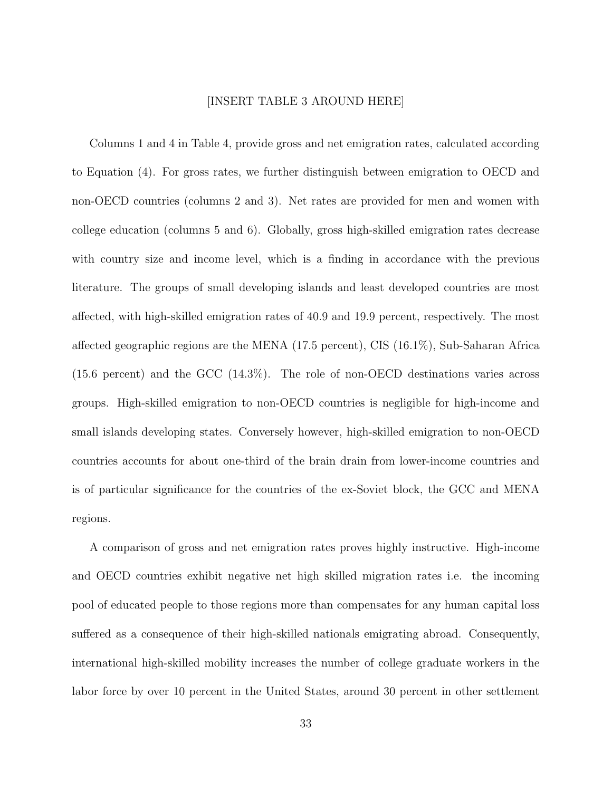#### [INSERT TABLE 3 AROUND HERE]

Columns 1 and 4 in Table 4, provide gross and net emigration rates, calculated according to Equation (4). For gross rates, we further distinguish between emigration to OECD and non-OECD countries (columns 2 and 3). Net rates are provided for men and women with college education (columns 5 and 6). Globally, gross high-skilled emigration rates decrease with country size and income level, which is a finding in accordance with the previous literature. The groups of small developing islands and least developed countries are most affected, with high-skilled emigration rates of 40.9 and 19.9 percent, respectively. The most affected geographic regions are the MENA (17.5 percent), CIS (16.1%), Sub-Saharan Africa (15.6 percent) and the GCC (14.3%). The role of non-OECD destinations varies across groups. High-skilled emigration to non-OECD countries is negligible for high-income and small islands developing states. Conversely however, high-skilled emigration to non-OECD countries accounts for about one-third of the brain drain from lower-income countries and is of particular significance for the countries of the ex-Soviet block, the GCC and MENA regions.

A comparison of gross and net emigration rates proves highly instructive. High-income and OECD countries exhibit negative net high skilled migration rates i.e. the incoming pool of educated people to those regions more than compensates for any human capital loss suffered as a consequence of their high-skilled nationals emigrating abroad. Consequently, international high-skilled mobility increases the number of college graduate workers in the labor force by over 10 percent in the United States, around 30 percent in other settlement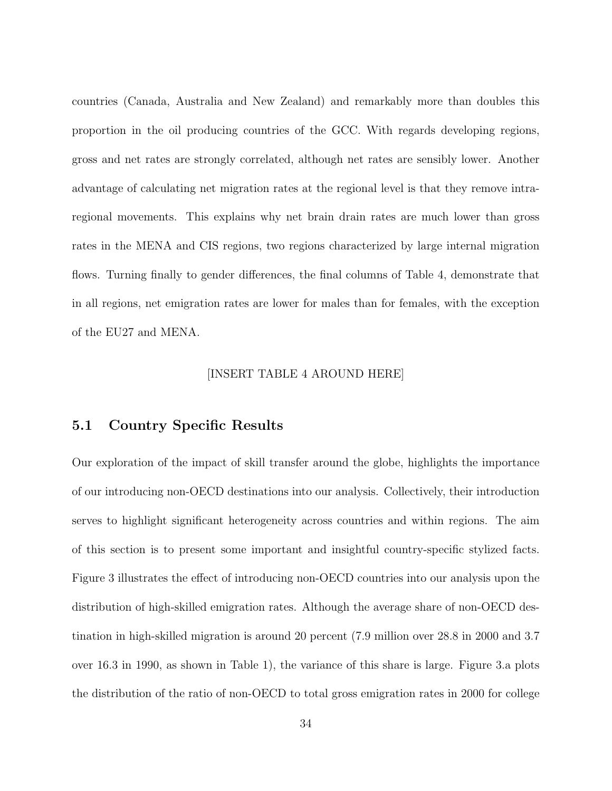countries (Canada, Australia and New Zealand) and remarkably more than doubles this proportion in the oil producing countries of the GCC. With regards developing regions, gross and net rates are strongly correlated, although net rates are sensibly lower. Another advantage of calculating net migration rates at the regional level is that they remove intraregional movements. This explains why net brain drain rates are much lower than gross rates in the MENA and CIS regions, two regions characterized by large internal migration flows. Turning finally to gender differences, the final columns of Table 4, demonstrate that in all regions, net emigration rates are lower for males than for females, with the exception of the EU27 and MENA.

#### [INSERT TABLE 4 AROUND HERE]

### 5.1 Country Specific Results

Our exploration of the impact of skill transfer around the globe, highlights the importance of our introducing non-OECD destinations into our analysis. Collectively, their introduction serves to highlight significant heterogeneity across countries and within regions. The aim of this section is to present some important and insightful country-specific stylized facts. Figure 3 illustrates the effect of introducing non-OECD countries into our analysis upon the distribution of high-skilled emigration rates. Although the average share of non-OECD destination in high-skilled migration is around 20 percent (7.9 million over 28.8 in 2000 and 3.7 over 16.3 in 1990, as shown in Table 1), the variance of this share is large. Figure 3.a plots the distribution of the ratio of non-OECD to total gross emigration rates in 2000 for college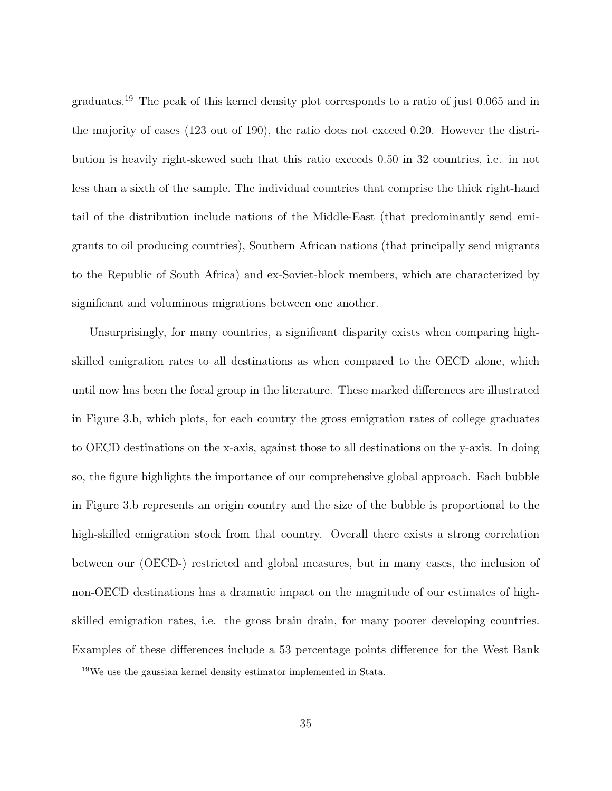graduates.<sup>19</sup> The peak of this kernel density plot corresponds to a ratio of just 0.065 and in the majority of cases (123 out of 190), the ratio does not exceed 0.20. However the distribution is heavily right-skewed such that this ratio exceeds 0.50 in 32 countries, i.e. in not less than a sixth of the sample. The individual countries that comprise the thick right-hand tail of the distribution include nations of the Middle-East (that predominantly send emigrants to oil producing countries), Southern African nations (that principally send migrants to the Republic of South Africa) and ex-Soviet-block members, which are characterized by significant and voluminous migrations between one another.

Unsurprisingly, for many countries, a significant disparity exists when comparing highskilled emigration rates to all destinations as when compared to the OECD alone, which until now has been the focal group in the literature. These marked differences are illustrated in Figure 3.b, which plots, for each country the gross emigration rates of college graduates to OECD destinations on the x-axis, against those to all destinations on the y-axis. In doing so, the figure highlights the importance of our comprehensive global approach. Each bubble in Figure 3.b represents an origin country and the size of the bubble is proportional to the high-skilled emigration stock from that country. Overall there exists a strong correlation between our (OECD-) restricted and global measures, but in many cases, the inclusion of non-OECD destinations has a dramatic impact on the magnitude of our estimates of highskilled emigration rates, i.e. the gross brain drain, for many poorer developing countries. Examples of these differences include a 53 percentage points difference for the West Bank

 $19$ We use the gaussian kernel density estimator implemented in Stata.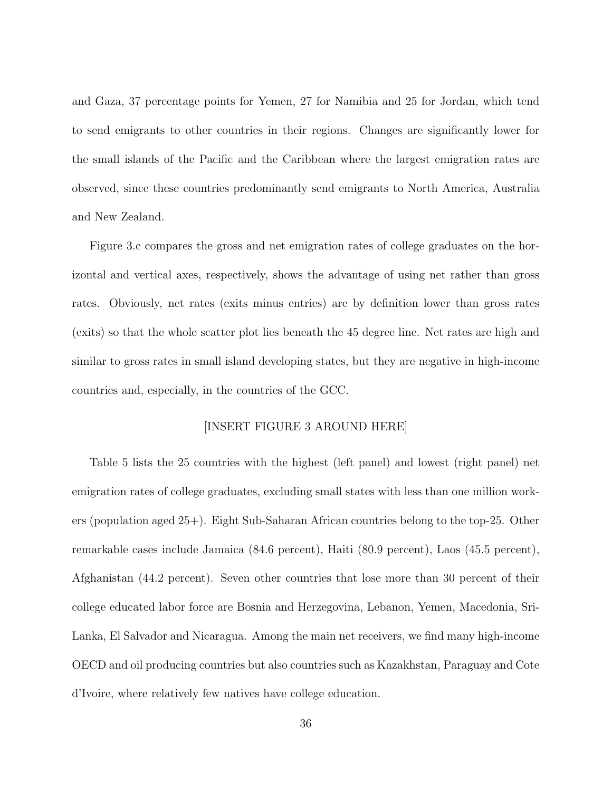and Gaza, 37 percentage points for Yemen, 27 for Namibia and 25 for Jordan, which tend to send emigrants to other countries in their regions. Changes are significantly lower for the small islands of the Pacific and the Caribbean where the largest emigration rates are observed, since these countries predominantly send emigrants to North America, Australia and New Zealand.

Figure 3.c compares the gross and net emigration rates of college graduates on the horizontal and vertical axes, respectively, shows the advantage of using net rather than gross rates. Obviously, net rates (exits minus entries) are by definition lower than gross rates (exits) so that the whole scatter plot lies beneath the 45 degree line. Net rates are high and similar to gross rates in small island developing states, but they are negative in high-income countries and, especially, in the countries of the GCC.

#### [INSERT FIGURE 3 AROUND HERE]

Table 5 lists the 25 countries with the highest (left panel) and lowest (right panel) net emigration rates of college graduates, excluding small states with less than one million workers (population aged 25+). Eight Sub-Saharan African countries belong to the top-25. Other remarkable cases include Jamaica (84.6 percent), Haiti (80.9 percent), Laos (45.5 percent), Afghanistan (44.2 percent). Seven other countries that lose more than 30 percent of their college educated labor force are Bosnia and Herzegovina, Lebanon, Yemen, Macedonia, Sri-Lanka, El Salvador and Nicaragua. Among the main net receivers, we find many high-income OECD and oil producing countries but also countries such as Kazakhstan, Paraguay and Cote d'Ivoire, where relatively few natives have college education.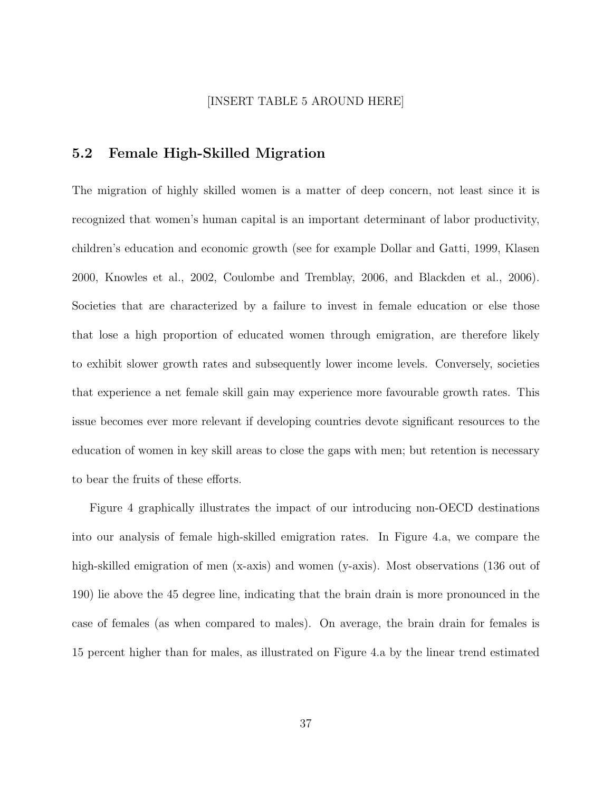#### [INSERT TABLE 5 AROUND HERE]

### 5.2 Female High-Skilled Migration

The migration of highly skilled women is a matter of deep concern, not least since it is recognized that women's human capital is an important determinant of labor productivity, children's education and economic growth (see for example Dollar and Gatti, 1999, Klasen 2000, Knowles et al., 2002, Coulombe and Tremblay, 2006, and Blackden et al., 2006). Societies that are characterized by a failure to invest in female education or else those that lose a high proportion of educated women through emigration, are therefore likely to exhibit slower growth rates and subsequently lower income levels. Conversely, societies that experience a net female skill gain may experience more favourable growth rates. This issue becomes ever more relevant if developing countries devote significant resources to the education of women in key skill areas to close the gaps with men; but retention is necessary to bear the fruits of these efforts.

Figure 4 graphically illustrates the impact of our introducing non-OECD destinations into our analysis of female high-skilled emigration rates. In Figure 4.a, we compare the high-skilled emigration of men (x-axis) and women (y-axis). Most observations (136 out of 190) lie above the 45 degree line, indicating that the brain drain is more pronounced in the case of females (as when compared to males). On average, the brain drain for females is 15 percent higher than for males, as illustrated on Figure 4.a by the linear trend estimated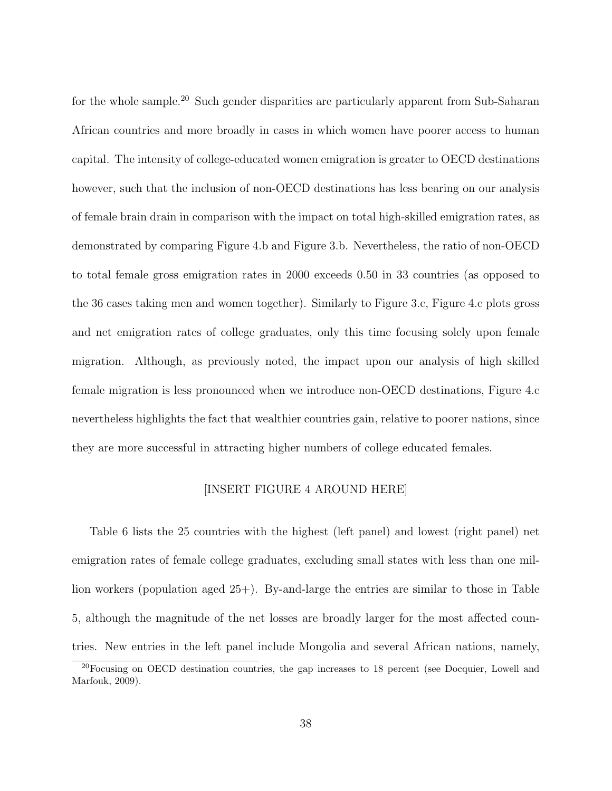for the whole sample.<sup>20</sup> Such gender disparities are particularly apparent from Sub-Saharan African countries and more broadly in cases in which women have poorer access to human capital. The intensity of college-educated women emigration is greater to OECD destinations however, such that the inclusion of non-OECD destinations has less bearing on our analysis of female brain drain in comparison with the impact on total high-skilled emigration rates, as demonstrated by comparing Figure 4.b and Figure 3.b. Nevertheless, the ratio of non-OECD to total female gross emigration rates in 2000 exceeds 0.50 in 33 countries (as opposed to the 36 cases taking men and women together). Similarly to Figure 3.c, Figure 4.c plots gross and net emigration rates of college graduates, only this time focusing solely upon female migration. Although, as previously noted, the impact upon our analysis of high skilled female migration is less pronounced when we introduce non-OECD destinations, Figure 4.c nevertheless highlights the fact that wealthier countries gain, relative to poorer nations, since they are more successful in attracting higher numbers of college educated females.

#### [INSERT FIGURE 4 AROUND HERE]

Table 6 lists the 25 countries with the highest (left panel) and lowest (right panel) net emigration rates of female college graduates, excluding small states with less than one million workers (population aged 25+). By-and-large the entries are similar to those in Table 5, although the magnitude of the net losses are broadly larger for the most affected countries. New entries in the left panel include Mongolia and several African nations, namely,

<sup>&</sup>lt;sup>20</sup>Focusing on OECD destination countries, the gap increases to 18 percent (see Docquier, Lowell and Marfouk, 2009).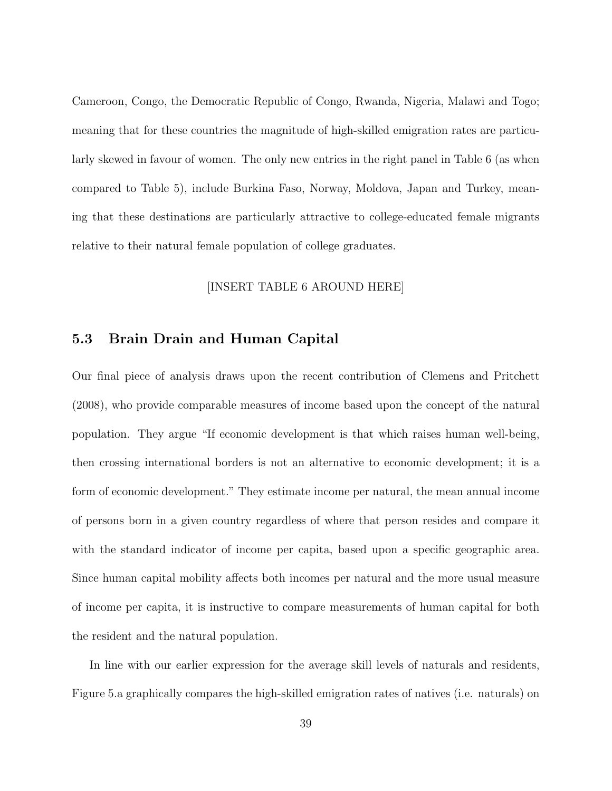Cameroon, Congo, the Democratic Republic of Congo, Rwanda, Nigeria, Malawi and Togo; meaning that for these countries the magnitude of high-skilled emigration rates are particularly skewed in favour of women. The only new entries in the right panel in Table 6 (as when compared to Table 5), include Burkina Faso, Norway, Moldova, Japan and Turkey, meaning that these destinations are particularly attractive to college-educated female migrants relative to their natural female population of college graduates.

#### [INSERT TABLE 6 AROUND HERE]

### 5.3 Brain Drain and Human Capital

Our final piece of analysis draws upon the recent contribution of Clemens and Pritchett (2008), who provide comparable measures of income based upon the concept of the natural population. They argue "If economic development is that which raises human well-being, then crossing international borders is not an alternative to economic development; it is a form of economic development." They estimate income per natural, the mean annual income of persons born in a given country regardless of where that person resides and compare it with the standard indicator of income per capita, based upon a specific geographic area. Since human capital mobility affects both incomes per natural and the more usual measure of income per capita, it is instructive to compare measurements of human capital for both the resident and the natural population.

In line with our earlier expression for the average skill levels of naturals and residents, Figure 5.a graphically compares the high-skilled emigration rates of natives (i.e. naturals) on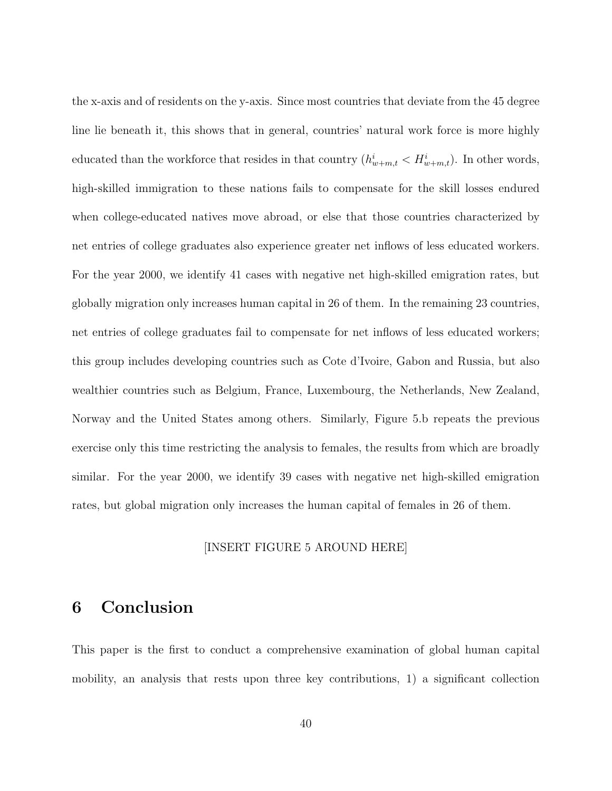the x-axis and of residents on the y-axis. Since most countries that deviate from the 45 degree line lie beneath it, this shows that in general, countries' natural work force is more highly educated than the workforce that resides in that country  $(h_{w+m,t}^i < H_{w+m,t}^i)$ . In other words, high-skilled immigration to these nations fails to compensate for the skill losses endured when college-educated natives move abroad, or else that those countries characterized by net entries of college graduates also experience greater net inflows of less educated workers. For the year 2000, we identify 41 cases with negative net high-skilled emigration rates, but globally migration only increases human capital in 26 of them. In the remaining 23 countries, net entries of college graduates fail to compensate for net inflows of less educated workers; this group includes developing countries such as Cote d'Ivoire, Gabon and Russia, but also wealthier countries such as Belgium, France, Luxembourg, the Netherlands, New Zealand, Norway and the United States among others. Similarly, Figure 5.b repeats the previous exercise only this time restricting the analysis to females, the results from which are broadly similar. For the year 2000, we identify 39 cases with negative net high-skilled emigration rates, but global migration only increases the human capital of females in 26 of them.

#### [INSERT FIGURE 5 AROUND HERE]

## 6 Conclusion

This paper is the first to conduct a comprehensive examination of global human capital mobility, an analysis that rests upon three key contributions, 1) a significant collection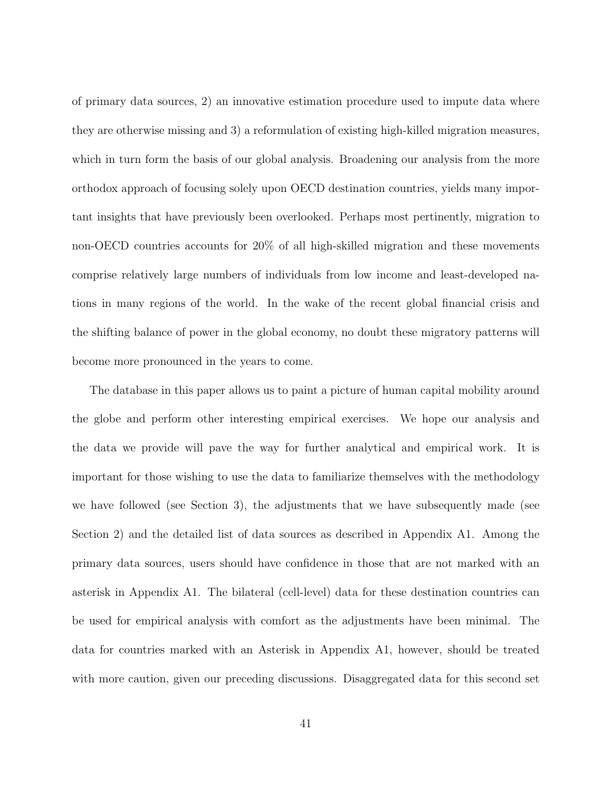of primary data sources, 2) an innovative estimation procedure used to impute data where they are otherwise missing and 3) a reformulation of existing high-killed migration measures, which in turn form the basis of our global analysis. Broadening our analysis from the more orthodox approach of focusing solely upon OECD destination countries, yields many important insights that have previously been overlooked. Perhaps most pertinently, migration to non-OECD countries accounts for 20% of all high-skilled migration and these movements comprise relatively large numbers of individuals from low income and least-developed nations in many regions of the world. In the wake of the recent global financial crisis and the shifting balance of power in the global economy, no doubt these migratory patterns will become more pronounced in the years to come.

The database in this paper allows us to paint a picture of human capital mobility around the globe and perform other interesting empirical exercises. We hope our analysis and the data we provide will pave the way for further analytical and empirical work. It is important for those wishing to use the data to familiarize themselves with the methodology we have followed (see Section 3), the adjustments that we have subsequently made (see Section 2) and the detailed list of data sources as described in Appendix A1. Among the primary data sources, users should have confidence in those that are not marked with an asterisk in Appendix A1. The bilateral (cell-level) data for these destination countries can be used for empirical analysis with comfort as the adjustments have been minimal. The data for countries marked with an Asterisk in Appendix A1, however, should be treated with more caution, given our preceding discussions. Disaggregated data for this second set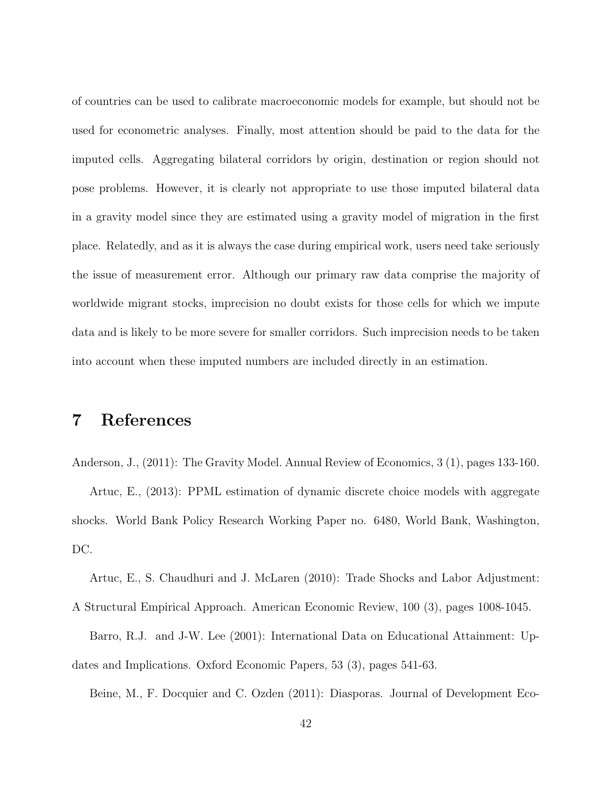of countries can be used to calibrate macroeconomic models for example, but should not be used for econometric analyses. Finally, most attention should be paid to the data for the imputed cells. Aggregating bilateral corridors by origin, destination or region should not pose problems. However, it is clearly not appropriate to use those imputed bilateral data in a gravity model since they are estimated using a gravity model of migration in the first place. Relatedly, and as it is always the case during empirical work, users need take seriously the issue of measurement error. Although our primary raw data comprise the majority of worldwide migrant stocks, imprecision no doubt exists for those cells for which we impute data and is likely to be more severe for smaller corridors. Such imprecision needs to be taken into account when these imputed numbers are included directly in an estimation.

## 7 References

Anderson, J., (2011): The Gravity Model. Annual Review of Economics, 3 (1), pages 133-160.

Artuc, E., (2013): PPML estimation of dynamic discrete choice models with aggregate shocks. World Bank Policy Research Working Paper no. 6480, World Bank, Washington, DC.

Artuc, E., S. Chaudhuri and J. McLaren (2010): Trade Shocks and Labor Adjustment:

A Structural Empirical Approach. American Economic Review, 100 (3), pages 1008-1045. Barro, R.J. and J-W. Lee (2001): International Data on Educational Attainment: Updates and Implications. Oxford Economic Papers, 53 (3), pages 541-63.

Beine, M., F. Docquier and C. Ozden (2011): Diasporas. Journal of Development Eco-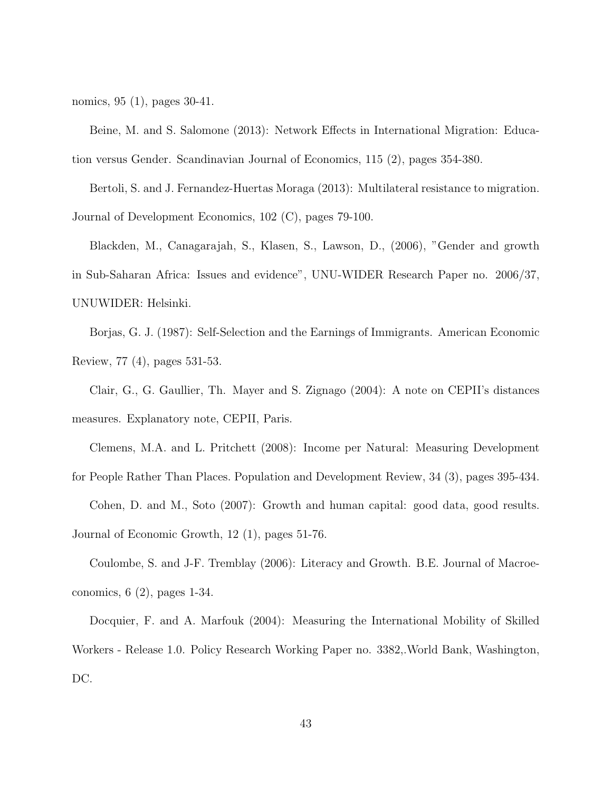nomics, 95 (1), pages 30-41.

Beine, M. and S. Salomone (2013): Network Effects in International Migration: Education versus Gender. Scandinavian Journal of Economics, 115 (2), pages 354-380.

Bertoli, S. and J. Fernandez-Huertas Moraga (2013): Multilateral resistance to migration. Journal of Development Economics, 102 (C), pages 79-100.

Blackden, M., Canagarajah, S., Klasen, S., Lawson, D., (2006), "Gender and growth in Sub-Saharan Africa: Issues and evidence", UNU-WIDER Research Paper no. 2006/37, UNUWIDER: Helsinki.

Borjas, G. J. (1987): Self-Selection and the Earnings of Immigrants. American Economic Review, 77 (4), pages 531-53.

Clair, G., G. Gaullier, Th. Mayer and S. Zignago (2004): A note on CEPII's distances measures. Explanatory note, CEPII, Paris.

Clemens, M.A. and L. Pritchett (2008): Income per Natural: Measuring Development

for People Rather Than Places. Population and Development Review, 34 (3), pages 395-434. Cohen, D. and M., Soto (2007): Growth and human capital: good data, good results. Journal of Economic Growth, 12 (1), pages 51-76.

Coulombe, S. and J-F. Tremblay (2006): Literacy and Growth. B.E. Journal of Macroeconomics, 6 (2), pages 1-34.

Docquier, F. and A. Marfouk (2004): Measuring the International Mobility of Skilled Workers - Release 1.0. Policy Research Working Paper no. 3382,.World Bank, Washington, DC.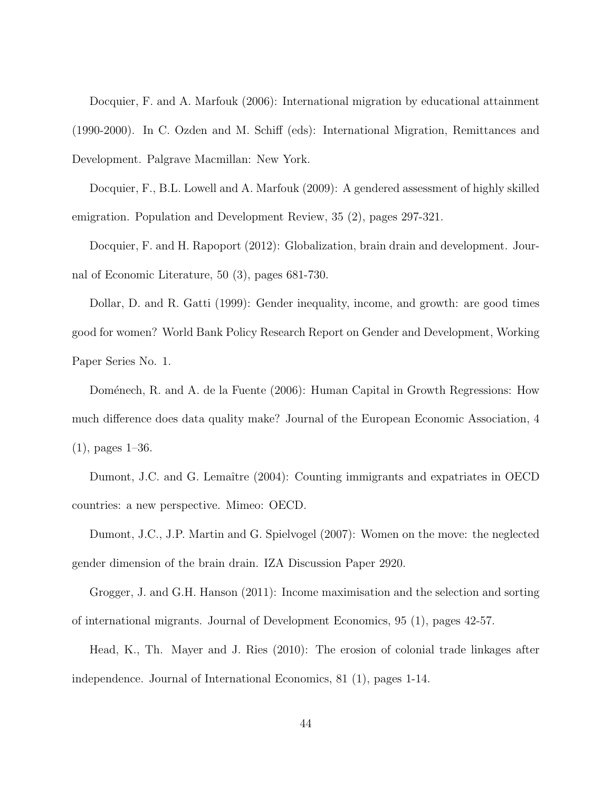Docquier, F. and A. Marfouk (2006): International migration by educational attainment (1990-2000). In C. Ozden and M. Schiff (eds): International Migration, Remittances and Development. Palgrave Macmillan: New York.

Docquier, F., B.L. Lowell and A. Marfouk (2009): A gendered assessment of highly skilled emigration. Population and Development Review, 35 (2), pages 297-321.

Docquier, F. and H. Rapoport (2012): Globalization, brain drain and development. Journal of Economic Literature, 50 (3), pages 681-730.

Dollar, D. and R. Gatti (1999): Gender inequality, income, and growth: are good times good for women? World Bank Policy Research Report on Gender and Development, Working Paper Series No. 1.

Doménech, R. and A. de la Fuente (2006): Human Capital in Growth Regressions: How much difference does data quality make? Journal of the European Economic Association, 4 (1), pages 1–36.

Dumont, J.C. and G. Lemaître (2004): Counting immigrants and expatriates in OECD countries: a new perspective. Mimeo: OECD.

Dumont, J.C., J.P. Martin and G. Spielvogel (2007): Women on the move: the neglected gender dimension of the brain drain. IZA Discussion Paper 2920.

Grogger, J. and G.H. Hanson (2011): Income maximisation and the selection and sorting of international migrants. Journal of Development Economics, 95 (1), pages 42-57.

Head, K., Th. Mayer and J. Ries (2010): The erosion of colonial trade linkages after independence. Journal of International Economics, 81 (1), pages 1-14.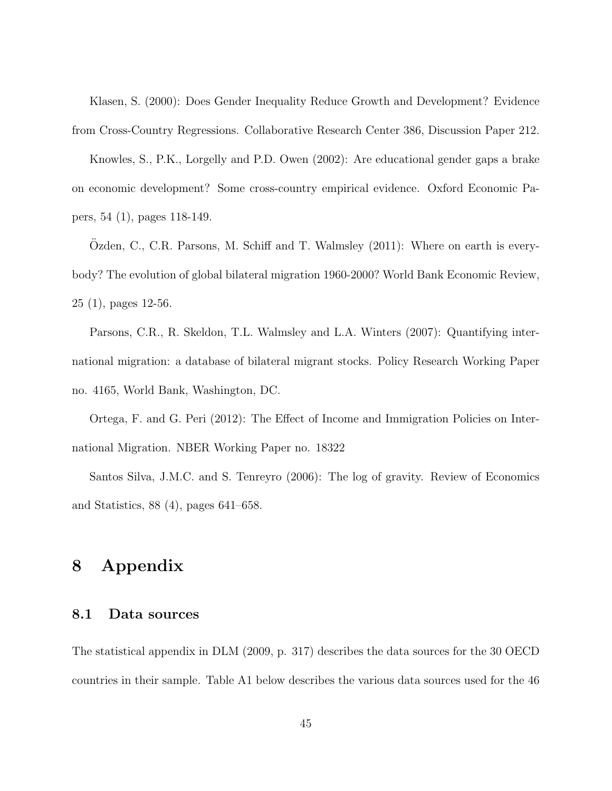Klasen, S. (2000): Does Gender Inequality Reduce Growth and Development? Evidence from Cross-Country Regressions. Collaborative Research Center 386, Discussion Paper 212.

Knowles, S., P.K., Lorgelly and P.D. Owen (2002): Are educational gender gaps a brake on economic development? Some cross-country empirical evidence. Oxford Economic Papers, 54 (1), pages 118-149.

Ozden, C., C.R. Parsons, M. Schiff and T. Walmsley  $(2011)$ : Where on earth is everybody? The evolution of global bilateral migration 1960-2000? World Bank Economic Review, 25 (1), pages 12-56.

Parsons, C.R., R. Skeldon, T.L. Walmsley and L.A. Winters (2007): Quantifying international migration: a database of bilateral migrant stocks. Policy Research Working Paper no. 4165, World Bank, Washington, DC.

Ortega, F. and G. Peri (2012): The Effect of Income and Immigration Policies on International Migration. NBER Working Paper no. 18322

Santos Silva, J.M.C. and S. Tenreyro (2006): The log of gravity. Review of Economics and Statistics, 88 (4), pages 641–658.

## 8 Appendix

### 8.1 Data sources

The statistical appendix in DLM (2009, p. 317) describes the data sources for the 30 OECD countries in their sample. Table A1 below describes the various data sources used for the 46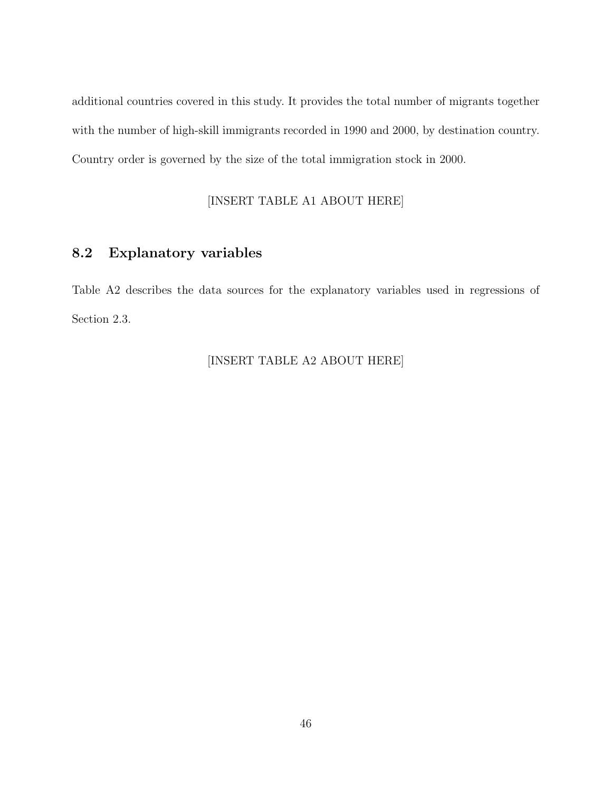additional countries covered in this study. It provides the total number of migrants together with the number of high-skill immigrants recorded in 1990 and 2000, by destination country. Country order is governed by the size of the total immigration stock in 2000.

### [INSERT TABLE A1 ABOUT HERE]

### 8.2 Explanatory variables

Table A2 describes the data sources for the explanatory variables used in regressions of Section 2.3.

### [INSERT TABLE A2 ABOUT HERE]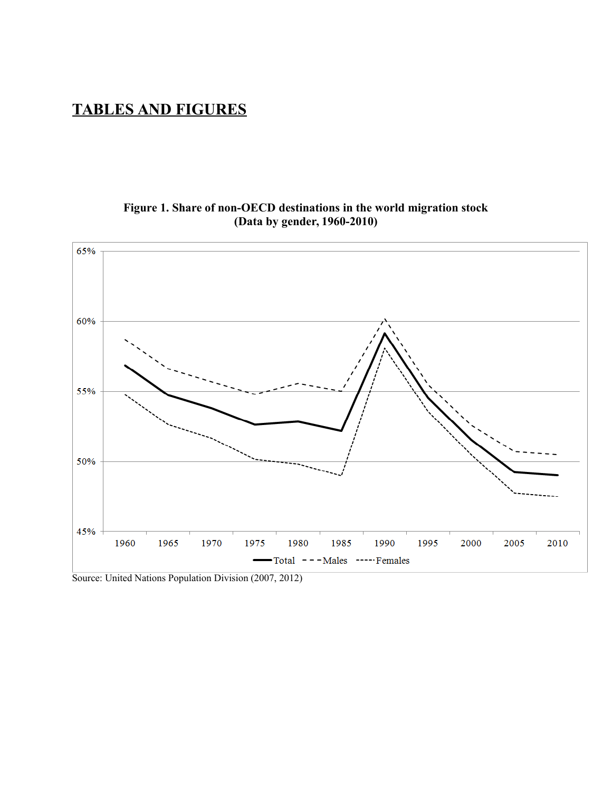## **TABLES AND FIGURES**

### **Figure 1. Share of non-OECD destinations in the world migration stock (Data by gender, 1960-2010)**



Source: United Nations Population Division (2007, 2012)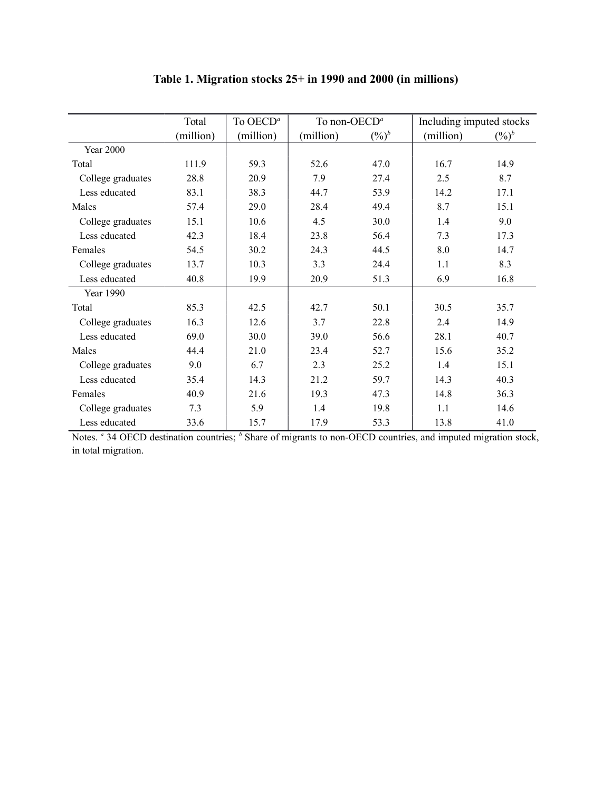|                   | Total     | To OECD <sup>a</sup> | To non-OECD <sup>a</sup> |          | Including imputed stocks |           |
|-------------------|-----------|----------------------|--------------------------|----------|--------------------------|-----------|
|                   | (million) | (million)            | (million)                | $(\%)^b$ | (million)                | $(0/0)^b$ |
| <b>Year 2000</b>  |           |                      |                          |          |                          |           |
| Total             | 111.9     | 59.3                 | 52.6                     | 47.0     | 16.7                     | 14.9      |
| College graduates | 28.8      | 20.9                 | 7.9                      | 27.4     | 2.5                      | 8.7       |
| Less educated     | 83.1      | 38.3                 | 44.7                     | 53.9     | 14.2                     | 17.1      |
| Males             | 57.4      | 29.0                 | 28.4                     | 49.4     | 8.7                      | 15.1      |
| College graduates | 15.1      | 10.6                 | 4.5                      | 30.0     | 1.4                      | 9.0       |
| Less educated     | 42.3      | 18.4                 | 23.8                     | 56.4     | 7.3                      | 17.3      |
| Females           | 54.5      | 30.2                 | 24.3                     | 44.5     | 8.0                      | 14.7      |
| College graduates | 13.7      | 10.3                 | 3.3                      | 24.4     | 1.1                      | 8.3       |
| Less educated     | 40.8      | 19.9                 | 20.9                     | 51.3     | 6.9                      | 16.8      |
| Year 1990         |           |                      |                          |          |                          |           |
| Total             | 85.3      | 42.5                 | 42.7                     | 50.1     | 30.5                     | 35.7      |
| College graduates | 16.3      | 12.6                 | 3.7                      | 22.8     | 2.4                      | 14.9      |
| Less educated     | 69.0      | 30.0                 | 39.0                     | 56.6     | 28.1                     | 40.7      |
| Males             | 44.4      | 21.0                 | 23.4                     | 52.7     | 15.6                     | 35.2      |
| College graduates | 9.0       | 6.7                  | 2.3                      | 25.2     | 1.4                      | 15.1      |
| Less educated     | 35.4      | 14.3                 | 21.2                     | 59.7     | 14.3                     | 40.3      |
| Females           | 40.9      | 21.6                 | 19.3                     | 47.3     | 14.8                     | 36.3      |
| College graduates | 7.3       | 5.9                  | 1.4                      | 19.8     | 1.1                      | 14.6      |
| Less educated     | 33.6      | 15.7                 | 17.9                     | 53.3     | 13.8                     | 41.0      |

## **Table 1. Migration stocks 25+ in 1990 and 2000 (in millions)**

Notes. *a* 34 OECD destination countries; *b* Share of migrants to non-OECD countries, and imputed migration stock, in total migration.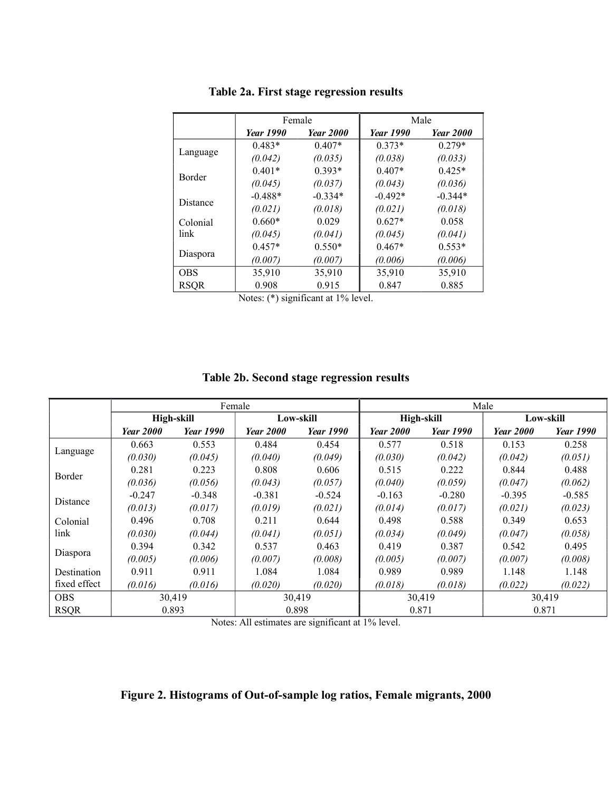|            |                  | Female           |                  | Male             |
|------------|------------------|------------------|------------------|------------------|
|            | <b>Year 1990</b> | <b>Year 2000</b> | <b>Year 1990</b> | <b>Year 2000</b> |
|            | $0.483*$         | $0.407*$         | $0.373*$         | $0.279*$         |
| Language   | (0.042)          | (0.035)          | (0.038)          | (0.033)          |
| Border     | $0.401*$         | $0.393*$         | $0.407*$         | $0.425*$         |
|            | (0.045)          | (0.037)          | (0.043)          | (0.036)          |
|            | $-0.488*$        | $-0.334*$        | $-0.492*$        | $-0.344*$        |
| Distance   | (0.021)          | (0.018)          | (0.021)          | (0.018)          |
| Colonial   | $0.660*$         | 0.029            | $0.627*$         | 0.058            |
| link       | (0.045)          | (0.041)          | (0.045)          | (0.041)          |
|            | $0.457*$         | $0.550*$         | $0.467*$         | $0.553*$         |
| Diaspora   | (0.007)          | (0.007)          | (0.006)          | (0.006)          |
| <b>OBS</b> | 35,910           | 35,910           | 35,910           | 35,910           |
| RSQR       | 0.908            | 0.915            | 0.847            | 0.885            |

### **Table 2a. First stage regression results**

Notes: (\*) significant at 1% level.

### **Table 2b. Second stage regression results**

|              |                  |                  | Female           |                  | Male             |                  |                  |                  |  |
|--------------|------------------|------------------|------------------|------------------|------------------|------------------|------------------|------------------|--|
|              |                  | High-skill       |                  | Low-skill        | High-skill       |                  | Low-skill        |                  |  |
|              | <b>Year 2000</b> | <b>Year 1990</b> | <b>Year 2000</b> | <b>Year 1990</b> | <b>Year 2000</b> | <b>Year</b> 1990 | <b>Year 2000</b> | <i>Year</i> 1990 |  |
|              | 0.663            | 0.553            | 0.484            | 0.454            | 0.577            | 0.518            | 0.153            | 0.258            |  |
| Language     | (0.030)          | (0.045)          | (0.040)          | (0.049)          | (0.030)          | (0.042)          | (0.042)          | (0.051)          |  |
| Border       | 0.281            | 0.223            | 0.808            | 0.606            | 0.515            | 0.222            | 0.844            | 0.488            |  |
|              | (0.036)          | (0.056)          | (0.043)          | (0.057)          | (0.040)          | (0.059)          | (0.047)          | (0.062)          |  |
|              | $-0.247$         | $-0.348$         | $-0.381$         | $-0.524$         | $-0.163$         | $-0.280$         | $-0.395$         | $-0.585$         |  |
| Distance     | (0.013)          | (0.017)          | (0.019)          | (0.021)          | (0.014)          | (0.017)          | (0.021)          | (0.023)          |  |
| Colonial     | 0.496            | 0.708            | 0.211            | 0.644            | 0.498            | 0.588            | 0.349            | 0.653            |  |
| link         | (0.030)          | (0.044)          | (0.041)          | (0.051)          | (0.034)          | (0.049)          | (0.047)          | (0.058)          |  |
|              | 0.394            | 0.342            | 0.537            | 0.463            | 0.419            | 0.387            | 0.542            | 0.495            |  |
| Diaspora     | (0.005)          | (0.006)          | (0.007)          | (0.008)          | (0.005)          | (0.007)          | (0.007)          | (0.008)          |  |
| Destination  | 0.911            | 0.911            | 1.084            | 1.084            | 0.989            | 0.989            | 1.148            | 1.148            |  |
| fixed effect | (0.016)          | (0.016)          | (0.020)          | (0.020)          | (0.018)          | (0.018)          | (0.022)          | (0.022)          |  |
| <b>OBS</b>   | 30,419           |                  |                  | 30,419           | 30,419<br>30,419 |                  |                  |                  |  |
| <b>RSQR</b>  | 0.893            |                  | 0.898            |                  | 0.871            |                  | 0.871            |                  |  |

Notes: All estimates are significant at 1% level.

### **Figure 2. Histograms of Out-of-sample log ratios, Female migrants, 2000**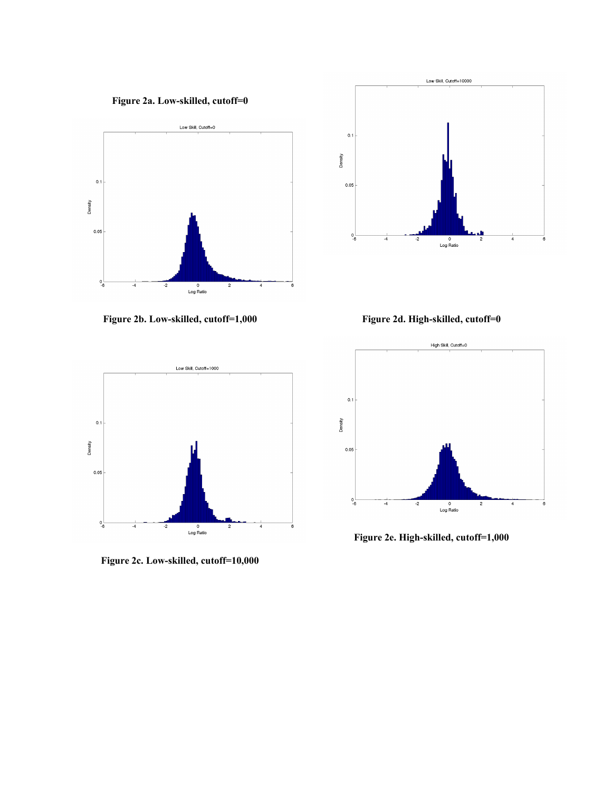



**Figure 2b. Low-skilled, cutoff=1,000**





**Figure 2c. Low-skilled, cutoff=10,000**



**Figure 2e. High-skilled, cutoff=1,000**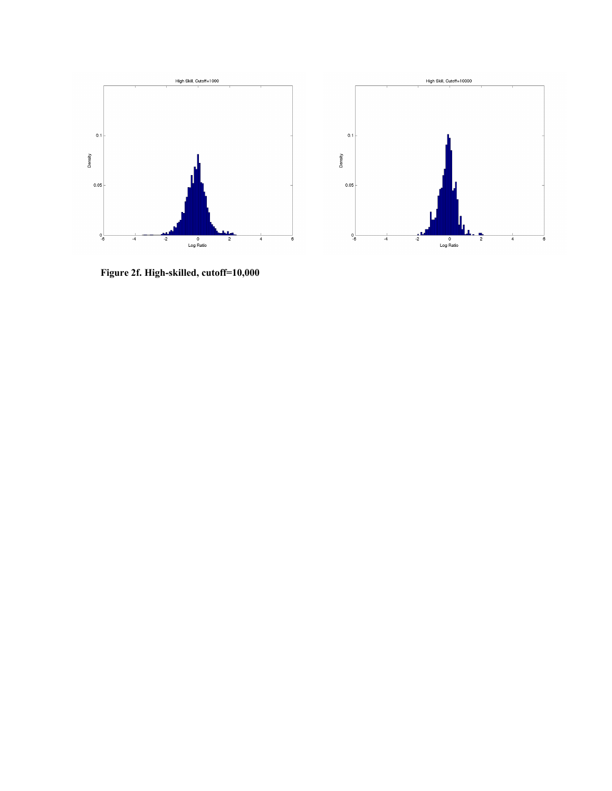

**Figure 2f. High-skilled, cutoff=10,000**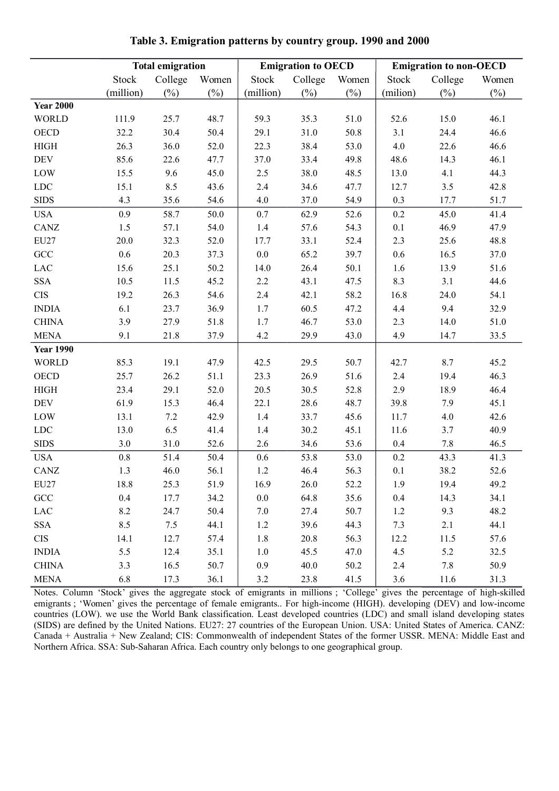|                  |              | <b>Total emigration</b> |        |              | <b>Emigration to OECD</b> |        |              | <b>Emigration to non-OECD</b> |        |
|------------------|--------------|-------------------------|--------|--------------|---------------------------|--------|--------------|-------------------------------|--------|
|                  | <b>Stock</b> | College                 | Women  | <b>Stock</b> | College                   | Women  | <b>Stock</b> | College                       | Women  |
|                  | (million)    | $(\%)$                  | $(\%)$ | (million)    | $(\%)$                    | $(\%)$ | (milion)     | $(\%)$                        | $(\%)$ |
| <b>Year 2000</b> |              |                         |        |              |                           |        |              |                               |        |
| <b>WORLD</b>     | 111.9        | 25.7                    | 48.7   | 59.3         | 35.3                      | 51.0   | 52.6         | 15.0                          | 46.1   |
| <b>OECD</b>      | 32.2         | 30.4                    | 50.4   | 29.1         | 31.0                      | 50.8   | 3.1          | 24.4                          | 46.6   |
| <b>HIGH</b>      | 26.3         | 36.0                    | 52.0   | 22.3         | 38.4                      | 53.0   | 4.0          | 22.6                          | 46.6   |
| <b>DEV</b>       | 85.6         | 22.6                    | 47.7   | 37.0         | 33.4                      | 49.8   | 48.6         | 14.3                          | 46.1   |
| LOW              | 15.5         | 9.6                     | 45.0   | 2.5          | 38.0                      | 48.5   | 13.0         | 4.1                           | 44.3   |
| ${\rm LDC}$      | 15.1         | 8.5                     | 43.6   | 2.4          | 34.6                      | 47.7   | 12.7         | 3.5                           | 42.8   |
| <b>SIDS</b>      | 4.3          | 35.6                    | 54.6   | 4.0          | 37.0                      | 54.9   | 0.3          | 17.7                          | 51.7   |
| <b>USA</b>       | 0.9          | 58.7                    | 50.0   | 0.7          | 62.9                      | 52.6   | 0.2          | 45.0                          | 41.4   |
| CANZ             | 1.5          | 57.1                    | 54.0   | 1.4          | 57.6                      | 54.3   | 0.1          | 46.9                          | 47.9   |
| EU27             | 20.0         | 32.3                    | 52.0   | 17.7         | 33.1                      | 52.4   | 2.3          | 25.6                          | 48.8   |
| GCC              | $0.6\,$      | 20.3                    | 37.3   | $0.0\,$      | 65.2                      | 39.7   | 0.6          | 16.5                          | 37.0   |
| $_{\rm LAC}$     | 15.6         | 25.1                    | 50.2   | 14.0         | 26.4                      | 50.1   | 1.6          | 13.9                          | 51.6   |
| <b>SSA</b>       | 10.5         | 11.5                    | 45.2   | 2.2          | 43.1                      | 47.5   | 8.3          | 3.1                           | 44.6   |
| <b>CIS</b>       | 19.2         | 26.3                    | 54.6   | 2.4          | 42.1                      | 58.2   | 16.8         | 24.0                          | 54.1   |
| <b>INDIA</b>     | 6.1          | 23.7                    | 36.9   | 1.7          | 60.5                      | 47.2   | 4.4          | 9.4                           | 32.9   |
| <b>CHINA</b>     | 3.9          | 27.9                    | 51.8   | 1.7          | 46.7                      | 53.0   | 2.3          | 14.0                          | 51.0   |
| <b>MENA</b>      | 9.1          | 21.8                    | 37.9   | 4.2          | 29.9                      | 43.0   | 4.9          | 14.7                          | 33.5   |
| <b>Year 1990</b> |              |                         |        |              |                           |        |              |                               |        |
| <b>WORLD</b>     | 85.3         | 19.1                    | 47.9   | 42.5         | 29.5                      | 50.7   | 42.7         | 8.7                           | 45.2   |
| <b>OECD</b>      | 25.7         | 26.2                    | 51.1   | 23.3         | 26.9                      | 51.6   | 2.4          | 19.4                          | 46.3   |
| <b>HIGH</b>      | 23.4         | 29.1                    | 52.0   | 20.5         | 30.5                      | 52.8   | 2.9          | 18.9                          | 46.4   |
| <b>DEV</b>       | 61.9         | 15.3                    | 46.4   | 22.1         | 28.6                      | 48.7   | 39.8         | 7.9                           | 45.1   |
| LOW              | 13.1         | 7.2                     | 42.9   | 1.4          | 33.7                      | 45.6   | 11.7         | 4.0                           | 42.6   |
| ${\rm LDC}$      | 13.0         | 6.5                     | 41.4   | 1.4          | 30.2                      | 45.1   | 11.6         | 3.7                           | 40.9   |
| <b>SIDS</b>      | 3.0          | 31.0                    | 52.6   | 2.6          | 34.6                      | 53.6   | 0.4          | 7.8                           | 46.5   |
| <b>USA</b>       | $0.8\,$      | 51.4                    | 50.4   | 0.6          | 53.8                      | 53.0   | 0.2          | 43.3                          | 41.3   |
| CANZ             | 1.3          | 46.0                    | 56.1   | 1.2          | 46.4                      | 56.3   | 0.1          | 38.2                          | 52.6   |
| <b>EU27</b>      | 18.8         | 25.3                    | 51.9   | 16.9         | 26.0                      | 52.2   | 1.9          | 19.4                          | 49.2   |
| GCC              | 0.4          | 17.7                    | 34.2   | $0.0\,$      | 64.8                      | 35.6   | $0.4\,$      | 14.3                          | 34.1   |
| $_{\rm LAC}$     | 8.2          | 24.7                    | 50.4   | 7.0          | 27.4                      | 50.7   | 1.2          | 9.3                           | 48.2   |
| <b>SSA</b>       | 8.5          | 7.5                     | 44.1   | 1.2          | 39.6                      | 44.3   | 7.3          | 2.1                           | 44.1   |
| <b>CIS</b>       | 14.1         | 12.7                    | 57.4   | 1.8          | 20.8                      | 56.3   | 12.2         | 11.5                          | 57.6   |
| <b>INDIA</b>     | 5.5          | 12.4                    | 35.1   | 1.0          | 45.5                      | 47.0   | 4.5          | 5.2                           | 32.5   |
| <b>CHINA</b>     | 3.3          | 16.5                    | 50.7   | 0.9          | 40.0                      | 50.2   | 2.4          | 7.8                           | 50.9   |
| <b>MENA</b>      | 6.8          | 17.3                    | 36.1   | 3.2          | 23.8                      | 41.5   | 3.6          | 11.6                          | 31.3   |

**Table 3. Emigration patterns by country group. 1990 and 2000**

Notes. Column 'Stock' gives the aggregate stock of emigrants in millions ; 'College' gives the percentage of high-skilled emigrants ; 'Women' gives the percentage of female emigrants.. For high-income (HIGH). developing (DEV) and low-income countries (LOW). we use the World Bank classification. Least developed countries (LDC) and small island developing states (SIDS) are defined by the United Nations. EU27: 27 countries of the European Union. USA: United States of America. CANZ: Canada + Australia + New Zealand; CIS: Commonwealth of independent States of the former USSR. MENA: Middle East and Northern Africa. SSA: Sub-Saharan Africa. Each country only belongs to one geographical group.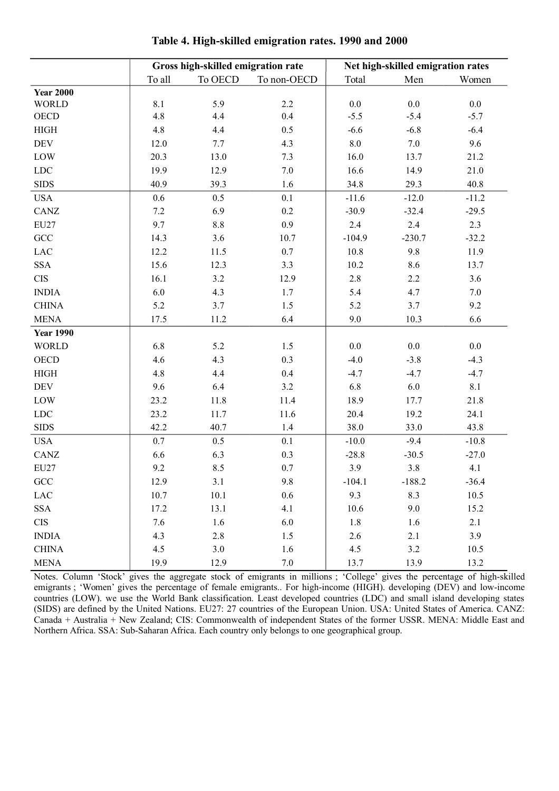|                  |         | Gross high-skilled emigration rate |             |          | Net high-skilled emigration rates |         |
|------------------|---------|------------------------------------|-------------|----------|-----------------------------------|---------|
|                  | To all  | To OECD                            | To non-OECD | Total    | Men                               | Women   |
| <b>Year 2000</b> |         |                                    |             |          |                                   |         |
| <b>WORLD</b>     | 8.1     | 5.9                                | 2.2         | 0.0      | $0.0\,$                           | $0.0\,$ |
| OECD             | 4.8     | 4.4                                | 0.4         | $-5.5$   | $-5.4$                            | $-5.7$  |
| HIGH             | 4.8     | 4.4                                | 0.5         | $-6.6$   | $-6.8$                            | $-6.4$  |
| DEV              | 12.0    | 7.7                                | 4.3         | $8.0\,$  | 7.0                               | 9.6     |
| LOW              | 20.3    | 13.0                               | 7.3         | 16.0     | 13.7                              | 21.2    |
| ${\rm LDC}$      | 19.9    | 12.9                               | 7.0         | 16.6     | 14.9                              | 21.0    |
| <b>SIDS</b>      | 40.9    | 39.3                               | 1.6         | 34.8     | 29.3                              | 40.8    |
| <b>USA</b>       | 0.6     | 0.5                                | 0.1         | $-11.6$  | $-12.0$                           | $-11.2$ |
| CANZ             | $7.2\,$ | 6.9                                | $0.2\,$     | $-30.9$  | $-32.4$                           | $-29.5$ |
| EU27             | 9.7     | $8.8\,$                            | 0.9         | 2.4      | 2.4                               | 2.3     |
| $\rm{GCC}$       | 14.3    | 3.6                                | 10.7        | $-104.9$ | $-230.7$                          | $-32.2$ |
| LAC              | 12.2    | 11.5                               | 0.7         | 10.8     | 9.8                               | 11.9    |
| <b>SSA</b>       | 15.6    | 12.3                               | 3.3         | 10.2     | 8.6                               | 13.7    |
| $\rm CIS$        | 16.1    | 3.2                                | 12.9        | 2.8      | 2.2                               | 3.6     |
| <b>INDIA</b>     | 6.0     | 4.3                                | 1.7         | 5.4      | 4.7                               | 7.0     |
| <b>CHINA</b>     | 5.2     | 3.7                                | 1.5         | 5.2      | 3.7                               | 9.2     |
| <b>MENA</b>      | 17.5    | 11.2                               | 6.4         | 9.0      | 10.3                              | 6.6     |
| <b>Year 1990</b> |         |                                    |             |          |                                   |         |
| <b>WORLD</b>     | 6.8     | 5.2                                | 1.5         | 0.0      | $0.0\,$                           | $0.0\,$ |
| OECD             | 4.6     | 4.3                                | 0.3         | $-4.0$   | $-3.8$                            | $-4.3$  |
| HIGH             | 4.8     | 4.4                                | 0.4         | $-4.7$   | $-4.7$                            | $-4.7$  |
| <b>DEV</b>       | 9.6     | 6.4                                | $3.2$       | 6.8      | 6.0                               | $8.1\,$ |
| LOW              | 23.2    | 11.8                               | 11.4        | 18.9     | 17.7                              | 21.8    |
| LDC              | 23.2    | 11.7                               | 11.6        | 20.4     | 19.2                              | 24.1    |
| <b>SIDS</b>      | 42.2    | 40.7                               | $1.4\,$     | 38.0     | 33.0                              | 43.8    |
| <b>USA</b>       | $0.7\,$ | 0.5                                | $0.1\,$     | $-10.0$  | $-9.4$                            | $-10.8$ |
| CANZ             | 6.6     | 6.3                                | 0.3         | $-28.8$  | $-30.5$                           | $-27.0$ |
| $\text{EU}27$    | 9.2     | 8.5                                | $0.7\,$     | 3.9      | $3.8\,$                           | 4.1     |
| $\rm GCC$        | 12.9    | 3.1                                | 9.8         | $-104.1$ | $-188.2$                          | $-36.4$ |
| LAC              | 10.7    | 10.1                               | 0.6         | 9.3      | 8.3                               | 10.5    |
| <b>SSA</b>       | 17.2    | 13.1                               | 4.1         | 10.6     | 9.0                               | 15.2    |
| <b>CIS</b>       | 7.6     | 1.6                                | 6.0         | 1.8      | 1.6                               | 2.1     |
| <b>INDIA</b>     | 4.3     | 2.8                                | 1.5         | 2.6      | 2.1                               | 3.9     |
| <b>CHINA</b>     | 4.5     | 3.0                                | 1.6         | 4.5      | 3.2                               | 10.5    |
| <b>MENA</b>      | 19.9    | 12.9                               | $7.0\,$     | 13.7     | 13.9                              | 13.2    |

**Table 4. High-skilled emigration rates. 1990 and 2000**

Notes. Column 'Stock' gives the aggregate stock of emigrants in millions ; 'College' gives the percentage of high-skilled emigrants ; 'Women' gives the percentage of female emigrants.. For high-income (HIGH). developing (DEV) and low-income countries (LOW). we use the World Bank classification. Least developed countries (LDC) and small island developing states (SIDS) are defined by the United Nations. EU27: 27 countries of the European Union. USA: United States of America. CANZ: Canada + Australia + New Zealand; CIS: Commonwealth of independent States of the former USSR. MENA: Middle East and Northern Africa. SSA: Sub-Saharan Africa. Each country only belongs to one geographical group.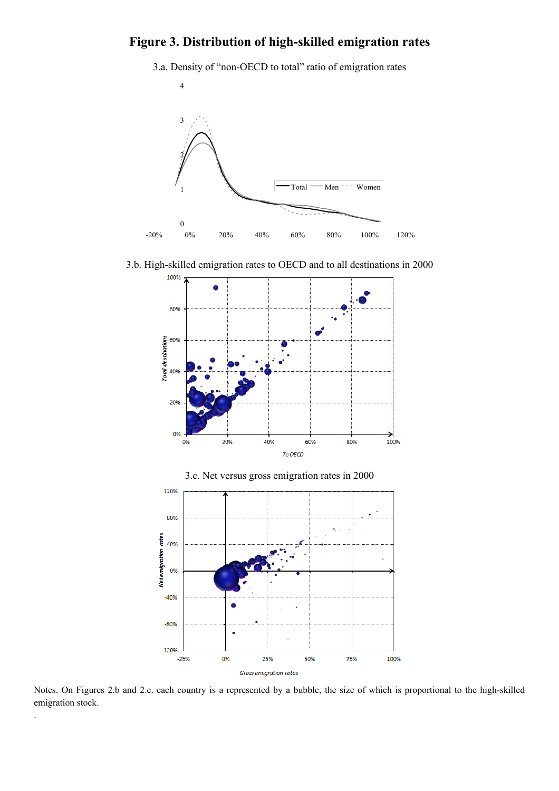## **Figure 3. Distribution of high-skilled emigration rates**

3.a. Density of "non-OECD to total" ratio of emigration rates



3.b. High-skilled emigration rates to OECD and to all destinations in 2000



Notes. On Figures 2.b and 2.c. each country is a represented by a bubble, the size of which is proportional to the high-skilled emigration stock.

50%

75%

100%

25%

**Gross emigration rates** 

 $-25%$ 

0%

.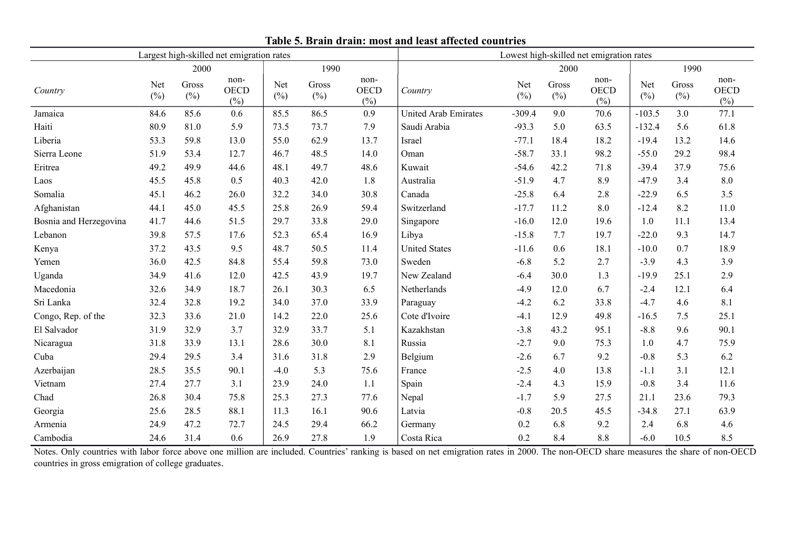|                        |            |                 | Largest high-skilled net emigration rates |               |                 |                               | Lowest high-skilled net emigration rates |            |                 |                               |            |                 |                               |
|------------------------|------------|-----------------|-------------------------------------------|---------------|-----------------|-------------------------------|------------------------------------------|------------|-----------------|-------------------------------|------------|-----------------|-------------------------------|
|                        |            | 2000            |                                           |               | 1990            |                               |                                          |            | 2000            |                               | 1990       |                 |                               |
| Country                | Net<br>(%) | Gross<br>$(\%)$ | non-<br><b>OECD</b><br>(%)                | Net<br>$(\%)$ | Gross<br>$(\%)$ | non-<br><b>OECD</b><br>$(\%)$ | Country                                  | Net<br>(%) | Gross<br>$(\%)$ | non-<br><b>OECD</b><br>$(\%)$ | Net<br>(%) | Gross<br>$(\%)$ | non-<br><b>OECD</b><br>$(\%)$ |
| Jamaica                | 84.6       | 85.6            | 0.6                                       | 85.5          | 86.5            | 0.9                           | <b>United Arab Emirates</b>              | $-309.4$   | 9.0             | 70.6                          | $-103.5$   | 3.0             | 77.1                          |
| Haiti                  | 80.9       | 81.0            | 5.9                                       | 73.5          | 73.7            | 7.9                           | Saudi Arabia                             | $-93.3$    | 5.0             | 63.5                          | $-132.4$   | 5.6             | 61.8                          |
| Liberia                | 53.3       | 59.8            | 13.0                                      | 55.0          | 62.9            | 13.7                          | Israel                                   | $-77.1$    | 18.4            | 18.2                          | $-19.4$    | 13.2            | 14.6                          |
| Sierra Leone           | 51.9       | 53.4            | 12.7                                      | 46.7          | 48.5            | 14.0                          | Oman                                     | $-58.7$    | 33.1            | 98.2                          | $-55.0$    | 29.2            | 98.4                          |
| Eritrea                | 49.2       | 49.9            | 44.6                                      | 48.1          | 49.7            | 48.6                          | Kuwait                                   | $-54.6$    | 42.2            | 71.8                          | $-39.4$    | 37.9            | 75.6                          |
| Laos                   | 45.5       | 45.8            | 0.5                                       | 40.3          | 42.0            | 1.8                           | Australia                                | $-51.9$    | 4.7             | 8.9                           | $-47.9$    | 3.4             | $8.0\,$                       |
| Somalia                | 45.1       | 46.2            | 26.0                                      | 32.2          | 34.0            | 30.8                          | Canada                                   | $-25.8$    | 6.4             | 2.8                           | $-22.9$    | 6.5             | 3.5                           |
| Afghanistan            | 44.1       | 45.0            | 45.5                                      | 25.8          | 26.9            | 59.4                          | Switzerland                              | $-17.7$    | 11.2            | 8.0                           | $-12.4$    | 8.2             | 11.0                          |
| Bosnia and Herzegovina | 41.7       | 44.6            | 51.5                                      | 29.7          | 33.8            | 29.0                          | Singapore                                | $-16.0$    | 12.0            | 19.6                          | 1.0        | 11.1            | 13.4                          |
| Lebanon                | 39.8       | 57.5            | 17.6                                      | 52.3          | 65.4            | 16.9                          | Libya                                    | $-15.8$    | 7.7             | 19.7                          | $-22.0$    | 9.3             | 14.7                          |
| Kenya                  | 37.2       | 43.5            | 9.5                                       | 48.7          | 50.5            | 11.4                          | <b>United States</b>                     | $-11.6$    | 0.6             | 18.1                          | $-10.0$    | 0.7             | 18.9                          |
| Yemen                  | 36.0       | 42.5            | 84.8                                      | 55.4          | 59.8            | 73.0                          | Sweden                                   | $-6.8$     | 5.2             | 2.7                           | $-3.9$     | 4.3             | 3.9                           |
| Uganda                 | 34.9       | 41.6            | 12.0                                      | 42.5          | 43.9            | 19.7                          | New Zealand                              | $-6.4$     | 30.0            | 1.3                           | $-19.9$    | 25.1            | 2.9                           |
| Macedonia              | 32.6       | 34.9            | 18.7                                      | 26.1          | 30.3            | 6.5                           | Netherlands                              | $-4.9$     | 12.0            | 6.7                           | $-2.4$     | 12.1            | 6.4                           |
| Sri Lanka              | 32.4       | 32.8            | 19.2                                      | 34.0          | 37.0            | 33.9                          | Paraguay                                 | $-4.2$     | 6.2             | 33.8                          | $-4.7$     | 4.6             | 8.1                           |
| Congo, Rep. of the     | 32.3       | 33.6            | 21.0                                      | 14.2          | 22.0            | 25.6                          | Cote d'Ivoire                            | $-4.1$     | 12.9            | 49.8                          | $-16.5$    | 7.5             | 25.1                          |
| El Salvador            | 31.9       | 32.9            | 3.7                                       | 32.9          | 33.7            | 5.1                           | Kazakhstan                               | $-3.8$     | 43.2            | 95.1                          | $-8.8$     | 9.6             | 90.1                          |
| Nicaragua              | 31.8       | 33.9            | 13.1                                      | 28.6          | 30.0            | 8.1                           | Russia                                   | $-2.7$     | 9.0             | 75.3                          | 1.0        | 4.7             | 75.9                          |
| Cuba                   | 29.4       | 29.5            | 3.4                                       | 31.6          | 31.8            | 2.9                           | Belgium                                  | $-2.6$     | 6.7             | 9.2                           | $-0.8$     | 5.3             | 6.2                           |
| Azerbaijan             | 28.5       | 35.5            | 90.1                                      | $-4.0$        | 5.3             | 75.6                          | France                                   | $-2.5$     | 4.0             | 13.8                          | $-1.1$     | 3.1             | 12.1                          |
| Vietnam                | 27.4       | 27.7            | 3.1                                       | 23.9          | 24.0            | 1.1                           | Spain                                    | $-2.4$     | 4.3             | 15.9                          | $-0.8$     | 3.4             | 11.6                          |
| Chad                   | 26.8       | 30.4            | 75.8                                      | 25.3          | 27.3            | 77.6                          | Nepal                                    | $-1.7$     | 5.9             | 27.5                          | 21.1       | 23.6            | 79.3                          |
| Georgia                | 25.6       | 28.5            | 88.1                                      | 11.3          | 16.1            | 90.6                          | Latvia                                   | $-0.8$     | 20.5            | 45.5                          | $-34.8$    | 27.1            | 63.9                          |
| Armenia                | 24.9       | 47.2            | 72.7                                      | 24.5          | 29.4            | 66.2                          | Germany                                  | 0.2        | 6.8             | 9.2                           | 2.4        | 6.8             | 4.6                           |
| Cambodia               | 24.6       | 31.4            | 0.6                                       | 26.9          | 27.8            | 1.9                           | Costa Rica                               | 0.2        | 8.4             | 8.8                           | $-6.0$     | 10.5            | 8.5                           |

**Table 5. Brain drain: most and least affected countries**

Notes. Only countries with labor force above one million are included. Countries' ranking is based on net emigration rates in 2000. The non-OECD share measures the share of non-OECD countries in gross emigration of college graduates.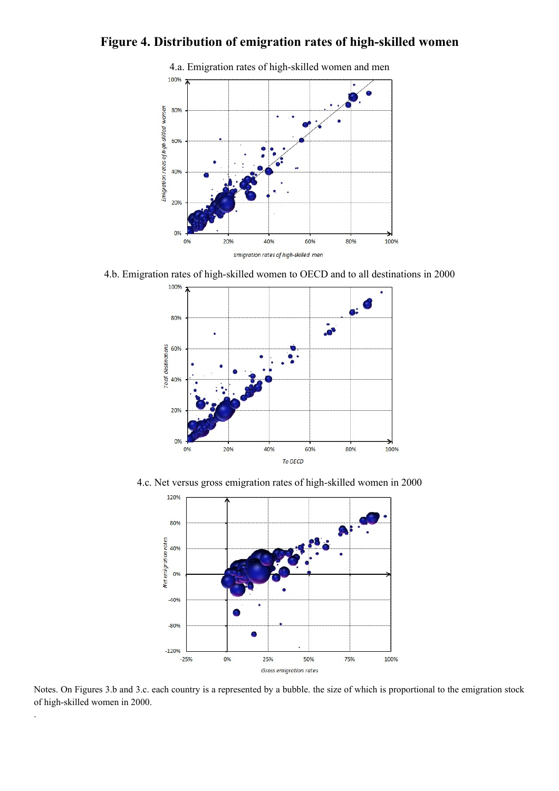## **Figure 4. Distribution of emigration rates of high-skilled women**



4.b. Emigration rates of high-skilled women to OECD and to all destinations in 2000



4.c. Net versus gross emigration rates of high-skilled women in 2000



Notes. On Figures 3.b and 3.c. each country is a represented by a bubble. the size of which is proportional to the emigration stock of high-skilled women in 2000.

.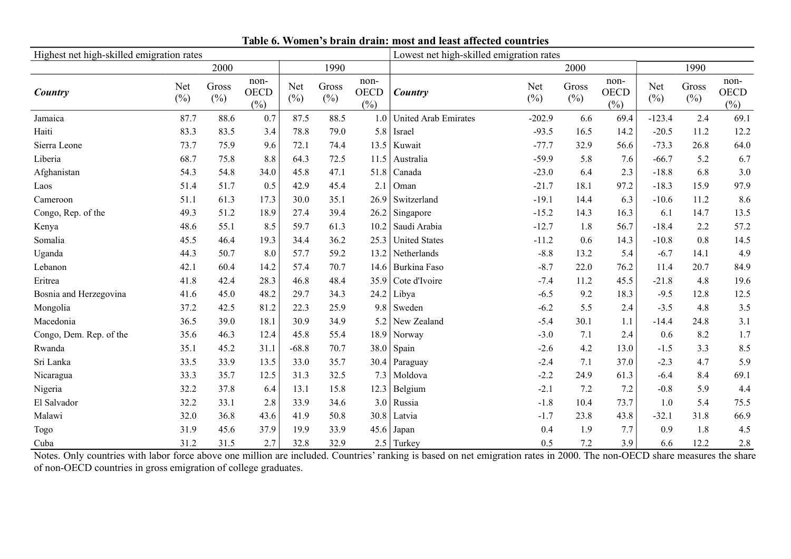| Highest net high-skilled emigration rates |                      |                  |                               |                      |                 |                            | Lowest net high-skilled emigration rates |               |                  |                               |                      |                 |                               |
|-------------------------------------------|----------------------|------------------|-------------------------------|----------------------|-----------------|----------------------------|------------------------------------------|---------------|------------------|-------------------------------|----------------------|-----------------|-------------------------------|
|                                           |                      | 2000             |                               |                      | 1990            |                            |                                          |               | 2000             |                               |                      | 1990            |                               |
| Country                                   | <b>Net</b><br>$(\%)$ | Gross<br>$(\% )$ | non-<br><b>OECD</b><br>$(\%)$ | <b>Net</b><br>$(\%)$ | Gross<br>$(\%)$ | non-<br><b>OECD</b><br>(%) | Country                                  | Net<br>$(\%)$ | Gross<br>$(\% )$ | non-<br><b>OECD</b><br>$(\%)$ | <b>Net</b><br>$(\%)$ | Gross<br>$(\%)$ | non-<br><b>OECD</b><br>$(\%)$ |
| Jamaica                                   | 87.7                 | 88.6             | 0.7                           | 87.5                 | 88.5            | 1.0                        | <b>United Arab Emirates</b>              | $-202.9$      | 6.6              | 69.4                          | $-123.4$             | 2.4             | 69.1                          |
| Haiti                                     | 83.3                 | 83.5             | 3.4                           | 78.8                 | 79.0            | 5.8                        | Israel                                   | $-93.5$       | 16.5             | 14.2                          | $-20.5$              | 11.2            | 12.2                          |
| Sierra Leone                              | 73.7                 | 75.9             | 9.6                           | 72.1                 | 74.4            | 13.5                       | Kuwait                                   | $-77.7$       | 32.9             | 56.6                          | $-73.3$              | 26.8            | 64.0                          |
| Liberia                                   | 68.7                 | 75.8             | 8.8                           | 64.3                 | 72.5            | 11.5                       | Australia                                | $-59.9$       | 5.8              | 7.6                           | $-66.7$              | 5.2             | 6.7                           |
| Afghanistan                               | 54.3                 | 54.8             | 34.0                          | 45.8                 | 47.1            | 51.8                       | Canada                                   | $-23.0$       | 6.4              | 2.3                           | $-18.8$              | 6.8             | 3.0                           |
| Laos                                      | 51.4                 | 51.7             | 0.5                           | 42.9                 | 45.4            | 2.1                        | Oman                                     | $-21.7$       | 18.1             | 97.2                          | $-18.3$              | 15.9            | 97.9                          |
| Cameroon                                  | 51.1                 | 61.3             | 17.3                          | 30.0                 | 35.1            | 26.9                       | Switzerland                              | $-19.1$       | 14.4             | 6.3                           | $-10.6$              | 11.2            | 8.6                           |
| Congo, Rep. of the                        | 49.3                 | 51.2             | 18.9                          | 27.4                 | 39.4            | 26.2                       | Singapore                                | $-15.2$       | 14.3             | 16.3                          | 6.1                  | 14.7            | 13.5                          |
| Kenya                                     | 48.6                 | 55.1             | 8.5                           | 59.7                 | 61.3            | 10.2                       | Saudi Arabia                             | $-12.7$       | 1.8              | 56.7                          | $-18.4$              | 2.2             | 57.2                          |
| Somalia                                   | 45.5                 | 46.4             | 19.3                          | 34.4                 | 36.2            | 25.3                       | <b>United States</b>                     | $-11.2$       | 0.6              | 14.3                          | $-10.8$              | 0.8             | 14.5                          |
| Uganda                                    | 44.3                 | 50.7             | 8.0                           | 57.7                 | 59.2            | 13.2                       | Netherlands                              | $-8.8$        | 13.2             | 5.4                           | $-6.7$               | 14.1            | 4.9                           |
| Lebanon                                   | 42.1                 | 60.4             | 14.2                          | 57.4                 | 70.7            | 14.6                       | Burkina Faso                             | $-8.7$        | 22.0             | 76.2                          | 11.4                 | 20.7            | 84.9                          |
| Eritrea                                   | 41.8                 | 42.4             | 28.3                          | 46.8                 | 48.4            | 35.9                       | Cote d'Ivoire                            | $-7.4$        | 11.2             | 45.5                          | $-21.8$              | 4.8             | 19.6                          |
| Bosnia and Herzegovina                    | 41.6                 | 45.0             | 48.2                          | 29.7                 | 34.3            | 24.2                       | Libya                                    | $-6.5$        | 9.2              | 18.3                          | $-9.5$               | 12.8            | 12.5                          |
| Mongolia                                  | 37.2                 | 42.5             | 81.2                          | 22.3                 | 25.9            | 9.8                        | Sweden                                   | $-6.2$        | 5.5              | 2.4                           | $-3.5$               | 4.8             | 3.5                           |
| Macedonia                                 | 36.5                 | 39.0             | 18.1                          | 30.9                 | 34.9            | 5.2                        | New Zealand                              | $-5.4$        | 30.1             | 1.1                           | $-14.4$              | 24.8            | 3.1                           |
| Congo, Dem. Rep. of the                   | 35.6                 | 46.3             | 12.4                          | 45.8                 | 55.4            | 18.9                       | Norway                                   | $-3.0$        | 7.1              | 2.4                           | 0.6                  | 8.2             | 1.7                           |
| Rwanda                                    | 35.1                 | 45.2             | 31.1                          | $-68.8$              | 70.7            |                            | $38.0$ Spain                             | $-2.6$        | 4.2              | 13.0                          | $-1.5$               | 3.3             | 8.5                           |
| Sri Lanka                                 | 33.5                 | 33.9             | 13.5                          | 33.0                 | 35.7            | 30.4                       | Paraguay                                 | $-2.4$        | 7.1              | 37.0                          | $-2.3$               | 4.7             | 5.9                           |
| Nicaragua                                 | 33.3                 | 35.7             | 12.5                          | 31.3                 | 32.5            | 7.3                        | Moldova                                  | $-2.2$        | 24.9             | 61.3                          | $-6.4$               | 8.4             | 69.1                          |
| Nigeria                                   | 32.2                 | 37.8             | 6.4                           | 13.1                 | 15.8            | 12.3                       | Belgium                                  | $-2.1$        | 7.2              | 7.2                           | $-0.8$               | 5.9             | 4.4                           |
| El Salvador                               | 32.2                 | 33.1             | 2.8                           | 33.9                 | 34.6            | 3.0                        | Russia                                   | $-1.8$        | 10.4             | 73.7                          | 1.0                  | 5.4             | 75.5                          |
| Malawi                                    | 32.0                 | 36.8             | 43.6                          | 41.9                 | 50.8            | 30.8                       | Latvia                                   | $-1.7$        | 23.8             | 43.8                          | $-32.1$              | 31.8            | 66.9                          |
| Togo                                      | 31.9                 | 45.6             | 37.9                          | 19.9                 | 33.9            | 45.6                       | Japan                                    | 0.4           | 1.9              | 7.7                           | 0.9                  | 1.8             | 4.5                           |
| Cuba                                      | 31.2                 | 31.5             | 2.7                           | 32.8                 | 32.9            | 2.5                        | Turkey                                   | 0.5           | 7.2              | 3.9                           | 6.6                  | 12.2            | 2.8                           |

### **Table 6. Women's brain drain: most and least affected countries**

Notes. Only countries with labor force above one million are included. Countries' ranking is based on net emigration rates in 2000. The non-OECD share measures the share of non-OECD countries in gross emigration of college graduates.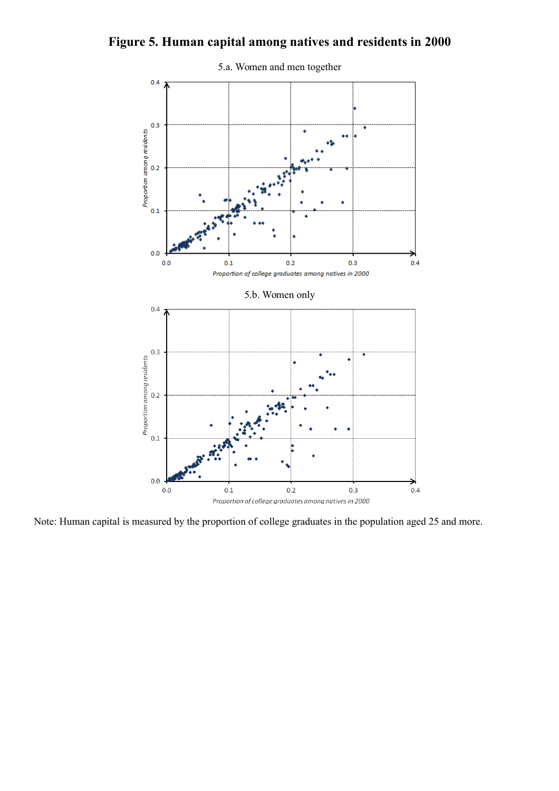## **Figure 5. Human capital among natives and residents in 2000**



Note: Human capital is measured by the proportion of college graduates in the population aged 25 and more.

### 5.a. Women and men together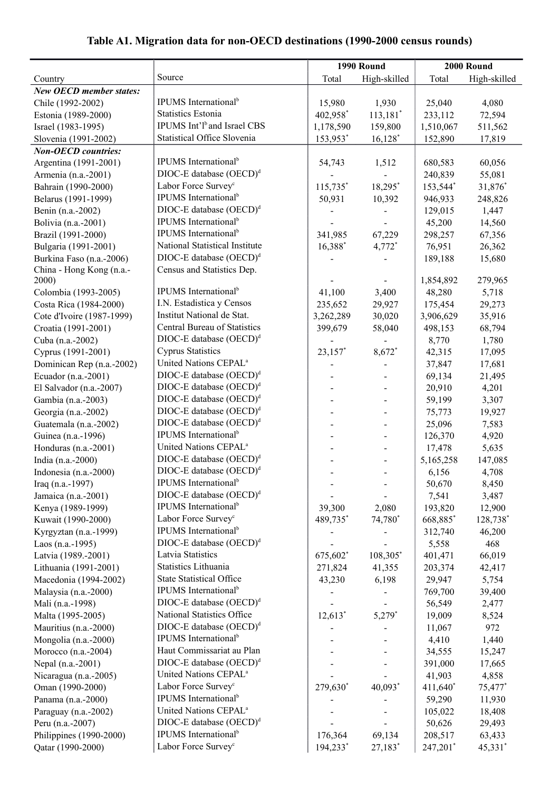## **Table A1. Migration data for non-OECD destinations (1990-2000 census rounds)**

| Source<br>Total<br>High-skilled<br>Total<br>High-skilled<br>Country<br><b>New OECD member states:</b><br>IPUMS International <sup>b</sup><br>15,980<br>1,930<br>4,080<br>Chile (1992-2002)<br>25,040<br><b>Statistics Estonia</b><br>402,958*<br>$113,181$ <sup>*</sup><br>72,594<br>Estonia (1989-2000)<br>233,112<br>IPUMS Int'l <sup>b</sup> and Israel CBS<br>159,800<br>Israel (1983-1995)<br>1,178,590<br>1,510,067<br>511,562<br><b>Statistical Office Slovenia</b><br>$16,128$ <sup>*</sup><br>153,953*<br>17,819<br>Slovenia (1991-2002)<br>152,890<br><b>Non-OECD</b> countries:<br>IPUMS International <sup>b</sup><br>Argentina (1991-2001)<br>1,512<br>680,583<br>60,056<br>54,743<br>DIOC-E database (OECD) <sup>d</sup><br>240,839<br>55,081<br>Armenia (n.a.-2001)<br>Labor Force Survey <sup>c</sup><br>Bahrain (1990-2000)<br>$115,735$ *<br>18,295*<br>153,544*<br>31,876*<br>IPUMS International <sup>b</sup><br>Belarus (1991-1999)<br>50,931<br>10,392<br>946,933<br>248,826<br>DIOC-E database (OECD) <sup>d</sup><br>Benin (n.a.-2002)<br>129,015<br>1,447<br>IPUMS International <sup>b</sup><br>Bolivia (n.a.-2001)<br>45,200<br>14,560<br>IPUMS International <sup>b</sup><br>Brazil (1991-2000)<br>341,985<br>67,229<br>298,257<br>67,356<br>National Statistical Institute<br>16,388*<br>Bulgaria (1991-2001)<br>4,772*<br>76,951<br>26,362<br>DIOC-E database (OECD) <sup>d</sup><br>Burkina Faso (n.a.-2006)<br>189,188<br>15,680<br>China - Hong Kong (n.a.-<br>Census and Statistics Dep.<br>279,965<br>1,854,892<br>2000)<br>IPUMS International <sup>b</sup><br>41,100<br>3,400<br>48,280<br>Colombia (1993-2005)<br>5,718<br>I.N. Estadistica y Censos<br>Costa Rica (1984-2000)<br>235,652<br>29,273<br>29,927<br>175,454<br>Institut National de Stat.<br>Cote d'Ivoire (1987-1999)<br>3,262,289<br>30,020<br>3,906,629<br>35,916<br>Central Bureau of Statistics<br>Croatia (1991-2001)<br>58,040<br>498,153<br>68,794<br>399,679<br>$DIOC-E$ database $(OECD)^d$<br>Cuba (n.a.-2002)<br>8,770<br>1,780<br><b>Cyprus Statistics</b><br>23,157*<br>8,672*<br>42,315<br>Cyprus (1991-2001)<br>17,095<br>United Nations CEPAL <sup>a</sup><br>Dominican Rep (n.a.-2002)<br>17,681<br>37,847<br>$DIOC-E$ database $(OECD)^d$<br>Ecuador (n.a.-2001)<br>69,134<br>21,495<br>$DIOC-E$ database $(OECD)^d$<br>El Salvador (n.a.-2007)<br>20,910<br>4,201<br>$DIOC-E$ database $(OECD)^d$<br>59,199<br>Gambia (n.a.-2003)<br>3,307<br>$DIOC-E$ database $(OECD)^d$<br>Georgia (n.a.-2002)<br>75,773<br>19,927<br>$DIOC-E$ database $(OECD)^d$<br>Guatemala (n.a.-2002)<br>25,096<br>7,583<br>IPUMS International <sup>b</sup><br>Guinea (n.a.-1996)<br>126,370<br>4,920<br>United Nations CEPAL <sup>a</sup><br>Honduras (n.a.-2001)<br>17,478<br>5,635<br>$DIOC-E$ database $(OECD)^d$<br>India (n.a.-2000)<br>5,165,258<br>147,085<br>$DIOC-E$ database $(OECD)^d$<br>Indonesia (n.a.-2000)<br>6,156<br>4,708<br>IPUMS International <sup>b</sup><br>Iraq $(n.a.-1997)$<br>50,670<br>8,450<br>$DIOC-E$ database $(OECD)^d$<br>Jamaica (n.a.-2001)<br>7,541<br>3,487<br>IPUMS International <sup>b</sup><br>Kenya (1989-1999)<br>39,300<br>2,080<br>193,820<br>12,900<br>Labor Force Survey <sup>c</sup><br>74,780*<br>Kuwait (1990-2000)<br>489,735*<br>668,885*<br>128,738*<br>IPUMS International <sup>b</sup><br>Kyrgyztan (n.a.-1999)<br>312,740<br>46,200<br>$DIOC-E$ database $(OECD)^d$<br>Laos (n.a.-1995)<br>5,558<br>468<br>Latvia Statistics<br>675,602*<br>108,305*<br>66,019<br>Latvia (1989.-2001)<br>401,471<br>Statistics Lithuania<br>Lithuania (1991-2001)<br>41,355<br>42,417<br>271,824<br>203,374<br><b>State Statistical Office</b><br>6,198<br>Macedonia (1994-2002)<br>43,230<br>29,947<br>5,754<br>IPUMS International <sup>b</sup><br>Malaysia (n.a.-2000)<br>769,700<br>39,400<br>$DIOC-E$ database $(OECD)^d$<br>Mali (n.a.-1998)<br>56,549<br>2,477<br>National Statistics Office<br>$12,613$ <sup>*</sup><br>$5,279$ *<br>Malta (1995-2005)<br>19,009<br>8,524<br>$DIOC-E$ database $(OECD)^d$<br>Mauritius (n.a.-2000)<br>972<br>11,067<br>IPUMS International <sup>b</sup><br>Mongolia (n.a.-2000)<br>4,410<br>1,440<br>Haut Commissariat au Plan<br>Morocco (n.a.-2004)<br>34,555<br>15,247<br>$DIOC-E$ database $(OECD)^d$<br>Nepal (n.a.-2001)<br>391,000<br>17,665<br>United Nations CEPAL <sup>a</sup><br>Nicaragua (n.a.-2005)<br>41,903<br>4,858<br>Labor Force Survey <sup>c</sup><br>Oman (1990-2000)<br>$279,630^*$<br>$40,093*$<br>411,640*<br>75,477*<br>IPUMS International <sup>b</sup><br>Panama (n.a.-2000)<br>59,290<br>11,930<br>United Nations CEPAL <sup>a</sup><br>Paraguay (n.a.-2002)<br>105,022<br>18,408<br>$DIOC-E$ database $(OECD)^d$<br>Peru (n.a.-2007)<br>50,626<br>29,493<br>IPUMS International <sup>b</sup><br>Philippines (1990-2000)<br>176,364<br>69,134<br>208,517<br>63,433 |                   |                                 |          | 1990 Round | 2000 Round |         |  |
|-------------------------------------------------------------------------------------------------------------------------------------------------------------------------------------------------------------------------------------------------------------------------------------------------------------------------------------------------------------------------------------------------------------------------------------------------------------------------------------------------------------------------------------------------------------------------------------------------------------------------------------------------------------------------------------------------------------------------------------------------------------------------------------------------------------------------------------------------------------------------------------------------------------------------------------------------------------------------------------------------------------------------------------------------------------------------------------------------------------------------------------------------------------------------------------------------------------------------------------------------------------------------------------------------------------------------------------------------------------------------------------------------------------------------------------------------------------------------------------------------------------------------------------------------------------------------------------------------------------------------------------------------------------------------------------------------------------------------------------------------------------------------------------------------------------------------------------------------------------------------------------------------------------------------------------------------------------------------------------------------------------------------------------------------------------------------------------------------------------------------------------------------------------------------------------------------------------------------------------------------------------------------------------------------------------------------------------------------------------------------------------------------------------------------------------------------------------------------------------------------------------------------------------------------------------------------------------------------------------------------------------------------------------------------------------------------------------------------------------------------------------------------------------------------------------------------------------------------------------------------------------------------------------------------------------------------------------------------------------------------------------------------------------------------------------------------------------------------------------------------------------------------------------------------------------------------------------------------------------------------------------------------------------------------------------------------------------------------------------------------------------------------------------------------------------------------------------------------------------------------------------------------------------------------------------------------------------------------------------------------------------------------------------------------------------------------------------------------------------------------------------------------------------------------------------------------------------------------------------------------------------------------------------------------------------------------------------------------------------------------------------------------------------------------------------------------------------------------------------------------------------------------------------------------------------------------------------------------------------------------------------------------------------------------------------------------------------------------------------------------------------------------------------------------------------------------------------------------------------------------------------------------------------------------------------------------------------------------------------------------------------------------------------------------------------------------------------------------------------------------------------------------------------------------------------------------------------------------------------------------------------|-------------------|---------------------------------|----------|------------|------------|---------|--|
|                                                                                                                                                                                                                                                                                                                                                                                                                                                                                                                                                                                                                                                                                                                                                                                                                                                                                                                                                                                                                                                                                                                                                                                                                                                                                                                                                                                                                                                                                                                                                                                                                                                                                                                                                                                                                                                                                                                                                                                                                                                                                                                                                                                                                                                                                                                                                                                                                                                                                                                                                                                                                                                                                                                                                                                                                                                                                                                                                                                                                                                                                                                                                                                                                                                                                                                                                                                                                                                                                                                                                                                                                                                                                                                                                                                                                                                                                                                                                                                                                                                                                                                                                                                                                                                                                                                                                                                                                                                                                                                                                                                                                                                                                                                                                                                                                                                                                     |                   |                                 |          |            |            |         |  |
|                                                                                                                                                                                                                                                                                                                                                                                                                                                                                                                                                                                                                                                                                                                                                                                                                                                                                                                                                                                                                                                                                                                                                                                                                                                                                                                                                                                                                                                                                                                                                                                                                                                                                                                                                                                                                                                                                                                                                                                                                                                                                                                                                                                                                                                                                                                                                                                                                                                                                                                                                                                                                                                                                                                                                                                                                                                                                                                                                                                                                                                                                                                                                                                                                                                                                                                                                                                                                                                                                                                                                                                                                                                                                                                                                                                                                                                                                                                                                                                                                                                                                                                                                                                                                                                                                                                                                                                                                                                                                                                                                                                                                                                                                                                                                                                                                                                                                     |                   |                                 |          |            |            |         |  |
|                                                                                                                                                                                                                                                                                                                                                                                                                                                                                                                                                                                                                                                                                                                                                                                                                                                                                                                                                                                                                                                                                                                                                                                                                                                                                                                                                                                                                                                                                                                                                                                                                                                                                                                                                                                                                                                                                                                                                                                                                                                                                                                                                                                                                                                                                                                                                                                                                                                                                                                                                                                                                                                                                                                                                                                                                                                                                                                                                                                                                                                                                                                                                                                                                                                                                                                                                                                                                                                                                                                                                                                                                                                                                                                                                                                                                                                                                                                                                                                                                                                                                                                                                                                                                                                                                                                                                                                                                                                                                                                                                                                                                                                                                                                                                                                                                                                                                     |                   |                                 |          |            |            |         |  |
|                                                                                                                                                                                                                                                                                                                                                                                                                                                                                                                                                                                                                                                                                                                                                                                                                                                                                                                                                                                                                                                                                                                                                                                                                                                                                                                                                                                                                                                                                                                                                                                                                                                                                                                                                                                                                                                                                                                                                                                                                                                                                                                                                                                                                                                                                                                                                                                                                                                                                                                                                                                                                                                                                                                                                                                                                                                                                                                                                                                                                                                                                                                                                                                                                                                                                                                                                                                                                                                                                                                                                                                                                                                                                                                                                                                                                                                                                                                                                                                                                                                                                                                                                                                                                                                                                                                                                                                                                                                                                                                                                                                                                                                                                                                                                                                                                                                                                     |                   |                                 |          |            |            |         |  |
|                                                                                                                                                                                                                                                                                                                                                                                                                                                                                                                                                                                                                                                                                                                                                                                                                                                                                                                                                                                                                                                                                                                                                                                                                                                                                                                                                                                                                                                                                                                                                                                                                                                                                                                                                                                                                                                                                                                                                                                                                                                                                                                                                                                                                                                                                                                                                                                                                                                                                                                                                                                                                                                                                                                                                                                                                                                                                                                                                                                                                                                                                                                                                                                                                                                                                                                                                                                                                                                                                                                                                                                                                                                                                                                                                                                                                                                                                                                                                                                                                                                                                                                                                                                                                                                                                                                                                                                                                                                                                                                                                                                                                                                                                                                                                                                                                                                                                     |                   |                                 |          |            |            |         |  |
|                                                                                                                                                                                                                                                                                                                                                                                                                                                                                                                                                                                                                                                                                                                                                                                                                                                                                                                                                                                                                                                                                                                                                                                                                                                                                                                                                                                                                                                                                                                                                                                                                                                                                                                                                                                                                                                                                                                                                                                                                                                                                                                                                                                                                                                                                                                                                                                                                                                                                                                                                                                                                                                                                                                                                                                                                                                                                                                                                                                                                                                                                                                                                                                                                                                                                                                                                                                                                                                                                                                                                                                                                                                                                                                                                                                                                                                                                                                                                                                                                                                                                                                                                                                                                                                                                                                                                                                                                                                                                                                                                                                                                                                                                                                                                                                                                                                                                     |                   |                                 |          |            |            |         |  |
|                                                                                                                                                                                                                                                                                                                                                                                                                                                                                                                                                                                                                                                                                                                                                                                                                                                                                                                                                                                                                                                                                                                                                                                                                                                                                                                                                                                                                                                                                                                                                                                                                                                                                                                                                                                                                                                                                                                                                                                                                                                                                                                                                                                                                                                                                                                                                                                                                                                                                                                                                                                                                                                                                                                                                                                                                                                                                                                                                                                                                                                                                                                                                                                                                                                                                                                                                                                                                                                                                                                                                                                                                                                                                                                                                                                                                                                                                                                                                                                                                                                                                                                                                                                                                                                                                                                                                                                                                                                                                                                                                                                                                                                                                                                                                                                                                                                                                     |                   |                                 |          |            |            |         |  |
|                                                                                                                                                                                                                                                                                                                                                                                                                                                                                                                                                                                                                                                                                                                                                                                                                                                                                                                                                                                                                                                                                                                                                                                                                                                                                                                                                                                                                                                                                                                                                                                                                                                                                                                                                                                                                                                                                                                                                                                                                                                                                                                                                                                                                                                                                                                                                                                                                                                                                                                                                                                                                                                                                                                                                                                                                                                                                                                                                                                                                                                                                                                                                                                                                                                                                                                                                                                                                                                                                                                                                                                                                                                                                                                                                                                                                                                                                                                                                                                                                                                                                                                                                                                                                                                                                                                                                                                                                                                                                                                                                                                                                                                                                                                                                                                                                                                                                     |                   |                                 |          |            |            |         |  |
|                                                                                                                                                                                                                                                                                                                                                                                                                                                                                                                                                                                                                                                                                                                                                                                                                                                                                                                                                                                                                                                                                                                                                                                                                                                                                                                                                                                                                                                                                                                                                                                                                                                                                                                                                                                                                                                                                                                                                                                                                                                                                                                                                                                                                                                                                                                                                                                                                                                                                                                                                                                                                                                                                                                                                                                                                                                                                                                                                                                                                                                                                                                                                                                                                                                                                                                                                                                                                                                                                                                                                                                                                                                                                                                                                                                                                                                                                                                                                                                                                                                                                                                                                                                                                                                                                                                                                                                                                                                                                                                                                                                                                                                                                                                                                                                                                                                                                     |                   |                                 |          |            |            |         |  |
|                                                                                                                                                                                                                                                                                                                                                                                                                                                                                                                                                                                                                                                                                                                                                                                                                                                                                                                                                                                                                                                                                                                                                                                                                                                                                                                                                                                                                                                                                                                                                                                                                                                                                                                                                                                                                                                                                                                                                                                                                                                                                                                                                                                                                                                                                                                                                                                                                                                                                                                                                                                                                                                                                                                                                                                                                                                                                                                                                                                                                                                                                                                                                                                                                                                                                                                                                                                                                                                                                                                                                                                                                                                                                                                                                                                                                                                                                                                                                                                                                                                                                                                                                                                                                                                                                                                                                                                                                                                                                                                                                                                                                                                                                                                                                                                                                                                                                     |                   |                                 |          |            |            |         |  |
|                                                                                                                                                                                                                                                                                                                                                                                                                                                                                                                                                                                                                                                                                                                                                                                                                                                                                                                                                                                                                                                                                                                                                                                                                                                                                                                                                                                                                                                                                                                                                                                                                                                                                                                                                                                                                                                                                                                                                                                                                                                                                                                                                                                                                                                                                                                                                                                                                                                                                                                                                                                                                                                                                                                                                                                                                                                                                                                                                                                                                                                                                                                                                                                                                                                                                                                                                                                                                                                                                                                                                                                                                                                                                                                                                                                                                                                                                                                                                                                                                                                                                                                                                                                                                                                                                                                                                                                                                                                                                                                                                                                                                                                                                                                                                                                                                                                                                     |                   |                                 |          |            |            |         |  |
|                                                                                                                                                                                                                                                                                                                                                                                                                                                                                                                                                                                                                                                                                                                                                                                                                                                                                                                                                                                                                                                                                                                                                                                                                                                                                                                                                                                                                                                                                                                                                                                                                                                                                                                                                                                                                                                                                                                                                                                                                                                                                                                                                                                                                                                                                                                                                                                                                                                                                                                                                                                                                                                                                                                                                                                                                                                                                                                                                                                                                                                                                                                                                                                                                                                                                                                                                                                                                                                                                                                                                                                                                                                                                                                                                                                                                                                                                                                                                                                                                                                                                                                                                                                                                                                                                                                                                                                                                                                                                                                                                                                                                                                                                                                                                                                                                                                                                     |                   |                                 |          |            |            |         |  |
|                                                                                                                                                                                                                                                                                                                                                                                                                                                                                                                                                                                                                                                                                                                                                                                                                                                                                                                                                                                                                                                                                                                                                                                                                                                                                                                                                                                                                                                                                                                                                                                                                                                                                                                                                                                                                                                                                                                                                                                                                                                                                                                                                                                                                                                                                                                                                                                                                                                                                                                                                                                                                                                                                                                                                                                                                                                                                                                                                                                                                                                                                                                                                                                                                                                                                                                                                                                                                                                                                                                                                                                                                                                                                                                                                                                                                                                                                                                                                                                                                                                                                                                                                                                                                                                                                                                                                                                                                                                                                                                                                                                                                                                                                                                                                                                                                                                                                     |                   |                                 |          |            |            |         |  |
|                                                                                                                                                                                                                                                                                                                                                                                                                                                                                                                                                                                                                                                                                                                                                                                                                                                                                                                                                                                                                                                                                                                                                                                                                                                                                                                                                                                                                                                                                                                                                                                                                                                                                                                                                                                                                                                                                                                                                                                                                                                                                                                                                                                                                                                                                                                                                                                                                                                                                                                                                                                                                                                                                                                                                                                                                                                                                                                                                                                                                                                                                                                                                                                                                                                                                                                                                                                                                                                                                                                                                                                                                                                                                                                                                                                                                                                                                                                                                                                                                                                                                                                                                                                                                                                                                                                                                                                                                                                                                                                                                                                                                                                                                                                                                                                                                                                                                     |                   |                                 |          |            |            |         |  |
|                                                                                                                                                                                                                                                                                                                                                                                                                                                                                                                                                                                                                                                                                                                                                                                                                                                                                                                                                                                                                                                                                                                                                                                                                                                                                                                                                                                                                                                                                                                                                                                                                                                                                                                                                                                                                                                                                                                                                                                                                                                                                                                                                                                                                                                                                                                                                                                                                                                                                                                                                                                                                                                                                                                                                                                                                                                                                                                                                                                                                                                                                                                                                                                                                                                                                                                                                                                                                                                                                                                                                                                                                                                                                                                                                                                                                                                                                                                                                                                                                                                                                                                                                                                                                                                                                                                                                                                                                                                                                                                                                                                                                                                                                                                                                                                                                                                                                     |                   |                                 |          |            |            |         |  |
|                                                                                                                                                                                                                                                                                                                                                                                                                                                                                                                                                                                                                                                                                                                                                                                                                                                                                                                                                                                                                                                                                                                                                                                                                                                                                                                                                                                                                                                                                                                                                                                                                                                                                                                                                                                                                                                                                                                                                                                                                                                                                                                                                                                                                                                                                                                                                                                                                                                                                                                                                                                                                                                                                                                                                                                                                                                                                                                                                                                                                                                                                                                                                                                                                                                                                                                                                                                                                                                                                                                                                                                                                                                                                                                                                                                                                                                                                                                                                                                                                                                                                                                                                                                                                                                                                                                                                                                                                                                                                                                                                                                                                                                                                                                                                                                                                                                                                     |                   |                                 |          |            |            |         |  |
|                                                                                                                                                                                                                                                                                                                                                                                                                                                                                                                                                                                                                                                                                                                                                                                                                                                                                                                                                                                                                                                                                                                                                                                                                                                                                                                                                                                                                                                                                                                                                                                                                                                                                                                                                                                                                                                                                                                                                                                                                                                                                                                                                                                                                                                                                                                                                                                                                                                                                                                                                                                                                                                                                                                                                                                                                                                                                                                                                                                                                                                                                                                                                                                                                                                                                                                                                                                                                                                                                                                                                                                                                                                                                                                                                                                                                                                                                                                                                                                                                                                                                                                                                                                                                                                                                                                                                                                                                                                                                                                                                                                                                                                                                                                                                                                                                                                                                     |                   |                                 |          |            |            |         |  |
|                                                                                                                                                                                                                                                                                                                                                                                                                                                                                                                                                                                                                                                                                                                                                                                                                                                                                                                                                                                                                                                                                                                                                                                                                                                                                                                                                                                                                                                                                                                                                                                                                                                                                                                                                                                                                                                                                                                                                                                                                                                                                                                                                                                                                                                                                                                                                                                                                                                                                                                                                                                                                                                                                                                                                                                                                                                                                                                                                                                                                                                                                                                                                                                                                                                                                                                                                                                                                                                                                                                                                                                                                                                                                                                                                                                                                                                                                                                                                                                                                                                                                                                                                                                                                                                                                                                                                                                                                                                                                                                                                                                                                                                                                                                                                                                                                                                                                     |                   |                                 |          |            |            |         |  |
|                                                                                                                                                                                                                                                                                                                                                                                                                                                                                                                                                                                                                                                                                                                                                                                                                                                                                                                                                                                                                                                                                                                                                                                                                                                                                                                                                                                                                                                                                                                                                                                                                                                                                                                                                                                                                                                                                                                                                                                                                                                                                                                                                                                                                                                                                                                                                                                                                                                                                                                                                                                                                                                                                                                                                                                                                                                                                                                                                                                                                                                                                                                                                                                                                                                                                                                                                                                                                                                                                                                                                                                                                                                                                                                                                                                                                                                                                                                                                                                                                                                                                                                                                                                                                                                                                                                                                                                                                                                                                                                                                                                                                                                                                                                                                                                                                                                                                     |                   |                                 |          |            |            |         |  |
|                                                                                                                                                                                                                                                                                                                                                                                                                                                                                                                                                                                                                                                                                                                                                                                                                                                                                                                                                                                                                                                                                                                                                                                                                                                                                                                                                                                                                                                                                                                                                                                                                                                                                                                                                                                                                                                                                                                                                                                                                                                                                                                                                                                                                                                                                                                                                                                                                                                                                                                                                                                                                                                                                                                                                                                                                                                                                                                                                                                                                                                                                                                                                                                                                                                                                                                                                                                                                                                                                                                                                                                                                                                                                                                                                                                                                                                                                                                                                                                                                                                                                                                                                                                                                                                                                                                                                                                                                                                                                                                                                                                                                                                                                                                                                                                                                                                                                     |                   |                                 |          |            |            |         |  |
|                                                                                                                                                                                                                                                                                                                                                                                                                                                                                                                                                                                                                                                                                                                                                                                                                                                                                                                                                                                                                                                                                                                                                                                                                                                                                                                                                                                                                                                                                                                                                                                                                                                                                                                                                                                                                                                                                                                                                                                                                                                                                                                                                                                                                                                                                                                                                                                                                                                                                                                                                                                                                                                                                                                                                                                                                                                                                                                                                                                                                                                                                                                                                                                                                                                                                                                                                                                                                                                                                                                                                                                                                                                                                                                                                                                                                                                                                                                                                                                                                                                                                                                                                                                                                                                                                                                                                                                                                                                                                                                                                                                                                                                                                                                                                                                                                                                                                     |                   |                                 |          |            |            |         |  |
|                                                                                                                                                                                                                                                                                                                                                                                                                                                                                                                                                                                                                                                                                                                                                                                                                                                                                                                                                                                                                                                                                                                                                                                                                                                                                                                                                                                                                                                                                                                                                                                                                                                                                                                                                                                                                                                                                                                                                                                                                                                                                                                                                                                                                                                                                                                                                                                                                                                                                                                                                                                                                                                                                                                                                                                                                                                                                                                                                                                                                                                                                                                                                                                                                                                                                                                                                                                                                                                                                                                                                                                                                                                                                                                                                                                                                                                                                                                                                                                                                                                                                                                                                                                                                                                                                                                                                                                                                                                                                                                                                                                                                                                                                                                                                                                                                                                                                     |                   |                                 |          |            |            |         |  |
|                                                                                                                                                                                                                                                                                                                                                                                                                                                                                                                                                                                                                                                                                                                                                                                                                                                                                                                                                                                                                                                                                                                                                                                                                                                                                                                                                                                                                                                                                                                                                                                                                                                                                                                                                                                                                                                                                                                                                                                                                                                                                                                                                                                                                                                                                                                                                                                                                                                                                                                                                                                                                                                                                                                                                                                                                                                                                                                                                                                                                                                                                                                                                                                                                                                                                                                                                                                                                                                                                                                                                                                                                                                                                                                                                                                                                                                                                                                                                                                                                                                                                                                                                                                                                                                                                                                                                                                                                                                                                                                                                                                                                                                                                                                                                                                                                                                                                     |                   |                                 |          |            |            |         |  |
|                                                                                                                                                                                                                                                                                                                                                                                                                                                                                                                                                                                                                                                                                                                                                                                                                                                                                                                                                                                                                                                                                                                                                                                                                                                                                                                                                                                                                                                                                                                                                                                                                                                                                                                                                                                                                                                                                                                                                                                                                                                                                                                                                                                                                                                                                                                                                                                                                                                                                                                                                                                                                                                                                                                                                                                                                                                                                                                                                                                                                                                                                                                                                                                                                                                                                                                                                                                                                                                                                                                                                                                                                                                                                                                                                                                                                                                                                                                                                                                                                                                                                                                                                                                                                                                                                                                                                                                                                                                                                                                                                                                                                                                                                                                                                                                                                                                                                     |                   |                                 |          |            |            |         |  |
|                                                                                                                                                                                                                                                                                                                                                                                                                                                                                                                                                                                                                                                                                                                                                                                                                                                                                                                                                                                                                                                                                                                                                                                                                                                                                                                                                                                                                                                                                                                                                                                                                                                                                                                                                                                                                                                                                                                                                                                                                                                                                                                                                                                                                                                                                                                                                                                                                                                                                                                                                                                                                                                                                                                                                                                                                                                                                                                                                                                                                                                                                                                                                                                                                                                                                                                                                                                                                                                                                                                                                                                                                                                                                                                                                                                                                                                                                                                                                                                                                                                                                                                                                                                                                                                                                                                                                                                                                                                                                                                                                                                                                                                                                                                                                                                                                                                                                     |                   |                                 |          |            |            |         |  |
|                                                                                                                                                                                                                                                                                                                                                                                                                                                                                                                                                                                                                                                                                                                                                                                                                                                                                                                                                                                                                                                                                                                                                                                                                                                                                                                                                                                                                                                                                                                                                                                                                                                                                                                                                                                                                                                                                                                                                                                                                                                                                                                                                                                                                                                                                                                                                                                                                                                                                                                                                                                                                                                                                                                                                                                                                                                                                                                                                                                                                                                                                                                                                                                                                                                                                                                                                                                                                                                                                                                                                                                                                                                                                                                                                                                                                                                                                                                                                                                                                                                                                                                                                                                                                                                                                                                                                                                                                                                                                                                                                                                                                                                                                                                                                                                                                                                                                     |                   |                                 |          |            |            |         |  |
|                                                                                                                                                                                                                                                                                                                                                                                                                                                                                                                                                                                                                                                                                                                                                                                                                                                                                                                                                                                                                                                                                                                                                                                                                                                                                                                                                                                                                                                                                                                                                                                                                                                                                                                                                                                                                                                                                                                                                                                                                                                                                                                                                                                                                                                                                                                                                                                                                                                                                                                                                                                                                                                                                                                                                                                                                                                                                                                                                                                                                                                                                                                                                                                                                                                                                                                                                                                                                                                                                                                                                                                                                                                                                                                                                                                                                                                                                                                                                                                                                                                                                                                                                                                                                                                                                                                                                                                                                                                                                                                                                                                                                                                                                                                                                                                                                                                                                     |                   |                                 |          |            |            |         |  |
|                                                                                                                                                                                                                                                                                                                                                                                                                                                                                                                                                                                                                                                                                                                                                                                                                                                                                                                                                                                                                                                                                                                                                                                                                                                                                                                                                                                                                                                                                                                                                                                                                                                                                                                                                                                                                                                                                                                                                                                                                                                                                                                                                                                                                                                                                                                                                                                                                                                                                                                                                                                                                                                                                                                                                                                                                                                                                                                                                                                                                                                                                                                                                                                                                                                                                                                                                                                                                                                                                                                                                                                                                                                                                                                                                                                                                                                                                                                                                                                                                                                                                                                                                                                                                                                                                                                                                                                                                                                                                                                                                                                                                                                                                                                                                                                                                                                                                     |                   |                                 |          |            |            |         |  |
|                                                                                                                                                                                                                                                                                                                                                                                                                                                                                                                                                                                                                                                                                                                                                                                                                                                                                                                                                                                                                                                                                                                                                                                                                                                                                                                                                                                                                                                                                                                                                                                                                                                                                                                                                                                                                                                                                                                                                                                                                                                                                                                                                                                                                                                                                                                                                                                                                                                                                                                                                                                                                                                                                                                                                                                                                                                                                                                                                                                                                                                                                                                                                                                                                                                                                                                                                                                                                                                                                                                                                                                                                                                                                                                                                                                                                                                                                                                                                                                                                                                                                                                                                                                                                                                                                                                                                                                                                                                                                                                                                                                                                                                                                                                                                                                                                                                                                     |                   |                                 |          |            |            |         |  |
|                                                                                                                                                                                                                                                                                                                                                                                                                                                                                                                                                                                                                                                                                                                                                                                                                                                                                                                                                                                                                                                                                                                                                                                                                                                                                                                                                                                                                                                                                                                                                                                                                                                                                                                                                                                                                                                                                                                                                                                                                                                                                                                                                                                                                                                                                                                                                                                                                                                                                                                                                                                                                                                                                                                                                                                                                                                                                                                                                                                                                                                                                                                                                                                                                                                                                                                                                                                                                                                                                                                                                                                                                                                                                                                                                                                                                                                                                                                                                                                                                                                                                                                                                                                                                                                                                                                                                                                                                                                                                                                                                                                                                                                                                                                                                                                                                                                                                     |                   |                                 |          |            |            |         |  |
|                                                                                                                                                                                                                                                                                                                                                                                                                                                                                                                                                                                                                                                                                                                                                                                                                                                                                                                                                                                                                                                                                                                                                                                                                                                                                                                                                                                                                                                                                                                                                                                                                                                                                                                                                                                                                                                                                                                                                                                                                                                                                                                                                                                                                                                                                                                                                                                                                                                                                                                                                                                                                                                                                                                                                                                                                                                                                                                                                                                                                                                                                                                                                                                                                                                                                                                                                                                                                                                                                                                                                                                                                                                                                                                                                                                                                                                                                                                                                                                                                                                                                                                                                                                                                                                                                                                                                                                                                                                                                                                                                                                                                                                                                                                                                                                                                                                                                     |                   |                                 |          |            |            |         |  |
|                                                                                                                                                                                                                                                                                                                                                                                                                                                                                                                                                                                                                                                                                                                                                                                                                                                                                                                                                                                                                                                                                                                                                                                                                                                                                                                                                                                                                                                                                                                                                                                                                                                                                                                                                                                                                                                                                                                                                                                                                                                                                                                                                                                                                                                                                                                                                                                                                                                                                                                                                                                                                                                                                                                                                                                                                                                                                                                                                                                                                                                                                                                                                                                                                                                                                                                                                                                                                                                                                                                                                                                                                                                                                                                                                                                                                                                                                                                                                                                                                                                                                                                                                                                                                                                                                                                                                                                                                                                                                                                                                                                                                                                                                                                                                                                                                                                                                     |                   |                                 |          |            |            |         |  |
|                                                                                                                                                                                                                                                                                                                                                                                                                                                                                                                                                                                                                                                                                                                                                                                                                                                                                                                                                                                                                                                                                                                                                                                                                                                                                                                                                                                                                                                                                                                                                                                                                                                                                                                                                                                                                                                                                                                                                                                                                                                                                                                                                                                                                                                                                                                                                                                                                                                                                                                                                                                                                                                                                                                                                                                                                                                                                                                                                                                                                                                                                                                                                                                                                                                                                                                                                                                                                                                                                                                                                                                                                                                                                                                                                                                                                                                                                                                                                                                                                                                                                                                                                                                                                                                                                                                                                                                                                                                                                                                                                                                                                                                                                                                                                                                                                                                                                     |                   |                                 |          |            |            |         |  |
|                                                                                                                                                                                                                                                                                                                                                                                                                                                                                                                                                                                                                                                                                                                                                                                                                                                                                                                                                                                                                                                                                                                                                                                                                                                                                                                                                                                                                                                                                                                                                                                                                                                                                                                                                                                                                                                                                                                                                                                                                                                                                                                                                                                                                                                                                                                                                                                                                                                                                                                                                                                                                                                                                                                                                                                                                                                                                                                                                                                                                                                                                                                                                                                                                                                                                                                                                                                                                                                                                                                                                                                                                                                                                                                                                                                                                                                                                                                                                                                                                                                                                                                                                                                                                                                                                                                                                                                                                                                                                                                                                                                                                                                                                                                                                                                                                                                                                     |                   |                                 |          |            |            |         |  |
|                                                                                                                                                                                                                                                                                                                                                                                                                                                                                                                                                                                                                                                                                                                                                                                                                                                                                                                                                                                                                                                                                                                                                                                                                                                                                                                                                                                                                                                                                                                                                                                                                                                                                                                                                                                                                                                                                                                                                                                                                                                                                                                                                                                                                                                                                                                                                                                                                                                                                                                                                                                                                                                                                                                                                                                                                                                                                                                                                                                                                                                                                                                                                                                                                                                                                                                                                                                                                                                                                                                                                                                                                                                                                                                                                                                                                                                                                                                                                                                                                                                                                                                                                                                                                                                                                                                                                                                                                                                                                                                                                                                                                                                                                                                                                                                                                                                                                     |                   |                                 |          |            |            |         |  |
|                                                                                                                                                                                                                                                                                                                                                                                                                                                                                                                                                                                                                                                                                                                                                                                                                                                                                                                                                                                                                                                                                                                                                                                                                                                                                                                                                                                                                                                                                                                                                                                                                                                                                                                                                                                                                                                                                                                                                                                                                                                                                                                                                                                                                                                                                                                                                                                                                                                                                                                                                                                                                                                                                                                                                                                                                                                                                                                                                                                                                                                                                                                                                                                                                                                                                                                                                                                                                                                                                                                                                                                                                                                                                                                                                                                                                                                                                                                                                                                                                                                                                                                                                                                                                                                                                                                                                                                                                                                                                                                                                                                                                                                                                                                                                                                                                                                                                     |                   |                                 |          |            |            |         |  |
|                                                                                                                                                                                                                                                                                                                                                                                                                                                                                                                                                                                                                                                                                                                                                                                                                                                                                                                                                                                                                                                                                                                                                                                                                                                                                                                                                                                                                                                                                                                                                                                                                                                                                                                                                                                                                                                                                                                                                                                                                                                                                                                                                                                                                                                                                                                                                                                                                                                                                                                                                                                                                                                                                                                                                                                                                                                                                                                                                                                                                                                                                                                                                                                                                                                                                                                                                                                                                                                                                                                                                                                                                                                                                                                                                                                                                                                                                                                                                                                                                                                                                                                                                                                                                                                                                                                                                                                                                                                                                                                                                                                                                                                                                                                                                                                                                                                                                     |                   |                                 |          |            |            |         |  |
|                                                                                                                                                                                                                                                                                                                                                                                                                                                                                                                                                                                                                                                                                                                                                                                                                                                                                                                                                                                                                                                                                                                                                                                                                                                                                                                                                                                                                                                                                                                                                                                                                                                                                                                                                                                                                                                                                                                                                                                                                                                                                                                                                                                                                                                                                                                                                                                                                                                                                                                                                                                                                                                                                                                                                                                                                                                                                                                                                                                                                                                                                                                                                                                                                                                                                                                                                                                                                                                                                                                                                                                                                                                                                                                                                                                                                                                                                                                                                                                                                                                                                                                                                                                                                                                                                                                                                                                                                                                                                                                                                                                                                                                                                                                                                                                                                                                                                     |                   |                                 |          |            |            |         |  |
|                                                                                                                                                                                                                                                                                                                                                                                                                                                                                                                                                                                                                                                                                                                                                                                                                                                                                                                                                                                                                                                                                                                                                                                                                                                                                                                                                                                                                                                                                                                                                                                                                                                                                                                                                                                                                                                                                                                                                                                                                                                                                                                                                                                                                                                                                                                                                                                                                                                                                                                                                                                                                                                                                                                                                                                                                                                                                                                                                                                                                                                                                                                                                                                                                                                                                                                                                                                                                                                                                                                                                                                                                                                                                                                                                                                                                                                                                                                                                                                                                                                                                                                                                                                                                                                                                                                                                                                                                                                                                                                                                                                                                                                                                                                                                                                                                                                                                     |                   |                                 |          |            |            |         |  |
|                                                                                                                                                                                                                                                                                                                                                                                                                                                                                                                                                                                                                                                                                                                                                                                                                                                                                                                                                                                                                                                                                                                                                                                                                                                                                                                                                                                                                                                                                                                                                                                                                                                                                                                                                                                                                                                                                                                                                                                                                                                                                                                                                                                                                                                                                                                                                                                                                                                                                                                                                                                                                                                                                                                                                                                                                                                                                                                                                                                                                                                                                                                                                                                                                                                                                                                                                                                                                                                                                                                                                                                                                                                                                                                                                                                                                                                                                                                                                                                                                                                                                                                                                                                                                                                                                                                                                                                                                                                                                                                                                                                                                                                                                                                                                                                                                                                                                     |                   |                                 |          |            |            |         |  |
|                                                                                                                                                                                                                                                                                                                                                                                                                                                                                                                                                                                                                                                                                                                                                                                                                                                                                                                                                                                                                                                                                                                                                                                                                                                                                                                                                                                                                                                                                                                                                                                                                                                                                                                                                                                                                                                                                                                                                                                                                                                                                                                                                                                                                                                                                                                                                                                                                                                                                                                                                                                                                                                                                                                                                                                                                                                                                                                                                                                                                                                                                                                                                                                                                                                                                                                                                                                                                                                                                                                                                                                                                                                                                                                                                                                                                                                                                                                                                                                                                                                                                                                                                                                                                                                                                                                                                                                                                                                                                                                                                                                                                                                                                                                                                                                                                                                                                     |                   |                                 |          |            |            |         |  |
|                                                                                                                                                                                                                                                                                                                                                                                                                                                                                                                                                                                                                                                                                                                                                                                                                                                                                                                                                                                                                                                                                                                                                                                                                                                                                                                                                                                                                                                                                                                                                                                                                                                                                                                                                                                                                                                                                                                                                                                                                                                                                                                                                                                                                                                                                                                                                                                                                                                                                                                                                                                                                                                                                                                                                                                                                                                                                                                                                                                                                                                                                                                                                                                                                                                                                                                                                                                                                                                                                                                                                                                                                                                                                                                                                                                                                                                                                                                                                                                                                                                                                                                                                                                                                                                                                                                                                                                                                                                                                                                                                                                                                                                                                                                                                                                                                                                                                     |                   |                                 |          |            |            |         |  |
|                                                                                                                                                                                                                                                                                                                                                                                                                                                                                                                                                                                                                                                                                                                                                                                                                                                                                                                                                                                                                                                                                                                                                                                                                                                                                                                                                                                                                                                                                                                                                                                                                                                                                                                                                                                                                                                                                                                                                                                                                                                                                                                                                                                                                                                                                                                                                                                                                                                                                                                                                                                                                                                                                                                                                                                                                                                                                                                                                                                                                                                                                                                                                                                                                                                                                                                                                                                                                                                                                                                                                                                                                                                                                                                                                                                                                                                                                                                                                                                                                                                                                                                                                                                                                                                                                                                                                                                                                                                                                                                                                                                                                                                                                                                                                                                                                                                                                     |                   |                                 |          |            |            |         |  |
|                                                                                                                                                                                                                                                                                                                                                                                                                                                                                                                                                                                                                                                                                                                                                                                                                                                                                                                                                                                                                                                                                                                                                                                                                                                                                                                                                                                                                                                                                                                                                                                                                                                                                                                                                                                                                                                                                                                                                                                                                                                                                                                                                                                                                                                                                                                                                                                                                                                                                                                                                                                                                                                                                                                                                                                                                                                                                                                                                                                                                                                                                                                                                                                                                                                                                                                                                                                                                                                                                                                                                                                                                                                                                                                                                                                                                                                                                                                                                                                                                                                                                                                                                                                                                                                                                                                                                                                                                                                                                                                                                                                                                                                                                                                                                                                                                                                                                     |                   |                                 |          |            |            |         |  |
|                                                                                                                                                                                                                                                                                                                                                                                                                                                                                                                                                                                                                                                                                                                                                                                                                                                                                                                                                                                                                                                                                                                                                                                                                                                                                                                                                                                                                                                                                                                                                                                                                                                                                                                                                                                                                                                                                                                                                                                                                                                                                                                                                                                                                                                                                                                                                                                                                                                                                                                                                                                                                                                                                                                                                                                                                                                                                                                                                                                                                                                                                                                                                                                                                                                                                                                                                                                                                                                                                                                                                                                                                                                                                                                                                                                                                                                                                                                                                                                                                                                                                                                                                                                                                                                                                                                                                                                                                                                                                                                                                                                                                                                                                                                                                                                                                                                                                     |                   |                                 |          |            |            |         |  |
|                                                                                                                                                                                                                                                                                                                                                                                                                                                                                                                                                                                                                                                                                                                                                                                                                                                                                                                                                                                                                                                                                                                                                                                                                                                                                                                                                                                                                                                                                                                                                                                                                                                                                                                                                                                                                                                                                                                                                                                                                                                                                                                                                                                                                                                                                                                                                                                                                                                                                                                                                                                                                                                                                                                                                                                                                                                                                                                                                                                                                                                                                                                                                                                                                                                                                                                                                                                                                                                                                                                                                                                                                                                                                                                                                                                                                                                                                                                                                                                                                                                                                                                                                                                                                                                                                                                                                                                                                                                                                                                                                                                                                                                                                                                                                                                                                                                                                     |                   |                                 |          |            |            |         |  |
|                                                                                                                                                                                                                                                                                                                                                                                                                                                                                                                                                                                                                                                                                                                                                                                                                                                                                                                                                                                                                                                                                                                                                                                                                                                                                                                                                                                                                                                                                                                                                                                                                                                                                                                                                                                                                                                                                                                                                                                                                                                                                                                                                                                                                                                                                                                                                                                                                                                                                                                                                                                                                                                                                                                                                                                                                                                                                                                                                                                                                                                                                                                                                                                                                                                                                                                                                                                                                                                                                                                                                                                                                                                                                                                                                                                                                                                                                                                                                                                                                                                                                                                                                                                                                                                                                                                                                                                                                                                                                                                                                                                                                                                                                                                                                                                                                                                                                     |                   |                                 |          |            |            |         |  |
|                                                                                                                                                                                                                                                                                                                                                                                                                                                                                                                                                                                                                                                                                                                                                                                                                                                                                                                                                                                                                                                                                                                                                                                                                                                                                                                                                                                                                                                                                                                                                                                                                                                                                                                                                                                                                                                                                                                                                                                                                                                                                                                                                                                                                                                                                                                                                                                                                                                                                                                                                                                                                                                                                                                                                                                                                                                                                                                                                                                                                                                                                                                                                                                                                                                                                                                                                                                                                                                                                                                                                                                                                                                                                                                                                                                                                                                                                                                                                                                                                                                                                                                                                                                                                                                                                                                                                                                                                                                                                                                                                                                                                                                                                                                                                                                                                                                                                     |                   |                                 |          |            |            |         |  |
|                                                                                                                                                                                                                                                                                                                                                                                                                                                                                                                                                                                                                                                                                                                                                                                                                                                                                                                                                                                                                                                                                                                                                                                                                                                                                                                                                                                                                                                                                                                                                                                                                                                                                                                                                                                                                                                                                                                                                                                                                                                                                                                                                                                                                                                                                                                                                                                                                                                                                                                                                                                                                                                                                                                                                                                                                                                                                                                                                                                                                                                                                                                                                                                                                                                                                                                                                                                                                                                                                                                                                                                                                                                                                                                                                                                                                                                                                                                                                                                                                                                                                                                                                                                                                                                                                                                                                                                                                                                                                                                                                                                                                                                                                                                                                                                                                                                                                     |                   |                                 |          |            |            |         |  |
|                                                                                                                                                                                                                                                                                                                                                                                                                                                                                                                                                                                                                                                                                                                                                                                                                                                                                                                                                                                                                                                                                                                                                                                                                                                                                                                                                                                                                                                                                                                                                                                                                                                                                                                                                                                                                                                                                                                                                                                                                                                                                                                                                                                                                                                                                                                                                                                                                                                                                                                                                                                                                                                                                                                                                                                                                                                                                                                                                                                                                                                                                                                                                                                                                                                                                                                                                                                                                                                                                                                                                                                                                                                                                                                                                                                                                                                                                                                                                                                                                                                                                                                                                                                                                                                                                                                                                                                                                                                                                                                                                                                                                                                                                                                                                                                                                                                                                     |                   |                                 |          |            |            |         |  |
|                                                                                                                                                                                                                                                                                                                                                                                                                                                                                                                                                                                                                                                                                                                                                                                                                                                                                                                                                                                                                                                                                                                                                                                                                                                                                                                                                                                                                                                                                                                                                                                                                                                                                                                                                                                                                                                                                                                                                                                                                                                                                                                                                                                                                                                                                                                                                                                                                                                                                                                                                                                                                                                                                                                                                                                                                                                                                                                                                                                                                                                                                                                                                                                                                                                                                                                                                                                                                                                                                                                                                                                                                                                                                                                                                                                                                                                                                                                                                                                                                                                                                                                                                                                                                                                                                                                                                                                                                                                                                                                                                                                                                                                                                                                                                                                                                                                                                     |                   |                                 |          |            |            |         |  |
|                                                                                                                                                                                                                                                                                                                                                                                                                                                                                                                                                                                                                                                                                                                                                                                                                                                                                                                                                                                                                                                                                                                                                                                                                                                                                                                                                                                                                                                                                                                                                                                                                                                                                                                                                                                                                                                                                                                                                                                                                                                                                                                                                                                                                                                                                                                                                                                                                                                                                                                                                                                                                                                                                                                                                                                                                                                                                                                                                                                                                                                                                                                                                                                                                                                                                                                                                                                                                                                                                                                                                                                                                                                                                                                                                                                                                                                                                                                                                                                                                                                                                                                                                                                                                                                                                                                                                                                                                                                                                                                                                                                                                                                                                                                                                                                                                                                                                     |                   |                                 |          |            |            |         |  |
|                                                                                                                                                                                                                                                                                                                                                                                                                                                                                                                                                                                                                                                                                                                                                                                                                                                                                                                                                                                                                                                                                                                                                                                                                                                                                                                                                                                                                                                                                                                                                                                                                                                                                                                                                                                                                                                                                                                                                                                                                                                                                                                                                                                                                                                                                                                                                                                                                                                                                                                                                                                                                                                                                                                                                                                                                                                                                                                                                                                                                                                                                                                                                                                                                                                                                                                                                                                                                                                                                                                                                                                                                                                                                                                                                                                                                                                                                                                                                                                                                                                                                                                                                                                                                                                                                                                                                                                                                                                                                                                                                                                                                                                                                                                                                                                                                                                                                     |                   |                                 |          |            |            |         |  |
|                                                                                                                                                                                                                                                                                                                                                                                                                                                                                                                                                                                                                                                                                                                                                                                                                                                                                                                                                                                                                                                                                                                                                                                                                                                                                                                                                                                                                                                                                                                                                                                                                                                                                                                                                                                                                                                                                                                                                                                                                                                                                                                                                                                                                                                                                                                                                                                                                                                                                                                                                                                                                                                                                                                                                                                                                                                                                                                                                                                                                                                                                                                                                                                                                                                                                                                                                                                                                                                                                                                                                                                                                                                                                                                                                                                                                                                                                                                                                                                                                                                                                                                                                                                                                                                                                                                                                                                                                                                                                                                                                                                                                                                                                                                                                                                                                                                                                     |                   |                                 |          |            |            |         |  |
|                                                                                                                                                                                                                                                                                                                                                                                                                                                                                                                                                                                                                                                                                                                                                                                                                                                                                                                                                                                                                                                                                                                                                                                                                                                                                                                                                                                                                                                                                                                                                                                                                                                                                                                                                                                                                                                                                                                                                                                                                                                                                                                                                                                                                                                                                                                                                                                                                                                                                                                                                                                                                                                                                                                                                                                                                                                                                                                                                                                                                                                                                                                                                                                                                                                                                                                                                                                                                                                                                                                                                                                                                                                                                                                                                                                                                                                                                                                                                                                                                                                                                                                                                                                                                                                                                                                                                                                                                                                                                                                                                                                                                                                                                                                                                                                                                                                                                     |                   |                                 |          |            |            |         |  |
|                                                                                                                                                                                                                                                                                                                                                                                                                                                                                                                                                                                                                                                                                                                                                                                                                                                                                                                                                                                                                                                                                                                                                                                                                                                                                                                                                                                                                                                                                                                                                                                                                                                                                                                                                                                                                                                                                                                                                                                                                                                                                                                                                                                                                                                                                                                                                                                                                                                                                                                                                                                                                                                                                                                                                                                                                                                                                                                                                                                                                                                                                                                                                                                                                                                                                                                                                                                                                                                                                                                                                                                                                                                                                                                                                                                                                                                                                                                                                                                                                                                                                                                                                                                                                                                                                                                                                                                                                                                                                                                                                                                                                                                                                                                                                                                                                                                                                     |                   |                                 |          |            |            |         |  |
|                                                                                                                                                                                                                                                                                                                                                                                                                                                                                                                                                                                                                                                                                                                                                                                                                                                                                                                                                                                                                                                                                                                                                                                                                                                                                                                                                                                                                                                                                                                                                                                                                                                                                                                                                                                                                                                                                                                                                                                                                                                                                                                                                                                                                                                                                                                                                                                                                                                                                                                                                                                                                                                                                                                                                                                                                                                                                                                                                                                                                                                                                                                                                                                                                                                                                                                                                                                                                                                                                                                                                                                                                                                                                                                                                                                                                                                                                                                                                                                                                                                                                                                                                                                                                                                                                                                                                                                                                                                                                                                                                                                                                                                                                                                                                                                                                                                                                     | Qatar (1990-2000) | Labor Force Survey <sup>c</sup> | 194,233* | 27,183*    | 247,201*   | 45,331* |  |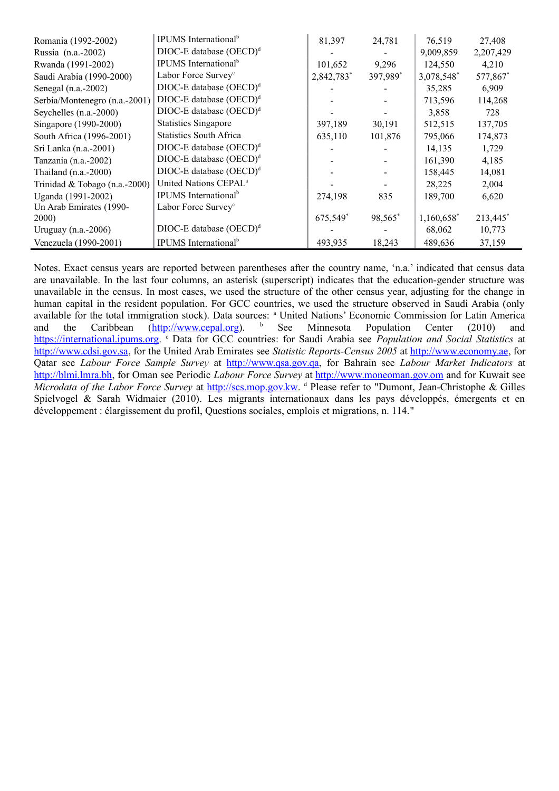| Romania (1992-2002)           | <b>IPUMS</b> International <sup>b</sup> | 81,397     | 24,781   | 76,519     | 27,408    |
|-------------------------------|-----------------------------------------|------------|----------|------------|-----------|
| Russia (n.a.-2002)            | $DIOC-E$ database $(OECD)^d$            |            |          | 9,009,859  | 2,207,429 |
| Rwanda (1991-2002)            | IPUMS International <sup>b</sup>        | 101,652    | 9,296    | 124,550    | 4,210     |
| Saudi Arabia (1990-2000)      | Labor Force Survey <sup>c</sup>         | 2,842,783* | 397,989* | 3,078,548* | 577,867*  |
| Senegal (n.a.-2002)           | $DIOC-E$ database $(OECD)^d$            |            |          | 35,285     | 6,909     |
| Serbia/Montenegro (n.a.-2001) | $DIOC-E$ database $(OECD)^d$            |            |          | 713,596    | 114,268   |
| Seychelles $(n.a.-2000)$      | $DIOC-E$ database $(OECD)^d$            |            |          | 3,858      | 728       |
| Singapore (1990-2000)         | <b>Statistics Singapore</b>             | 397,189    | 30,191   | 512,515    | 137,705   |
| South Africa (1996-2001)      | <b>Statistics South Africa</b>          | 635,110    | 101,876  | 795,066    | 174,873   |
| Sri Lanka (n.a.-2001)         | $DIOC-E$ database $(OECD)^d$            |            |          | 14,135     | 1,729     |
| Tanzania (n.a.-2002)          | $DIOC-E$ database $(OECD)d$             |            |          | 161,390    | 4,185     |
| Thailand $(n.a.-2000)$        | $DIOC-E$ database $(OECD)^d$            |            |          | 158,445    | 14,081    |
| Trinidad & Tobago (n.a.-2000) | United Nations CEPAL <sup>a</sup>       |            |          | 28,225     | 2,004     |
| Uganda (1991-2002)            | <b>IPUMS</b> International <sup>b</sup> | 274,198    | 835      | 189,700    | 6,620     |
| Un Arab Emirates (1990-       | Labor Force Survey <sup>c</sup>         |            |          |            |           |
| <b>2000</b> )                 |                                         | 675,549*   | 98,565*  | 1,160,658* | 213,445*  |
| Uruguay $(n.a.-2006)$         | DIOC-E database (OECD) <sup>d</sup>     |            |          | 68,062     | 10,773    |
| Venezuela (1990-2001)         | <b>IPUMS</b> International <sup>b</sup> | 493,935    | 18,243   | 489,636    | 37,159    |

Notes. Exact census years are reported between parentheses after the country name, 'n.a.' indicated that census data are unavailable. In the last four columns, an asterisk (superscript) indicates that the education-gender structure was unavailable in the census. In most cases, we used the structure of the other census year, adjusting for the change in human capital in the resident population. For GCC countries, we used the structure observed in Saudi Arabia (only available for the total immigration stock). Data sources: <sup>a</sup> United Nations' Economic Commission for Latin America and the Caribbean (*http://www.cepal.org*). <sup>b</sup> See Minnesota Population Center (2010) and [https://international.ipums.org.](https://international.ipums.org/) <sup>c</sup> Data for GCC countries: for Saudi Arabia see *Population and Social Statistics* at [http://www.cdsi.gov.sa,](http://www.cdsi.gov.sa/) for the United Arab Emirates see *Statistic Reports-Census 2005* at [http://www.economy.ae,](http://www.economy.ae/) for Qatar see *Labour Force Sample Survey* at [http://www.qsa.gov.qa,](http://www.qsa.gov.qa/) for Bahrain see *Labour Market Indicators* at [http://blmi.lmra.bh,](http://blmi.lmra.bh/) for Oman see Periodic *Labour Force Survey* at [http://www.moneoman.gov.om](http://www.moneoman.gov.om/) and for Kuwait see Microdata of the Labor Force Survey at *http://scs.mop.gov.kw.* d Please refer to "Dumont, Jean-Christophe & Gilles Spielvogel & Sarah Widmaier (2010). Les migrants internationaux dans les pays développés, émergents et en développement : élargissement du profil, Questions sociales, emplois et migrations, n. 114."